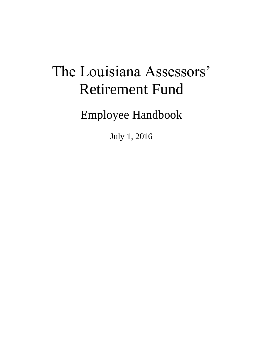# The Louisiana Assessors' Retirement Fund

Employee Handbook

July 1, 2016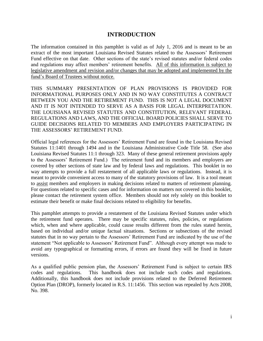## **INTRODUCTION**

The information contained in this pamphlet is valid as of July 1, 2016 and is meant to be an extract of the most important Louisiana Revised Statutes related to the Assessors' Retirement Fund effective on that date. Other sections of the state's revised statutes and/or federal codes and regulations may affect members' retirement benefits. All of this information is subject to legislative amendment and revision and/or changes that may be adopted and implemented by the fund's Board of Trustees without notice.

THIS SUMMARY PRESENTATION OF PLAN PROVISIONS IS PROVIDED FOR INFORMATIONAL PURPOSES ONLY AND IN NO WAY CONSTITUTES A CONTRACT BETWEEN YOU AND THE RETIREMENT FUND. THIS IS NOT A LEGAL DOCUMENT AND IT IS NOT INTENDED TO SERVE AS A BASIS FOR LEGAL INTERPRETATION. THE LOUISIANA REVISED STATUTES AND CONSTITUTION, RELEVANT FEDERAL REGULATIONS AND LAWS, AND THE OFFICIAL BOARD POLICIES SHALL SERVE TO GUIDE DECISIONS RELATED TO MEMBERS AND EMPLOYERS PARTICIPATING IN THE ASSESSORS' RETIREMENT FUND.

Official legal references for the Assessors' Retirement Fund are found in the Louisiana Revised Statutes 11:1401 through 1494 and in the Louisiana Administrative Code Title 58. (See also Louisiana Revised Statutes 11:1 through 323. Many of these general retirement provisions apply to the Assessors' Retirement Fund.) The retirement fund and its members and employers are covered by other sections of state law and by federal laws and regulations. This booklet in no way attempts to provide a full restatement of all applicable laws or regulations. Instead, it is meant to provide convenient access to many of the statutory provisions of law. It is a tool meant to assist members and employers in making decisions related to matters of retirement planning. For questions related to specific cases and for information on matters not covered in this booklet, please contact the retirement system office. Members should not rely solely on this booklet to estimate their benefit or make final decisions related to eligibility for benefits.

This pamphlet attempts to provide a restatement of the Louisiana Revised Statutes under which the retirement fund operates. There may be specific statutes, rules, policies, or regulations which, when and where applicable, could cause results different from the rules stated herein, based on individual and/or unique factual situations. Sections or subsections of the revised statutes that in no way pertain to the Assessors' Retirement Fund are indicated by the use of the statement "Not applicable to Assessors' Retirement Fund". Although every attempt was made to avoid any typographical or formatting errors, if errors are found they will be fixed in future versions.

As a qualified public pension plan, the Assessors' Retirement Fund is subject to certain IRS codes and regulations. This handbook does not include such codes and regulations. Additionally, this handbook does not include provisions related to the Deferred Retirement Option Plan (DROP), formerly located in R.S. 11:1456. This section was repealed by Acts 2008, No. 398.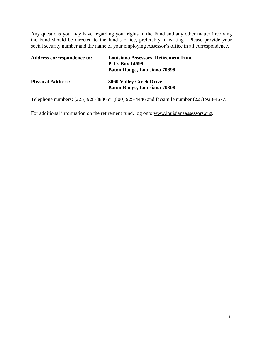Any questions you may have regarding your rights in the Fund and any other matter involving the Fund should be directed to the fund's office, preferably in writing. Please provide your social security number and the name of your employing Assessor's office in all correspondence.

| Address correspondence to: | <b>Louisiana Assessors' Retirement Fund</b><br>P. O. Box 14699<br><b>Baton Rouge, Louisiana 70898</b> |
|----------------------------|-------------------------------------------------------------------------------------------------------|
| <b>Physical Address:</b>   | <b>3060 Valley Creek Drive</b><br><b>Baton Rouge, Louisiana 70808</b>                                 |

Telephone numbers: (225) 928-8886 or (800) 925-4446 and facsimile number (225) 928-4677.

For additional information on the retirement fund, log onto www.louisianaassessors.org.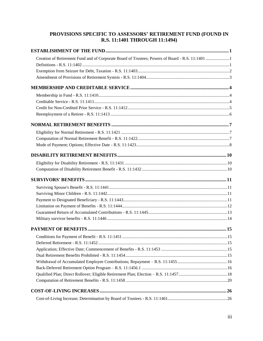#### **[PROVISIONS SPECIFIC TO ASSESSORS' RETIREMENT FUND \(FOUND IN](#page-8-0)  [R.S. 11:1401 THROUGH](#page-8-0) 11:1494)**

| Creation of Retirement Fund and of Corporate Board of Trustees; Powers of Board - R.S. 11:1401 1 |  |
|--------------------------------------------------------------------------------------------------|--|
|                                                                                                  |  |
|                                                                                                  |  |
|                                                                                                  |  |
|                                                                                                  |  |
|                                                                                                  |  |
|                                                                                                  |  |
|                                                                                                  |  |
|                                                                                                  |  |
|                                                                                                  |  |
|                                                                                                  |  |
|                                                                                                  |  |
|                                                                                                  |  |
|                                                                                                  |  |
|                                                                                                  |  |
|                                                                                                  |  |
|                                                                                                  |  |
|                                                                                                  |  |
|                                                                                                  |  |
|                                                                                                  |  |
|                                                                                                  |  |
|                                                                                                  |  |
|                                                                                                  |  |
|                                                                                                  |  |
|                                                                                                  |  |
|                                                                                                  |  |
|                                                                                                  |  |
|                                                                                                  |  |
|                                                                                                  |  |
|                                                                                                  |  |
|                                                                                                  |  |
|                                                                                                  |  |
|                                                                                                  |  |
|                                                                                                  |  |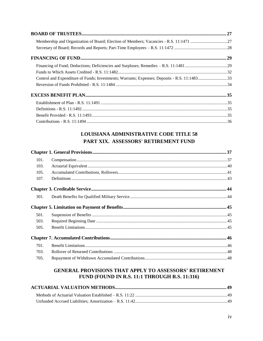| Control and Expenditure of Funds; Investments; Warrants; Expenses; Deposits - R.S. 11:148333 |  |
|----------------------------------------------------------------------------------------------|--|
|                                                                                              |  |
|                                                                                              |  |
|                                                                                              |  |
|                                                                                              |  |
|                                                                                              |  |
|                                                                                              |  |

## LOUISIANA ADMINISTRATIVE CODE TITLE 58 PART XIX. ASSESSORS' RETIREMENT FUND

| 101. |  |
|------|--|
| 103. |  |
| 105. |  |
| 107. |  |
|      |  |
| 301. |  |
|      |  |
| 501. |  |
| 503. |  |
| 505. |  |
|      |  |
| 701. |  |
| 703. |  |
| 705. |  |

#### **GENERAL PROVISIONS THAT APPLY TO ASSESSORS' RETIREMENT** FUND (FOUND IN R.S. 11:1 THROUGH R.S. 11:316)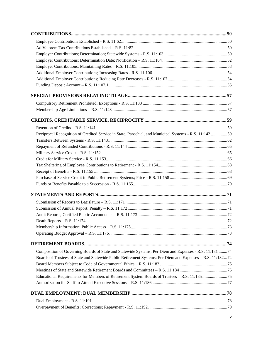| Reciprocal Recognition of Credited Service in State, Parochial, and Municipal Systems - R.S. 11:142 59     |  |
|------------------------------------------------------------------------------------------------------------|--|
|                                                                                                            |  |
|                                                                                                            |  |
|                                                                                                            |  |
|                                                                                                            |  |
|                                                                                                            |  |
|                                                                                                            |  |
|                                                                                                            |  |
|                                                                                                            |  |
|                                                                                                            |  |
|                                                                                                            |  |
|                                                                                                            |  |
|                                                                                                            |  |
|                                                                                                            |  |
|                                                                                                            |  |
|                                                                                                            |  |
|                                                                                                            |  |
| Composition of Governing Boards of State and Statewide Systems; Per Diem and Expenses - R.S. 11:181 74     |  |
| Boards of Trustees of State and Statewide Public Retirement Systems; Per Diem and Expenses - R.S. 11:18274 |  |
|                                                                                                            |  |
|                                                                                                            |  |
| Educational Requirements for Members of Retirement System Boards of Trustees - R.S. 11:185 75              |  |
|                                                                                                            |  |
|                                                                                                            |  |
|                                                                                                            |  |
|                                                                                                            |  |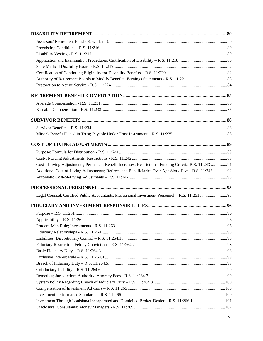| Cost-of-living Adjustments; Permanent Benefit Increases; Restrictions; Funding Criteria-R.S. 11:243 91 |  |
|--------------------------------------------------------------------------------------------------------|--|
| Additional Cost-of-Living Adjustments; Retirees and Beneficiaries Over Age Sixty-Five - R.S. 11:24692  |  |
|                                                                                                        |  |
|                                                                                                        |  |
|                                                                                                        |  |
|                                                                                                        |  |
|                                                                                                        |  |
|                                                                                                        |  |
|                                                                                                        |  |
|                                                                                                        |  |
|                                                                                                        |  |
|                                                                                                        |  |
|                                                                                                        |  |
|                                                                                                        |  |
|                                                                                                        |  |
|                                                                                                        |  |
|                                                                                                        |  |
|                                                                                                        |  |
|                                                                                                        |  |
|                                                                                                        |  |
| Investment Through Louisiana Incorporated and Domiciled Broker-Dealer – R.S. 11:266.1101               |  |
|                                                                                                        |  |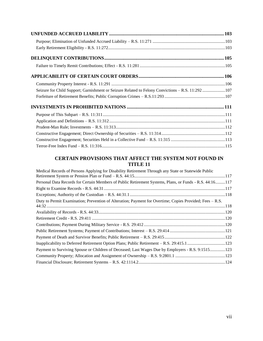| Seizure for Child Support; Garnishment or Seizure Related to Felony Convictions - R.S. 11:292 107 |  |
|---------------------------------------------------------------------------------------------------|--|
|                                                                                                   |  |
|                                                                                                   |  |
|                                                                                                   |  |
|                                                                                                   |  |
|                                                                                                   |  |
|                                                                                                   |  |
|                                                                                                   |  |
|                                                                                                   |  |

#### **[CERTAIN PROVISIONS THAT AFFECT THE SYSTEM NOT FOUND IN](#page-124-0)  [TITLE 11](#page-124-0)**

| Medical Records of Persons Applying for Disability Retirement Through any State or Statewide Public      |  |
|----------------------------------------------------------------------------------------------------------|--|
|                                                                                                          |  |
| Personal Data Records for Certain Members of Public Retirement Systems, Plans, or Funds - R.S. 44:16117  |  |
|                                                                                                          |  |
|                                                                                                          |  |
| Duty to Permit Examination; Prevention of Alteration; Payment for Overtime; Copies Provided; Fees – R.S. |  |
|                                                                                                          |  |
|                                                                                                          |  |
|                                                                                                          |  |
|                                                                                                          |  |
|                                                                                                          |  |
|                                                                                                          |  |
| Inapplicability to Deferred Retirement Option Plans; Public Retirement – R.S. 29:415.1 123               |  |
| Payment to Surviving Spouse or Children of Deceased; Last Wages Due by Employers - R.S. 9:1515123        |  |
|                                                                                                          |  |
|                                                                                                          |  |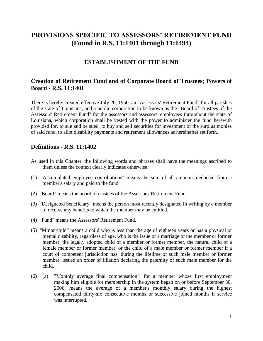## <span id="page-8-0"></span>**PROVISIONS SPECIFIC TO ASSESSORS' RETIREMENT FUND (Found in R.S. 11:1401 through 11:1494)**

## **ESTABLISHMENT OF THE FUND**

## <span id="page-8-2"></span><span id="page-8-1"></span>**Creation of Retirement Fund and of Corporate Board of Trustees; Powers of Board - R.S. 11:1401**

There is hereby created effective July 26, 1950, an "Assessors' Retirement Fund" for all parishes of the state of Louisiana, and a public corporation to be known as the "Board of Trustees of the Assessors' Retirement Fund" for the assessors and assessors' employees throughout the state of Louisiana, which corporation shall be vested with the power to administer the fund herewith provided for, to sue and be sued, to buy and sell securities for investment of the surplus monies of said fund, to allot disability payments and retirement allowances as hereinafter set forth.

#### <span id="page-8-3"></span>**Definitions - R.S. 11:1402**

- As used in this Chapter, the following words and phrases shall have the meanings ascribed to them unless the context clearly indicates otherwise:
- (1) "Accumulated employee contributions" means the sum of all amounts deducted from a member's salary and paid to the fund.
- (2) "Board" means the board of trustees of the Assessors' Retirement Fund.
- (3) "Designated beneficiary" means the person most recently designated in writing by a member to receive any benefits to which the member may be entitled.
- (4) "Fund" means the Assessors' Retirement Fund.
- (5) "Minor child" means a child who is less than the age of eighteen years or has a physical or mental disability, regardless of age, who is the issue of a marriage of the member or former member, the legally adopted child of a member or former member, the natural child of a female member or former member, or the child of a male member or former member if a court of competent jurisdiction has, during the lifetime of such male member or former member, issued an order of filiation declaring the paternity of such male member for the child.
- (6) (a) "Monthly average final compensation", for a member whose first employment making him eligible for membership in the system began on or before September 30, 2006, means the average of a member's monthly salary during the highest compensated thirty-six consecutive months or successive joined months if service was interrupted.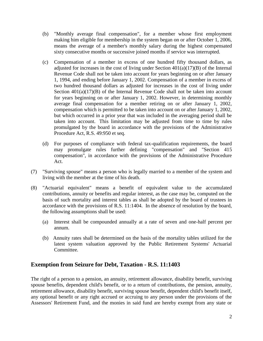- (b) "Monthly average final compensation", for a member whose first employment making him eligible for membership in the system began on or after October 1, 2006, means the average of a member's monthly salary during the highest compensated sixty consecutive months or successive joined months if service was interrupted.
- (c) Compensation of a member in excess of one hundred fifty thousand dollars, as adjusted for increases in the cost of living under Section  $401(a)(17)(B)$  of the Internal Revenue Code shall not be taken into account for years beginning on or after January 1, 1994, and ending before January 1, 2002. Compensation of a member in excess of two hundred thousand dollars as adjusted for increases in the cost of living under Section  $401(a)(17)(B)$  of the Internal Revenue Code shall not be taken into account for years beginning on or after January 1, 2002. However, in determining monthly average final compensation for a member retiring on or after January 1, 2002, compensation which is permitted to be taken into account on or after January 1, 2002, but which occurred in a prior year that was included in the averaging period shall be taken into account. This limitation may be adjusted from time to time by rules promulgated by the board in accordance with the provisions of the Administrative Procedure Act, R.S. 49:950 et seq.
- (d) For purposes of compliance with federal tax-qualification requirements, the board may promulgate rules further defining "compensation" and "Section 415 compensation", in accordance with the provisions of the Administrative Procedure Act.
- (7) "Surviving spouse" means a person who is legally married to a member of the system and living with the member at the time of his death.
- (8) "Actuarial equivalent" means a benefit of equivalent value to the accumulated contributions, annuity or benefits and regular interest, as the case may be, computed on the basis of such mortality and interest tables as shall be adopted by the board of trustees in accordance with the provisions of R.S. 11:1404. In the absence of resolution by the board, the following assumptions shall be used:
	- (a) Interest shall be compounded annually at a rate of seven and one-half percent per annum.
	- (b) Annuity rates shall be determined on the basis of the mortality tables utilized for the latest system valuation approved by the Public Retirement Systems' Actuarial Committee.

## <span id="page-9-0"></span>**Exemption from Seizure for Debt, Taxation - R.S. 11:1403**

The right of a person to a pension, an annuity, retirement allowance, disability benefit, surviving spouse benefits, dependent child's benefit, or to a return of contributions, the pension, annuity, retirement allowance, disability benefit, surviving spouse benefit, dependent child's benefit itself, any optional benefit or any right accrued or accruing to any person under the provisions of the Assessors' Retirement Fund, and the monies in said fund are hereby exempt from any state or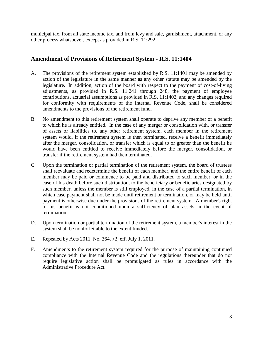municipal tax, from all state income tax, and from levy and sale, garnishment, attachment, or any other process whatsoever, except as provided in R.S. 11:292.

## <span id="page-10-0"></span>**Amendment of Provisions of Retirement System - R.S. 11:1404**

- A. The provisions of the retirement system established by R.S. 11:1401 may be amended by action of the legislature in the same manner as any other statute may be amended by the legislature. In addition, action of the board with respect to the payment of cost-of-living adjustments, as provided in R.S. 11:241 through 248, the payment of employee contributions, actuarial assumptions as provided in R.S. 11:1402, and any changes required for conformity with requirements of the Internal Revenue Code, shall be considered amendments to the provisions of the retirement fund.
- B. No amendment to this retirement system shall operate to deprive any member of a benefit to which he is already entitled. In the case of any merger or consolidation with, or transfer of assets or liabilities to, any other retirement system, each member in the retirement system would, if the retirement system is then terminated, receive a benefit immediately after the merger, consolidation, or transfer which is equal to or greater than the benefit he would have been entitled to receive immediately before the merger, consolidation, or transfer if the retirement system had then terminated.
- C. Upon the termination or partial termination of the retirement system, the board of trustees shall reevaluate and redetermine the benefit of each member, and the entire benefit of each member may be paid or commence to be paid and distributed to such member, or in the case of his death before such distribution, to the beneficiary or beneficiaries designated by such member, unless the member is still employed, in the case of a partial termination, in which case payment shall not be made until retirement or termination, or may be held until payment is otherwise due under the provisions of the retirement system. A member's right to his benefit is not conditioned upon a sufficiency of plan assets in the event of termination.
- D. Upon termination or partial termination of the retirement system, a member's interest in the system shall be nonforfeitable to the extent funded.
- E. Repealed by Acts 2011, No. 364, §2, eff. July 1, 2011.
- F. Amendments to the retirement system required for the purpose of maintaining continued compliance with the Internal Revenue Code and the regulations thereunder that do not require legislative action shall be promulgated as rules in accordance with the Administrative Procedure Act.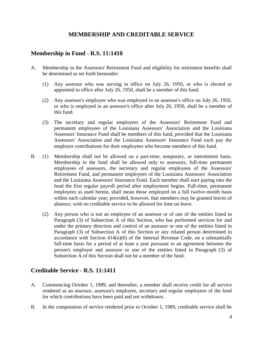## **MEMBERSHIP AND CREDITABLE SERVICE**

## <span id="page-11-1"></span><span id="page-11-0"></span>**Membership in Fund - R.S. 11:1410**

- A. Membership in the Assessors' Retirement Fund and eligibility for retirement benefits shall be determined as set forth hereunder:
	- (1) Any assessor who was serving in office on July 26, 1950, or who is elected or appointed to office after July 26, 1950, shall be a member of this fund.
	- (2) Any assessor's employee who was employed in an assessor's office on July 26, 1950, or who is employed in an assessor's office after July 26, 1950, shall be a member of this fund.
	- (3) The secretary and regular employees of the Assessors' Retirement Fund and permanent employees of the Louisiana Assessors' Association and the Louisiana Assessors' Insurance Fund shall be members of this fund, provided that the Louisiana Assessors' Association and the Louisiana Assessors' Insurance Fund each pay the employer contributions for their employees who become members of this fund.
- B. (1) Membership shall not be allowed on a part-time, temporary, or intermittent basis. Membership in the fund shall be allowed only to assessors, full-time permanent employees of assessors, the secretary and regular employees of the Assessors' Retirement Fund, and permanent employees of the Louisiana Assessors' Association and the Louisiana Assessors' Insurance Fund. Each member shall start paying into the fund the first regular payroll period after employment begins. Full-time, permanent employees as used herein, shall mean those employed on a full twelve-month basis within each calendar year; provided, however, that members may be granted leaves of absence, with no creditable service to be allowed for time on leave.
	- (2) Any person who is not an employee of an assessor or of one of the entities listed in Paragraph (3) of Subsection A of this Section, who has performed services for and under the primary direction and control of an assessor or one of the entities listed in Paragraph (3) of Subsection A of this Section or any related person determined in accordance with Section  $414(n)(6)$  of the Internal Revenue Code, on a substantially full-time basis for a period of at least a year pursuant to an agreement between the person's employer and assessor or one of the entities listed in Paragraph (3) of Subsection A of this Section shall not be a member of the fund.

## <span id="page-11-2"></span>**Creditable Service - R.S. 11:1411**

- A. Commencing October 1, 1989, and thereafter, a member shall receive credit for all service rendered as an assessor, assessor's employee, secretary and regular employees of the fund for which contributions have been paid and not withdrawn.
- B. In the computation of service rendered prior to October 1, 1989, creditable service shall be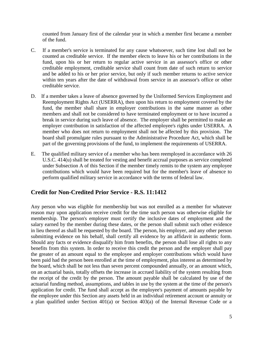counted from January first of the calendar year in which a member first became a member of the fund.

- C. If a member's service is terminated for any cause whatsoever, such time lost shall not be counted as creditable service. If the member elects to leave his or her contributions in the fund, upon his or her return to regular active service in an assessor's office or other creditable employment, creditable service shall count from date of such return to service and be added to his or her prior service, but only if such member returns to active service within ten years after the date of withdrawal from service in an assessor's office or other creditable service.
- D. If a member takes a leave of absence governed by the Uniformed Services Employment and Reemployment Rights Act (USERRA), then upon his return to employment covered by the fund, the member shall share in employer contributions in the same manner as other members and shall not be considered to have terminated employment or to have incurred a break in service during such leave of absence. The employer shall be permitted to make an employer contribution in satisfaction of the affected employee's rights under USERRA. A member who does not return to employment shall not be affected by this provision. The board shall promulgate rules pursuant to the Administrative Procedure Act, which shall be part of the governing provisions of the fund, to implement the requirements of USERRA.
- E. The qualified military service of a member who has been reemployed in accordance with 26 U.S.C. 414(u) shall be treated for vesting and benefit accrual purposes as service completed under Subsection A of this Section if the member timely remits to the system any employee contributions which would have been required but for the member's leave of absence to perform qualified military service in accordance with the terms of federal law.

## <span id="page-12-0"></span>**Credit for Non-Credited Prior Service - R.S. 11:1412**

Any person who was eligible for membership but was not enrolled as a member for whatever reason may upon application receive credit for the time such person was otherwise eligible for membership. The person's employer must certify the inclusive dates of employment and the salary earned by the member during these dates, or the person shall submit such other evidence in lieu thereof as shall be requested by the board. The person, his employer, and any other person submitting evidence on his behalf, shall certify all evidence by an affidavit in authentic form. Should any facts or evidence disqualify him from benefits, the person shall lose all rights to any benefits from this system. In order to receive this credit the person and the employer shall pay the greater of an amount equal to the employee and employer contributions which would have been paid had the person been enrolled at the time of employment, plus interest as determined by the board, which shall be not less than seven percent compounded annually, or an amount which, on an actuarial basis, totally offsets the increase in accrued liability of the system resulting from the receipt of the credit by the person. The amount payable shall be calculated by use of the actuarial funding method, assumptions, and tables in use by the system at the time of the person's application for credit. The fund shall accept as the employee's payment of amounts payable by the employee under this Section any assets held in an individual retirement account or annuity or a plan qualified under Section 401(a) or Section 403(a) of the Internal Revenue Code or a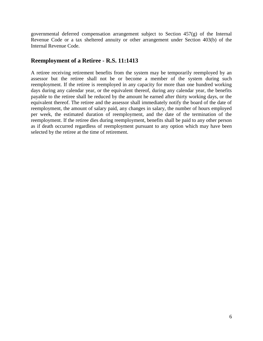governmental deferred compensation arrangement subject to Section 457(g) of the Internal Revenue Code or a tax sheltered annuity or other arrangement under Section 403(b) of the Internal Revenue Code.

## <span id="page-13-0"></span>**Reemployment of a Retiree - R.S. 11:1413**

A retiree receiving retirement benefits from the system may be temporarily reemployed by an assessor but the retiree shall not be or become a member of the system during such reemployment. If the retiree is reemployed in any capacity for more than one hundred working days during any calendar year, or the equivalent thereof, during any calendar year, the benefits payable to the retiree shall be reduced by the amount he earned after thirty working days, or the equivalent thereof. The retiree and the assessor shall immediately notify the board of the date of reemployment, the amount of salary paid, any changes in salary, the number of hours employed per week, the estimated duration of reemployment, and the date of the termination of the reemployment. If the retiree dies during reemployment, benefits shall be paid to any other person as if death occurred regardless of reemployment pursuant to any option which may have been selected by the retiree at the time of retirement.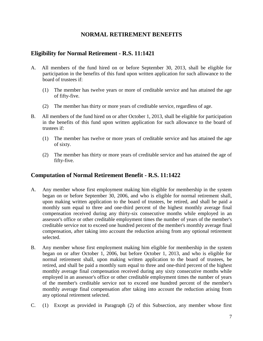## **NORMAL RETIREMENT BENEFITS**

## <span id="page-14-1"></span><span id="page-14-0"></span>**Eligibility for Normal Retirement - R.S. 11:1421**

- A. All members of the fund hired on or before September 30, 2013, shall be eligible for participation in the benefits of this fund upon written application for such allowance to the board of trustees if:
	- (1) The member has twelve years or more of creditable service and has attained the age of fifty-five.
	- (2) The member has thirty or more years of creditable service, regardless of age.
- B. All members of the fund hired on or after October 1, 2013, shall be eligible for participation in the benefits of this fund upon written application for such allowance to the board of trustees if:
	- (1) The member has twelve or more years of creditable service and has attained the age of sixty.
	- (2) The member has thirty or more years of creditable service and has attained the age of fifty-five.

## <span id="page-14-2"></span>**Computation of Normal Retirement Benefit - R.S. 11:1422**

- A. Any member whose first employment making him eligible for membership in the system began on or before September 30, 2006, and who is eligible for normal retirement shall, upon making written application to the board of trustees, be retired, and shall be paid a monthly sum equal to three and one-third percent of the highest monthly average final compensation received during any thirty-six consecutive months while employed in an assessor's office or other creditable employment times the number of years of the member's creditable service not to exceed one hundred percent of the member's monthly average final compensation, after taking into account the reduction arising from any optional retirement selected.
- B. Any member whose first employment making him eligible for membership in the system began on or after October 1, 2006, but before October 1, 2013, and who is eligible for normal retirement shall, upon making written application to the board of trustees, be retired, and shall be paid a monthly sum equal to three and one-third percent of the highest monthly average final compensation received during any sixty consecutive months while employed in an assessor's office or other creditable employment times the number of years of the member's creditable service not to exceed one hundred percent of the member's monthly average final compensation after taking into account the reduction arising from any optional retirement selected.
- C. (1) Except as provided in Paragraph (2) of this Subsection, any member whose first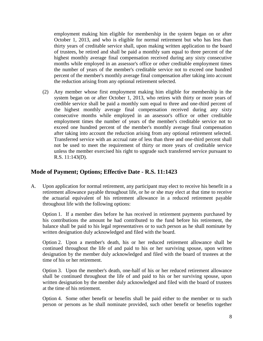employment making him eligible for membership in the system began on or after October 1, 2013, and who is eligible for normal retirement but who has less than thirty years of creditable service shall, upon making written application to the board of trustees, be retired and shall be paid a monthly sum equal to three percent of the highest monthly average final compensation received during any sixty consecutive months while employed in an assessor's office or other creditable employment times the number of years of the member's creditable service not to exceed one hundred percent of the member's monthly average final compensation after taking into account the reduction arising from any optional retirement selected.

 (2) Any member whose first employment making him eligible for membership in the system began on or after October 1, 2013, who retires with thirty or more years of credible service shall be paid a monthly sum equal to three and one-third percent of the highest monthly average final compensation received during any sixty consecutive months while employed in an assessor's office or other creditable employment times the number of years of the member's creditable service not to exceed one hundred percent of the member's monthly average final compensation after taking into account the reduction arising from any optional retirement selected. Transferred service with an accrual rate of less than three and one-third percent shall not be used to meet the requirement of thirty or more years of creditable service unless the member exercised his right to upgrade such transferred service pursuant to R.S. 11:143(D).

## <span id="page-15-0"></span>**Mode of Payment; Options; Effective Date - R.S. 11:1423**

A. Upon application for normal retirement, any participant may elect to receive his benefit in a retirement allowance payable throughout life, or he or she may elect at that time to receive the actuarial equivalent of his retirement allowance in a reduced retirement payable throughout life with the following options:

Option 1. If a member dies before he has received in retirement payments purchased by his contributions the amount he had contributed to the fund before his retirement, the balance shall be paid to his legal representatives or to such person as he shall nominate by written designation duly acknowledged and filed with the board.

Option 2. Upon a member's death, his or her reduced retirement allowance shall be continued throughout the life of and paid to his or her surviving spouse, upon written designation by the member duly acknowledged and filed with the board of trustees at the time of his or her retirement.

Option 3. Upon the member's death, one-half of his or her reduced retirement allowance shall be continued throughout the life of and paid to his or her surviving spouse, upon written designation by the member duly acknowledged and filed with the board of trustees at the time of his retirement.

Option 4. Some other benefit or benefits shall be paid either to the member or to such person or persons as he shall nominate provided, such other benefit or benefits together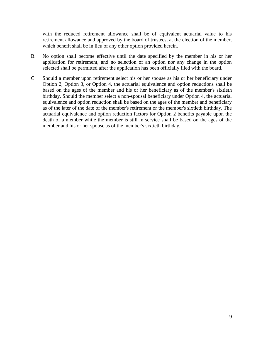with the reduced retirement allowance shall be of equivalent actuarial value to his retirement allowance and approved by the board of trustees, at the election of the member, which benefit shall be in lieu of any other option provided herein.

- B. No option shall become effective until the date specified by the member in his or her application for retirement, and no selection of an option nor any change in the option selected shall be permitted after the application has been officially filed with the board.
- C. Should a member upon retirement select his or her spouse as his or her beneficiary under Option 2, Option 3, or Option 4, the actuarial equivalence and option reductions shall be based on the ages of the member and his or her beneficiary as of the member's sixtieth birthday. Should the member select a non-spousal beneficiary under Option 4, the actuarial equivalence and option reduction shall be based on the ages of the member and beneficiary as of the later of the date of the member's retirement or the member's sixtieth birthday. The actuarial equivalence and option reduction factors for Option 2 benefits payable upon the death of a member while the member is still in service shall be based on the ages of the member and his or her spouse as of the member's sixtieth birthday.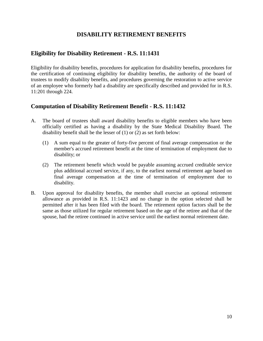## **DISABILITY RETIREMENT BENEFITS**

## <span id="page-17-1"></span><span id="page-17-0"></span>**Eligibility for Disability Retirement - R.S. 11:1431**

Eligibility for disability benefits, procedures for application for disability benefits, procedures for the certification of continuing eligibility for disability benefits, the authority of the board of trustees to modify disability benefits, and procedures governing the restoration to active service of an employee who formerly had a disability are specifically described and provided for in R.S. 11:201 through 224.

## <span id="page-17-2"></span>**Computation of Disability Retirement Benefit - R.S. 11:1432**

- A. The board of trustees shall award disability benefits to eligible members who have been officially certified as having a disability by the State Medical Disability Board. The disability benefit shall be the lesser of (1) or (2) as set forth below:
	- (1) A sum equal to the greater of forty-five percent of final average compensation or the member's accrued retirement benefit at the time of termination of employment due to disability; or
	- (2) The retirement benefit which would be payable assuming accrued creditable service plus additional accrued service, if any, to the earliest normal retirement age based on final average compensation at the time of termination of employment due to disability.
- B. Upon approval for disability benefits, the member shall exercise an optional retirement allowance as provided in R.S. 11:1423 and no change in the option selected shall be permitted after it has been filed with the board. The retirement option factors shall be the same as those utilized for regular retirement based on the age of the retiree and that of the spouse, had the retiree continued in active service until the earliest normal retirement date.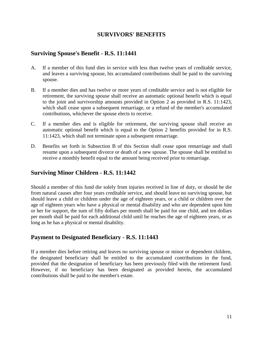#### **SURVIVORS' BENEFITS**

#### <span id="page-18-1"></span><span id="page-18-0"></span>**Surviving Spouse's Benefit - R.S. 11:1441**

- A. If a member of this fund dies in service with less than twelve years of creditable service, and leaves a surviving spouse, his accumulated contributions shall be paid to the surviving spouse.
- B. If a member dies and has twelve or more years of creditable service and is not eligible for retirement, the surviving spouse shall receive an automatic optional benefit which is equal to the joint and survivorship amounts provided in Option 2 as provided in R.S. 11:1423, which shall cease upon a subsequent remarriage, or a refund of the member's accumulated contributions, whichever the spouse elects to receive.
- C. If a member dies and is eligible for retirement, the surviving spouse shall receive an automatic optional benefit which is equal to the Option 2 benefits provided for in R.S. 11:1423, which shall not terminate upon a subsequent remarriage.
- D. Benefits set forth in Subsection B of this Section shall cease upon remarriage and shall resume upon a subsequent divorce or death of a new spouse. The spouse shall be entitled to receive a monthly benefit equal to the amount being received prior to remarriage.

## <span id="page-18-2"></span>**Surviving Minor Children - R.S. 11:1442**

Should a member of this fund die solely from injuries received in line of duty, or should he die from natural causes after four years creditable service, and should leave no surviving spouse, but should leave a child or children under the age of eighteen years, or a child or children over the age of eighteen years who have a physical or mental disability and who are dependent upon him or her for support, the sum of fifty dollars per month shall be paid for one child, and ten dollars per month shall be paid for each additional child until he reaches the age of eighteen years, or as long as he has a physical or mental disability.

## <span id="page-18-3"></span>**Payment to Designated Beneficiary - R.S. 11:1443**

If a member dies before retiring and leaves no surviving spouse or minor or dependent children, the designated beneficiary shall be entitled to the accumulated contributions in the fund, provided that the designation of beneficiary has been previously filed with the retirement fund. However, if no beneficiary has been designated as provided herein, the accumulated contributions shall be paid to the member's estate.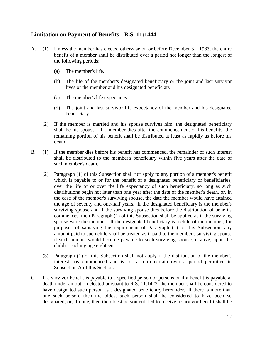## <span id="page-19-0"></span>**Limitation on Payment of Benefits - R.S. 11:1444**

- A. (1) Unless the member has elected otherwise on or before December 31, 1983, the entire benefit of a member shall be distributed over a period not longer than the longest of the following periods:
	- (a) The member's life.
	- (b) The life of the member's designated beneficiary or the joint and last survivor lives of the member and his designated beneficiary.
	- (c) The member's life expectancy.
	- (d) The joint and last survivor life expectancy of the member and his designated beneficiary.
	- (2) If the member is married and his spouse survives him, the designated beneficiary shall be his spouse. If a member dies after the commencement of his benefits, the remaining portion of his benefit shall be distributed at least as rapidly as before his death.
- B. (1) If the member dies before his benefit has commenced, the remainder of such interest shall be distributed to the member's beneficiary within five years after the date of such member's death.
	- (2) Paragraph (1) of this Subsection shall not apply to any portion of a member's benefit which is payable to or for the benefit of a designated beneficiary or beneficiaries, over the life of or over the life expectancy of such beneficiary, so long as such distributions begin not later than one year after the date of the member's death, or, in the case of the member's surviving spouse, the date the member would have attained the age of seventy and one-half years. If the designated beneficiary is the member's surviving spouse and if the surviving spouse dies before the distribution of benefits commences, then Paragraph (1) of this Subsection shall be applied as if the surviving spouse were the member. If the designated beneficiary is a child of the member, for purposes of satisfying the requirement of Paragraph (1) of this Subsection, any amount paid to such child shall be treated as if paid to the member's surviving spouse if such amount would become payable to such surviving spouse, if alive, upon the child's reaching age eighteen.
	- (3) Paragraph (1) of this Subsection shall not apply if the distribution of the member's interest has commenced and is for a term certain over a period permitted in Subsection A of this Section.
- C. If a survivor benefit is payable to a specified person or persons or if a benefit is payable at death under an option elected pursuant to R.S. 11:1423, the member shall be considered to have designated such person as a designated beneficiary hereunder. If there is more than one such person, then the oldest such person shall be considered to have been so designated, or, if none, then the oldest person entitled to receive a survivor benefit shall be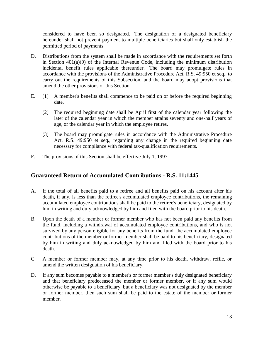considered to have been so designated. The designation of a designated beneficiary hereunder shall not prevent payment to multiple beneficiaries but shall only establish the permitted period of payments.

- D. Distributions from the system shall be made in accordance with the requirements set forth in Section 401(a)(9) of the Internal Revenue Code, including the minimum distribution incidental benefit rules applicable thereunder. The board may promulgate rules in accordance with the provisions of the Administrative Procedure Act, R.S. 49:950 et seq., to carry out the requirements of this Subsection, and the board may adopt provisions that amend the other provisions of this Section.
- E. (1) A member's benefits shall commence to be paid on or before the required beginning date.
	- (2) The required beginning date shall be April first of the calendar year following the later of the calendar year in which the member attains seventy and one-half years of age, or the calendar year in which the employee retires.
	- (3) The board may promulgate rules in accordance with the Administrative Procedure Act, R.S. 49:950 et seq., regarding any change in the required beginning date necessary for compliance with federal tax-qualification requirements.
- F. The provisions of this Section shall be effective July 1, 1997.

## <span id="page-20-0"></span>**Guaranteed Return of Accumulated Contributions - R.S. 11:1445**

- A. If the total of all benefits paid to a retiree and all benefits paid on his account after his death, if any, is less than the retiree's accumulated employee contributions, the remaining accumulated employee contributions shall be paid to the retiree's beneficiary, designated by him in writing and duly acknowledged by him and filed with the board prior to his death.
- B. Upon the death of a member or former member who has not been paid any benefits from the fund, including a withdrawal of accumulated employee contributions, and who is not survived by any person eligible for any benefits from the fund, the accumulated employee contributions of the member or former member shall be paid to his beneficiary, designated by him in writing and duly acknowledged by him and filed with the board prior to his death.
- C. A member or former member may, at any time prior to his death, withdraw, refile, or amend the written designation of his beneficiary.
- D. If any sum becomes payable to a member's or former member's duly designated beneficiary and that beneficiary predeceased the member or former member, or if any sum would otherwise be payable to a beneficiary, but a beneficiary was not designated by the member or former member, then such sum shall be paid to the estate of the member or former member.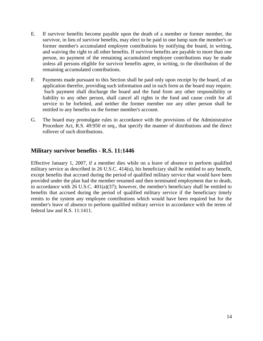- E. If survivor benefits become payable upon the death of a member or former member, the survivor, in lieu of survivor benefits, may elect to be paid in one lump sum the member's or former member's accumulated employee contributions by notifying the board, in writing, and waiving the right to all other benefits. If survivor benefits are payable to more than one person, no payment of the remaining accumulated employee contributions may be made unless all persons eligible for survivor benefits agree, in writing, to the distribution of the remaining accumulated contributions.
- F. Payments made pursuant to this Section shall be paid only upon receipt by the board, of an application therefor, providing such information and in such form as the board may require. Such payment shall discharge the board and the fund from any other responsibility or liability to any other person, shall cancel all rights in the fund and cause credit for all service to be forfeited, and neither the former member nor any other person shall be entitled to any benefits on the former member's account.
- G. The board may promulgate rules in accordance with the provisions of the Administrative Procedure Act, R.S. 49:950 et seq., that specify the manner of distributions and the direct rollover of such distributions.

#### <span id="page-21-0"></span>**Military survivor benefits - R.S. 11:1446**

Effective January 1, 2007, if a member dies while on a leave of absence to perform qualified military service as described in 26 U.S.C. 414(u), his beneficiary shall be entitled to any benefit, except benefits that accrued during the period of qualified military service that would have been provided under the plan had the member resumed and then terminated employment due to death, in accordance with 26 U.S.C. 401(a)(37); however, the member's beneficiary shall be entitled to benefits that accrued during the period of qualified military service if the beneficiary timely remits to the system any employee contributions which would have been required but for the member's leave of absence to perform qualified military service in accordance with the terms of federal law and R.S. 11:1411.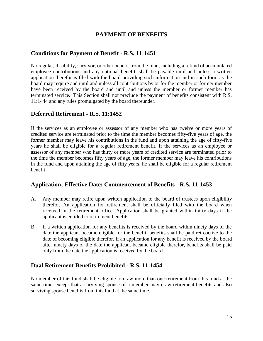## **PAYMENT OF BENEFITS**

#### <span id="page-22-1"></span><span id="page-22-0"></span>**Conditions for Payment of Benefit - R.S. 11:1451**

No regular, disability, survivor, or other benefit from the fund, including a refund of accumulated employee contributions and any optional benefit, shall be payable until and unless a written application therefor is filed with the board providing such information and in such form as the board may require and until and unless all contributions by or for the member or former member have been received by the board and until and unless the member or former member has terminated service. This Section shall not preclude the payment of benefits consistent with R.S. 11:1444 and any rules promulgated by the board thereunder.

#### <span id="page-22-2"></span>**Deferred Retirement - R.S. 11:1452**

If the services as an employee or assessor of any member who has twelve or more years of credited service are terminated prior to the time the member becomes fifty-five years of age, the former member may leave his contributions in the fund and upon attaining the age of fifty-five years he shall be eligible for a regular retirement benefit. If the services as an employee or assessor of any member who has thirty or more years of credited service are terminated prior to the time the member becomes fifty years of age, the former member may leave his contributions in the fund and upon attaining the age of fifty years, he shall be eligible for a regular retirement benefit.

#### <span id="page-22-3"></span>**Application; Effective Date; Commencement of Benefits - R.S. 11:1453**

- A. Any member may retire upon written application to the board of trustees upon eligibility therefor. An application for retirement shall be officially filed with the board when received in the retirement office. Application shall be granted within thirty days if the applicant is entitled to retirement benefits.
- B. If a written application for any benefits is received by the board within ninety days of the date the applicant became eligible for the benefit, benefits shall be paid retroactive to the date of becoming eligible therefor. If an application for any benefit is received by the board after ninety days of the date the applicant became eligible therefor, benefits shall be paid only from the date the application is received by the board.

#### <span id="page-22-4"></span>**Dual Retirement Benefits Prohibited - R.S. 11:1454**

No member of this fund shall be eligible to draw more than one retirement from this fund at the same time, except that a surviving spouse of a member may draw retirement benefits and also surviving spouse benefits from this fund at the same time.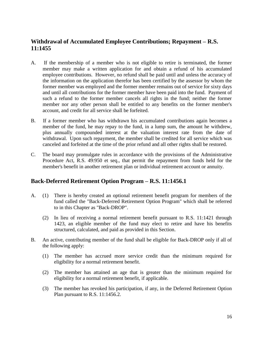## <span id="page-23-0"></span>**Withdrawal of Accumulated Employee Contributions; Repayment – R.S. 11:1455**

- A. If the membership of a member who is not eligible to retire is terminated, the former member may make a written application for and obtain a refund of his accumulated employee contributions. However, no refund shall be paid until and unless the accuracy of the information on the application therefor has been certified by the assessor by whom the former member was employed and the former member remains out of service for sixty days and until all contributions for the former member have been paid into the fund. Payment of such a refund to the former member cancels all rights in the fund; neither the former member nor any other person shall be entitled to any benefits on the former member's account, and credit for all service shall be forfeited.
- B. If a former member who has withdrawn his accumulated contributions again becomes a member of the fund, he may repay to the fund, in a lump sum, the amount he withdrew, plus annually compounded interest at the valuation interest rate from the date of withdrawal. Upon such repayment, the member shall be credited for all service which was canceled and forfeited at the time of the prior refund and all other rights shall be restored.
- C. The board may promulgate rules in accordance with the provisions of the Administrative Procedure Act, R.S. 49:950 et seq., that permit the repayment from funds held for the member's benefit in another retirement plan or individual retirement account or annuity.

#### <span id="page-23-1"></span>**Back-Deferred Retirement Option Program – R.S. 11:1456.1**

- A. (1) There is hereby created an optional retirement benefit program for members of the fund called the "Back-Deferred Retirement Option Program" which shall be referred to in this Chapter as "Back-DROP".
	- (2) In lieu of receiving a normal retirement benefit pursuant to R.S. 11:1421 through 1423, an eligible member of the fund may elect to retire and have his benefits structured, calculated, and paid as provided in this Section.
- B. An active, contributing member of the fund shall be eligible for Back-DROP only if all of the following apply:
	- (1) The member has accrued more service credit than the minimum required for eligibility for a normal retirement benefit.
	- (2) The member has attained an age that is greater than the minimum required for eligibility for a normal retirement benefit, if applicable.
	- (3) The member has revoked his participation, if any, in the Deferred Retirement Option Plan pursuant to R.S. 11:1456.2.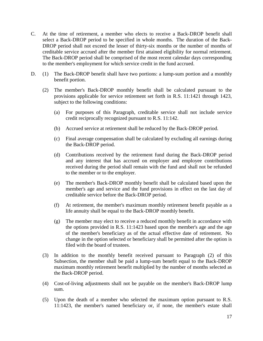- C. At the time of retirement, a member who elects to receive a Back-DROP benefit shall select a Back-DROP period to be specified in whole months. The duration of the Back-DROP period shall not exceed the lesser of thirty-six months or the number of months of creditable service accrued after the member first attained eligibility for normal retirement. The Back-DROP period shall be comprised of the most recent calendar days corresponding to the member's employment for which service credit in the fund accrued.
- D. (1) The Back-DROP benefit shall have two portions: a lump-sum portion and a monthly benefit portion.
	- (2) The member's Back-DROP monthly benefit shall be calculated pursuant to the provisions applicable for service retirement set forth in R.S. 11:1421 through 1423, subject to the following conditions:
		- (a) For purposes of this Paragraph, creditable service shall not include service credit reciprocally recognized pursuant to R.S. 11:142.
		- (b) Accrued service at retirement shall be reduced by the Back-DROP period.
		- (c) Final average compensation shall be calculated by excluding all earnings during the Back-DROP period.
		- (d) Contributions received by the retirement fund during the Back-DROP period and any interest that has accrued on employer and employee contributions received during the period shall remain with the fund and shall not be refunded to the member or to the employer.
		- (e) The member's Back-DROP monthly benefit shall be calculated based upon the member's age and service and the fund provisions in effect on the last day of creditable service before the Back-DROP period.
		- (f) At retirement, the member's maximum monthly retirement benefit payable as a life annuity shall be equal to the Back-DROP monthly benefit.
		- (g) The member may elect to receive a reduced monthly benefit in accordance with the options provided in R.S. 11:1423 based upon the member's age and the age of the member's beneficiary as of the actual effective date of retirement. No change in the option selected or beneficiary shall be permitted after the option is filed with the board of trustees.
	- (3) In addition to the monthly benefit received pursuant to Paragraph (2) of this Subsection, the member shall be paid a lump-sum benefit equal to the Back-DROP maximum monthly retirement benefit multiplied by the number of months selected as the Back-DROP period.
	- (4) Cost-of-living adjustments shall not be payable on the member's Back-DROP lump sum.
	- (5) Upon the death of a member who selected the maximum option pursuant to R.S. 11:1423, the member's named beneficiary or, if none, the member's estate shall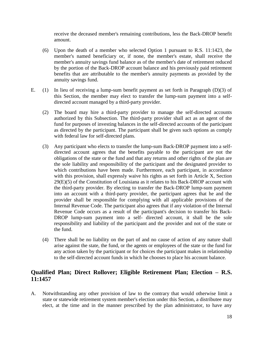receive the deceased member's remaining contributions, less the Back-DROP benefit amount.

- (6) Upon the death of a member who selected Option 1 pursuant to R.S. 11:1423, the member's named beneficiary or, if none, the member's estate, shall receive the member's annuity savings fund balance as of the member's date of retirement reduced by the portion of the Back-DROP account balance and his previously paid retirement benefits that are attributable to the member's annuity payments as provided by the annuity savings fund.
- E. (1) In lieu of receiving a lump-sum benefit payment as set forth in Paragraph (D)(3) of this Section, the member may elect to transfer the lump-sum payment into a selfdirected account managed by a third-party provider.
	- (2) The board may hire a third-party provider to manage the self-directed accounts authorized by this Subsection. The third-party provider shall act as an agent of the fund for purposes of investing balances in the self-directed accounts of the participant as directed by the participant. The participant shall be given such options as comply with federal law for self-directed plans.
	- (3) Any participant who elects to transfer the lump-sum Back-DROP payment into a selfdirected account agrees that the benefits payable to the participant are not the obligations of the state or the fund and that any returns and other rights of the plan are the sole liability and responsibility of the participant and the designated provider to which contributions have been made. Furthermore, each participant, in accordance with this provision, shall expressly waive his rights as set forth in Article X, Section 29(E)(5) of the Constitution of Louisiana as it relates to his Back-DROP account with the third-party provider. By electing to transfer the Back-DROP lump-sum payment into an account with a third-party provider, the participant agrees that he and the provider shall be responsible for complying with all applicable provisions of the Internal Revenue Code. The participant also agrees that if any violation of the Internal Revenue Code occurs as a result of the participant's decision to transfer his Back-DROP lump-sum payment into a self- directed account, it shall be the sole responsibility and liability of the participant and the provider and not of the state or the fund.
	- (4) There shall be no liability on the part of and no cause of action of any nature shall arise against the state, the fund, or the agents or employees of the state or the fund for any action taken by the participant or for choices the participant makes in relationship to the self-directed account funds in which he chooses to place his account balance.

## <span id="page-25-0"></span>**Qualified Plan; Direct Rollover; Eligible Retirement Plan; Election – R.S. 11:1457**

A. Notwithstanding any other provision of law to the contrary that would otherwise limit a state or statewide retirement system member's election under this Section, a distributee may elect, at the time and in the manner prescribed by the plan administrator, to have any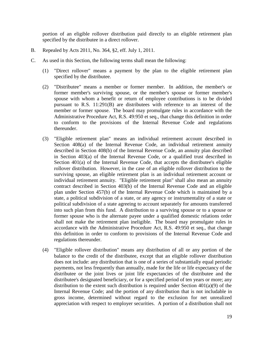portion of an eligible rollover distribution paid directly to an eligible retirement plan specified by the distributee in a direct rollover.

- B. Repealed by Acts 2011, No. 364, §2, eff. July 1, 2011.
- C. As used in this Section, the following terms shall mean the following:
	- (1) "Direct rollover" means a payment by the plan to the eligible retirement plan specified by the distributee.
	- (2) "Distributee" means a member or former member. In addition, the member's or former member's surviving spouse, or the member's spouse or former member's spouse with whom a benefit or return of employee contributions is to be divided pursuant to R.S. 11:291(B) are distributees with reference to an interest of the member or former spouse. The board may promulgate rules in accordance with the Administrative Procedure Act, R.S. 49:950 et seq., that change this definition in order to conform to the provisions of the Internal Revenue Code and regulations thereunder.
	- (3) "Eligible retirement plan" means an individual retirement account described in Section 408(a) of the Internal Revenue Code, an individual retirement annuity described in Section 408(b) of the Internal Revenue Code, an annuity plan described in Section 403(a) of the Internal Revenue Code, or a qualified trust described in Section 401(a) of the Internal Revenue Code, that accepts the distributee's eligible rollover distribution. However, in the case of an eligible rollover distribution to the surviving spouse, an eligible retirement plan is an individual retirement account or individual retirement annuity. "Eligible retirement plan" shall also mean an annuity contract described in Section 403(b) of the Internal Revenue Code and an eligible plan under Section 457(b) of the Internal Revenue Code which is maintained by a state, a political subdivision of a state, or any agency or instrumentality of a state or political subdivision of a state agreeing to account separately for amounts transferred into such plan from this fund. A distribution to a surviving spouse or to a spouse or former spouse who is the alternate payee under a qualified domestic relations order shall not make the retirement plan ineligible. The board may promulgate rules in accordance with the Administrative Procedure Act, R.S. 49:950 et seq., that change this definition in order to conform to provisions of the Internal Revenue Code and regulations thereunder.
	- (4) "Eligible rollover distribution" means any distribution of all or any portion of the balance to the credit of the distributee, except that an eligible rollover distribution does not include: any distribution that is one of a series of substantially equal periodic payments, not less frequently than annually, made for the life or life expectancy of the distributee or the joint lives or joint life expectancies of the distributee and the distributee's designated beneficiary, or for a specified period of ten years or more; any distribution to the extent such distribution is required under Section 401(a)(9) of the Internal Revenue Code; and the portion of any distribution that is not includable in gross income, determined without regard to the exclusion for net unrealized appreciation with respect to employer securities. A portion of a distribution shall not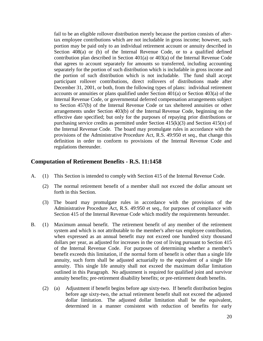fail to be an eligible rollover distribution merely because the portion consists of aftertax employee contributions which are not includable in gross income; however, such portion may be paid only to an individual retirement account or annuity described in Section 408(a) or (b) of the Internal Revenue Code, or to a qualified defined contribution plan described in Section 401(a) or 403(a) of the Internal Revenue Code that agrees to account separately for amounts so transferred, including accounting separately for the portion of such distribution which is includable in gross income and the portion of such distribution which is not includable. The fund shall accept participant rollover contributions, direct rollovers of distributions made after December 31, 2001, or both, from the following types of plans: individual retirement accounts or annuities or plans qualified under Section 401(a) or Section 403(a) of the Internal Revenue Code, or governmental deferred compensation arrangements subject to Section 457(b) of the Internal Revenue Code or tax sheltered annuities or other arrangements under Section 403(b) of the Internal Revenue Code, beginning on the effective date specified; but only for the purposes of repaying prior distributions or purchasing service credits as permitted under Section 415(k)(3) and Section 415(n) of the Internal Revenue Code. The board may promulgate rules in accordance with the provisions of the Administrative Procedure Act, R.S. 49:950 et seq., that change this definition in order to conform to provisions of the Internal Revenue Code and regulations thereunder.

#### <span id="page-27-0"></span>**Computation of Retirement Benefits - R.S. 11:1458**

- A. (1) This Section is intended to comply with Section 415 of the Internal Revenue Code.
	- (2) The normal retirement benefit of a member shall not exceed the dollar amount set forth in this Section.
	- (3) The board may promulgate rules in accordance with the provisions of the Administrative Procedure Act, R.S. 49:950 et seq., for purposes of compliance with Section 415 of the Internal Revenue Code which modify the requirements hereunder.
- B. (1) Maximum annual benefit. The retirement benefit of any member of the retirement system and which is not attributable to the member's after-tax employee contribution, when expressed as an annual benefit may not exceed one hundred sixty thousand dollars per year, as adjusted for increases in the cost of living pursuant to Section 415 of the Internal Revenue Code. For purposes of determining whether a member's benefit exceeds this limitation, if the normal form of benefit is other than a single life annuity, such form shall be adjusted actuarially to the equivalent of a single life annuity. This single life annuity shall not exceed the maximum dollar limitation outlined in this Paragraph. No adjustment is required for qualified joint and survivor annuity benefits; pre-retirement disability benefits; or pre-retirement death benefits.
	- (2) (a) Adjustment if benefit begins before age sixty-two. If benefit distribution begins before age sixty-two, the actual retirement benefit shall not exceed the adjusted dollar limitation. The adjusted dollar limitation shall be the equivalent, determined in a manner consistent with reduction of benefits for early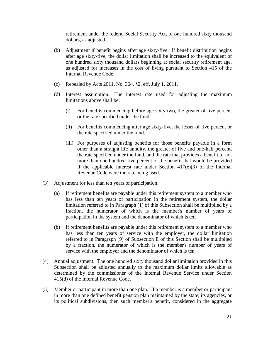retirement under the federal Social Security Act, of one hundred sixty thousand dollars, as adjusted.

- (b) Adjustment if benefit begins after age sixty-five. If benefit distribution begins after age sixty-five, the dollar limitation shall be increased to the equivalent of one hundred sixty thousand dollars beginning at social security retirement age, as adjusted for increases in the cost of living pursuant to Section 415 of the Internal Revenue Code.
- (c) Repealed by Acts 2011, No. 364, §2, eff. July 1, 2011.
- (d) Interest assumption. The interest rate used for adjusting the maximum limitations above shall be:
	- (i) For benefits commencing before age sixty-two, the greater of five percent or the rate specified under the fund.
	- (ii) For benefits commencing after age sixty-five, the lesser of five percent or the rate specified under the fund.
	- (iii) For purposes of adjusting benefits for those benefits payable in a form other than a straight life annuity, the greater of five and one-half percent, the rate specified under the fund, and the rate that provides a benefit of not more than one hundred five percent of the benefit that would be provided if the applicable interest rate under Section  $417(e)(3)$  of the Internal Revenue Code were the rate being used.
- (3) Adjustment for less than ten years of participation.
	- (a) If retirement benefits are payable under this retirement system to a member who has less than ten years of participation in the retirement system, the dollar limitation referred to in Paragraph (1) of this Subsection shall be multiplied by a fraction, the numerator of which is the member's number of years of participation in the system and the denominator of which is ten.
	- (b) If retirement benefits are payable under this retirement system to a member who has less than ten years of service with the employer, the dollar limitation referred to in Paragraph (9) of Subsection E of this Section shall be multiplied by a fraction, the numerator of which is the member's number of years of service with the employer and the denominator of which is ten.
- (4) Annual adjustment. The one hundred sixty thousand dollar limitation provided in this Subsection shall be adjusted annually to the maximum dollar limits allowable as determined by the commissioner of the Internal Revenue Service under Section 415(d) of the Internal Revenue Code.
- (5) Member or participant in more than one plan. If a member is a member or participant in more than one defined benefit pension plan maintained by the state, its agencies, or its political subdivisions, then such member's benefit, considered in the aggregate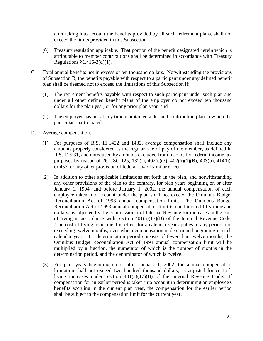after taking into account the benefits provided by all such retirement plans, shall not exceed the limits provided in this Subsection.

- (6) Treasury regulation applicable. That portion of the benefit designated herein which is attributable to member contributions shall be determined in accordance with Treasury Regulations §1.415-3(d)(1).
- C. Total annual benefits not in excess of ten thousand dollars. Notwithstanding the provisions of Subsection B, the benefits payable with respect to a participant under any defined benefit plan shall be deemed not to exceed the limitations of this Subsection if:
	- (1) The retirement benefits payable with respect to such participant under such plan and under all other defined benefit plans of the employer do not exceed ten thousand dollars for the plan year, or for any prior plan year, and
	- (2) The employer has not at any time maintained a defined contribution plan in which the participant participated.
- D. Average compensation.
	- (1) For purposes of R.S. 11:1422 and 1432, average compensation shall include any amounts properly considered as the regular rate of pay of the member, as defined in R.S. 11:231, and unreduced by amounts excluded from income for federal income tax purposes by reason of 26 USC 125, 132(f), 402(e)(3), 402(h)(1)(B), 403(b), 414(h), or 457, or any other provision of federal law of similar effect.
	- (2) In addition to other applicable limitations set forth in the plan, and notwithstanding any other provisions of the plan to the contrary, for plan years beginning on or after January 1, 1994, and before January 1, 2002, the annual compensation of each employee taken into account under the plan shall not exceed the Omnibus Budget Reconciliation Act of 1993 annual compensation limit. The Omnibus Budget Reconciliation Act of 1993 annual compensation limit is one hundred fifty thousand dollars, as adjusted by the commissioner of Internal Revenue for increases in the cost of living in accordance with Section 401(a)(17)(B) of the Internal Revenue Code. The cost-of-living adjustment in effect for a calendar year applies to any period, not exceeding twelve months, over which compensation is determined beginning in such calendar year. If a determination period consists of fewer than twelve months, the Omnibus Budget Reconciliation Act of 1993 annual compensation limit will be multiplied by a fraction, the numerator of which is the number of months in the determination period, and the denominator of which is twelve.
	- (3) For plan years beginning on or after January 1, 2002, the annual compensation limitation shall not exceed two hundred thousand dollars, as adjusted for cost-ofliving increases under Section  $401(a)(17)(B)$  of the Internal Revenue Code. If compensation for an earlier period is taken into account in determining an employee's benefits accruing in the current plan year, the compensation for the earlier period shall be subject to the compensation limit for the current year.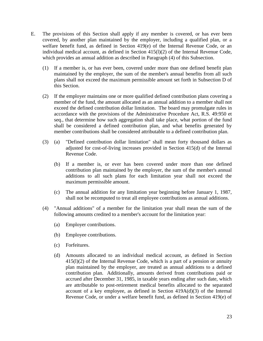- E. The provisions of this Section shall apply if any member is covered, or has ever been covered, by another plan maintained by the employer, including a qualified plan, or a welfare benefit fund, as defined in Section 419(e) of the Internal Revenue Code, or an individual medical account, as defined in Section 415(l)(2) of the Internal Revenue Code, which provides an annual addition as described in Paragraph (4) of this Subsection.
	- (1) If a member is, or has ever been, covered under more than one defined benefit plan maintained by the employer, the sum of the member's annual benefits from all such plans shall not exceed the maximum permissible amount set forth in Subsection D of this Section.
	- (2) If the employer maintains one or more qualified defined contribution plans covering a member of the fund, the amount allocated as an annual addition to a member shall not exceed the defined contribution dollar limitation. The board may promulgate rules in accordance with the provisions of the Administrative Procedure Act, R.S. 49:950 et seq., that determine how such aggregation shall take place, what portion of the fund shall be considered a defined contribution plan, and what benefits generated by member contributions shall be considered attributable to a defined contribution plan.
	- (3) (a) "Defined contribution dollar limitation" shall mean forty thousand dollars as adjusted for cost-of-living increases provided in Section 415(d) of the Internal Revenue Code.
		- (b) If a member is, or ever has been covered under more than one defined contribution plan maintained by the employer, the sum of the member's annual additions to all such plans for each limitation year shall not exceed the maximum permissible amount.
		- (c) The annual addition for any limitation year beginning before January 1, 1987, shall not be recomputed to treat all employee contributions as annual additions.
	- (4) "Annual additions" of a member for the limitation year shall mean the sum of the following amounts credited to a member's account for the limitation year:
		- (a) Employer contributions.
		- (b) Employee contributions.
		- (c) Forfeitures.
		- (d) Amounts allocated to an individual medical account, as defined in Section  $415(1)(2)$  of the Internal Revenue Code, which is a part of a pension or annuity plan maintained by the employer, are treated as annual additions to a defined contribution plan. Additionally, amounts derived from contributions paid or accrued after December 31, 1985, in taxable years ending after such date, which are attributable to post-retirement medical benefits allocated to the separated account of a key employee, as defined in Section  $419A(d)(3)$  of the Internal Revenue Code, or under a welfare benefit fund, as defined in Section 419(e) of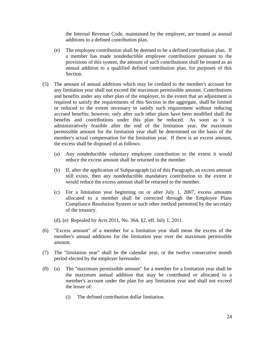the Internal Revenue Code, maintained by the employer, are treated as annual additions to a defined contribution plan.

- (e) The employee contribution shall be deemed to be a defined contribution plan. If a member has made nondeductible employee contributions pursuant to the provisions of this system, the amount of such contributions shall be treated as an annual addition to a qualified defined contribution plan, for purposes of this Section.
- (5) The amount of annual additions which may be credited to the member's account for any limitation year shall not exceed the maximum permissible amount. Contributions and benefits under any other plan of the employer, to the extent that an adjustment is required to satisfy the requirements of this Section in the aggregate, shall be limited or reduced to the extent necessary to satisfy such requirement without reducing accrued benefits; however, only after such other plans have been modified shall the benefits and contributions under this plan be reduced. As soon as it is administratively feasible after the end of the limitation year, the maximum permissible amount for the limitation year shall be determined on the basis of the member's actual compensation for the limitation year. If there is an excess amount, the excess shall be disposed of as follows:
	- (a) Any nondeductible voluntary employee contribution to the extent it would reduce the excess amount shall be returned to the member.
	- (b) If, after the application of Subparagraph (a) of this Paragraph, an excess amount still exists, then any nondeductible mandatory contribution to the extent it would reduce the excess amount shall be returned to the member.
	- (c) For a limitation year beginning on or after July 1, 2007, excess amounts allocated to a member shall be corrected through the Employee Plans Compliance Resolution System or such other method permitted by the secretary of the treasury.
	- (d), (e) Repealed by Acts 2011, No. 364, §2, eff. July 1, 2011.
- (6) "Excess amount" of a member for a limitation year shall mean the excess of the member's annual additions for the limitation year over the maximum permissible amount.
- (7) The "limitation year" shall be the calendar year, or the twelve consecutive month period elected by the employer hereunder.
- (8) (a) The "maximum permissible amount" for a member for a limitation year shall be the maximum annual addition that may be contributed or allocated to a member's account under the plan for any limitation year and shall not exceed the lesser of:
	- (i) The defined contribution dollar limitation.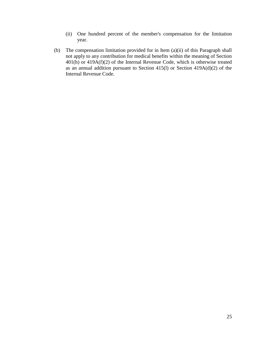- (ii) One hundred percent of the member's compensation for the limitation year.
- (b) The compensation limitation provided for in Item (a)(ii) of this Paragraph shall not apply to any contribution for medical benefits within the meaning of Section 401(h) or 419A(f)(2) of the Internal Revenue Code, which is otherwise treated as an annual addition pursuant to Section 415(l) or Section 419A(d)(2) of the Internal Revenue Code.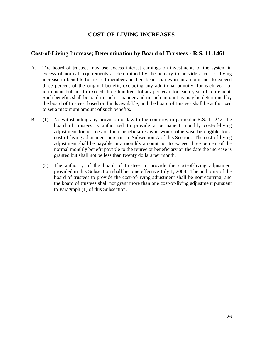## **COST-OF-LIVING INCREASES**

## <span id="page-33-1"></span><span id="page-33-0"></span>**Cost-of-Living Increase; Determination by Board of Trustees - R.S. 11:1461**

- A. The board of trustees may use excess interest earnings on investments of the system in excess of normal requirements as determined by the actuary to provide a cost-of-living increase in benefits for retired members or their beneficiaries in an amount not to exceed three percent of the original benefit, excluding any additional annuity, for each year of retirement but not to exceed three hundred dollars per year for each year of retirement. Such benefits shall be paid in such a manner and in such amount as may be determined by the board of trustees, based on funds available, and the board of trustees shall be authorized to set a maximum amount of such benefits.
- B. (1) Notwithstanding any provision of law to the contrary, in particular R.S. 11:242, the board of trustees is authorized to provide a permanent monthly cost-of-living adjustment for retirees or their beneficiaries who would otherwise be eligible for a cost-of-living adjustment pursuant to Subsection A of this Section. The cost-of-living adjustment shall be payable in a monthly amount not to exceed three percent of the normal monthly benefit payable to the retiree or beneficiary on the date the increase is granted but shall not be less than twenty dollars per month.
	- (2) The authority of the board of trustees to provide the cost-of-living adjustment provided in this Subsection shall become effective July 1, 2008. The authority of the board of trustees to provide the cost-of-living adjustment shall be nonrecurring, and the board of trustees shall not grant more than one cost-of-living adjustment pursuant to Paragraph (1) of this Subsection.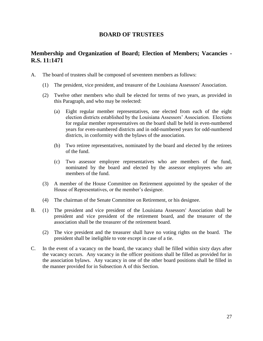#### **BOARD OF TRUSTEES**

## <span id="page-34-1"></span><span id="page-34-0"></span>**Membership and Organization of Board; Election of Members; Vacancies - R.S. 11:1471**

- A. The board of trustees shall be composed of seventeen members as follows:
	- (1) The president, vice president, and treasurer of the Louisiana Assessors' Association.
	- (2) Twelve other members who shall be elected for terms of two years, as provided in this Paragraph, and who may be reelected:
		- (a) Eight regular member representatives, one elected from each of the eight election districts established by the Louisiana Assessors' Association. Elections for regular member representatives on the board shall be held in even-numbered years for even-numbered districts and in odd-numbered years for odd-numbered districts, in conformity with the bylaws of the association.
		- (b) Two retiree representatives, nominated by the board and elected by the retirees of the fund.
		- (c) Two assessor employee representatives who are members of the fund, nominated by the board and elected by the assessor employees who are members of the fund.
	- (3) A member of the House Committee on Retirement appointed by the speaker of the House of Representatives, or the member's designee.
	- (4) The chairman of the Senate Committee on Retirement, or his designee.
- B. (1) The president and vice president of the Louisiana Assessors' Association shall be president and vice president of the retirement board, and the treasurer of the association shall be the treasurer of the retirement board.
	- (2) The vice president and the treasurer shall have no voting rights on the board. The president shall be ineligible to vote except in case of a tie.
- C. In the event of a vacancy on the board, the vacancy shall be filled within sixty days after the vacancy occurs. Any vacancy in the officer positions shall be filled as provided for in the association bylaws. Any vacancy in one of the other board positions shall be filled in the manner provided for in Subsection A of this Section.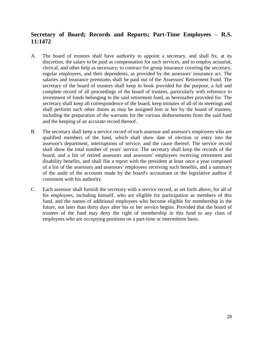## <span id="page-35-0"></span>**Secretary of Board; Records and Reports; Part-Time Employees – R.S. 11:1472**

- A. The board of trustees shall have authority to appoint a secretary, and shall fix, at its discretion, the salary to be paid as compensation for such services, and to employ actuarial, clerical, and other help as necessary; to contract for group insurance covering the secretary, regular employees, and their dependents, as provided by the assessors' insurance act. The salaries and insurance premiums shall be paid out of the Assessors' Retirement Fund. The secretary of the board of trustees shall keep in book provided for the purpose, a full and complete record of all proceedings of the board of trustees, particularly with reference to investment of funds belonging to the said retirement fund, as hereinafter provided for. The secretary shall keep all correspondence of the board, keep minutes of all of its meetings and shall perform such other duties as may be assigned him or her by the board of trustees, including the preparation of the warrants for the various disbursements from the said fund and the keeping of an accurate record thereof.
- B. The secretary shall keep a service record of each assessor and assessor's employees who are qualified members of the fund, which shall show date of election or entry into the assessor's department, interruptions of service, and the cause thereof. The service record shall show the total number of years' service. The secretary shall keep the records of the board, and a list of retired assessors and assessors' employees receiving retirement and disability benefits, and shall file a report with the president at least once a year composed of a list of the assessors and assessors' employees receiving such benefits, and a summary of the audit of the accounts made by the board's accountant or the legislative auditor if consistent with his authority.
- C. Each assessor shall furnish the secretary with a service record, as set forth above, for all of his employees, including himself, who are eligible for participation as members of this fund, and the names of additional employees who become eligible for membership in the future, not later than thirty days after his or her service begins. Provided that the board of trustees of the fund may deny the right of membership in this fund to any class of employees who are occupying positions on a part-time or intermittent basis.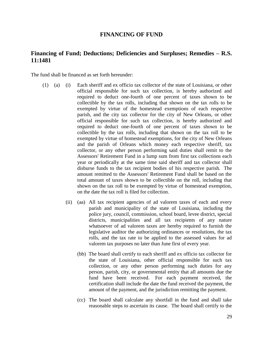#### **FINANCING OF FUND**

### **Financing of Fund; Deductions; Deficiencies and Surpluses; Remedies – R.S. 11:1481**

The fund shall be financed as set forth hereunder:

- (1) (a) (i) Each sheriff and ex officio tax collector of the state of Louisiana, or other official responsible for such tax collection, is hereby authorized and required to deduct one-fourth of one percent of taxes shown to be collectible by the tax rolls, including that shown on the tax rolls to be exempted by virtue of the homestead exemptions of each respective parish, and the city tax collector for the city of New Orleans, or other official responsible for such tax collection, is hereby authorized and required to deduct one-fourth of one percent of taxes shown to be collectible by the tax rolls, including that shown on the tax roll to be exempted by virtue of homestead exemptions, for the city of New Orleans and the parish of Orleans which money each respective sheriff, tax collector, or any other person performing said duties shall remit to the Assessors' Retirement Fund in a lump sum from first tax collections each year or periodically at the same time said sheriff and tax collector shall disburse funds to the tax recipient bodies of his respective parish. The amount remitted to the Assessors' Retirement Fund shall be based on the total amount of taxes shown to be collectible on the roll, including that shown on the tax roll to be exempted by virtue of homestead exemption, on the date the tax roll is filed for collection.
	- (ii) (aa) All tax recipient agencies of ad valorem taxes of each and every parish and municipality of the state of Louisiana, including the police jury, council, commission, school board, levee district, special districts, municipalities and all tax recipients of any nature whatsoever of ad valorem taxes are hereby required to furnish the legislative auditor the authorizing ordinances or resolutions, the tax rolls, and the tax rate to be applied to the assessed values for ad valorem tax purposes no later than June first of every year.
		- (bb) The board shall certify to each sheriff and ex officio tax collector for the state of Louisiana, other official responsible for such tax collection, or any other person performing such duties for any person, parish, city, or governmental entity that all amounts due the fund have been received. For each payment received, the certification shall include the date the fund received the payment, the amount of the payment, and the jurisdiction remitting the payment.
		- (cc) The board shall calculate any shortfall in the fund and shall take reasonable steps to ascertain its cause. The board shall certify to the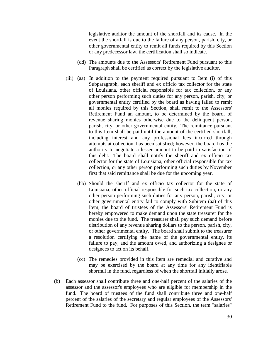legislative auditor the amount of the shortfall and its cause. In the event the shortfall is due to the failure of any person, parish, city, or other governmental entity to remit all funds required by this Section or any predecessor law, the certification shall so indicate.

- (dd) The amounts due to the Assessors' Retirement Fund pursuant to this Paragraph shall be certified as correct by the legislative auditor.
- (iii) (aa) In addition to the payment required pursuant to Item (i) of this Subparagraph, each sheriff and ex officio tax collector for the state of Louisiana, other official responsible for tax collection, or any other person performing such duties for any person, parish, city, or governmental entity certified by the board as having failed to remit all monies required by this Section, shall remit to the Assessors' Retirement Fund an amount, to be determined by the board, of revenue sharing monies otherwise due to the delinquent person, parish, city, or other governmental entity. The remittance pursuant to this Item shall be paid until the amount of the certified shortfall, including interest and any professional fees incurred through attempts at collection, has been satisfied; however, the board has the authority to negotiate a lesser amount to be paid in satisfaction of this debt. The board shall notify the sheriff and ex officio tax collector for the state of Louisiana, other official responsible for tax collection, or any other person performing such duties by November first that said remittance shall be due for the upcoming year.
	- (bb) Should the sheriff and ex officio tax collector for the state of Louisiana, other official responsible for such tax collection, or any other person performing such duties for any person, parish, city, or other governmental entity fail to comply with Subitem (aa) of this Item, the board of trustees of the Assessors' Retirement Fund is hereby empowered to make demand upon the state treasurer for the monies due to the fund. The treasurer shall pay such demand before distribution of any revenue sharing dollars to the person, parish, city, or other governmental entity. The board shall submit to the treasurer a resolution certifying the name of the governmental entity, its failure to pay, and the amount owed, and authorizing a designee or designees to act on its behalf.
	- (cc) The remedies provided in this Item are remedial and curative and may be exercised by the board at any time for any identifiable shortfall in the fund, regardless of when the shortfall initially arose.
- (b) Each assessor shall contribute three and one-half percent of the salaries of the assessor and the assessor's employees who are eligible for membership in the fund. The board of trustees of the fund shall contribute three and one-half percent of the salaries of the secretary and regular employees of the Assessors' Retirement Fund to the fund. For purposes of this Section, the term "salaries"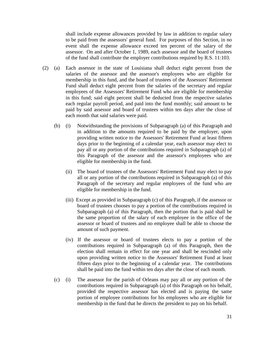shall include expense allowances provided by law in addition to regular salary to be paid from the assessors' general fund. For purposes of this Section, in no event shall the expense allowance exceed ten percent of the salary of the assessor. On and after October 1, 1989, each assessor and the board of trustees of the fund shall contribute the employer contributions required by R.S. 11:103.

- (2) (a) Each assessor in the state of Louisiana shall deduct eight percent from the salaries of the assessor and the assessor's employees who are eligible for membership in this fund, and the board of trustees of the Assessors' Retirement Fund shall deduct eight percent from the salaries of the secretary and regular employees of the Assessors' Retirement Fund who are eligible for membership in this fund; said eight percent shall be deducted from the respective salaries each regular payroll period, and paid into the fund monthly; said amount to be paid by said assessor and board of trustees within ten days after the close of each month that said salaries were paid.
	- (b) (i) Notwithstanding the provisions of Subparagraph (a) of this Paragraph and in addition to the amounts required to be paid by the employer, upon providing written notice to the Assessors' Retirement Fund at least fifteen days prior to the beginning of a calendar year, each assessor may elect to pay all or any portion of the contributions required in Subparagraph (a) of this Paragraph of the assessor and the assessor's employees who are eligible for membership in the fund.
		- (ii) The board of trustees of the Assessors' Retirement Fund may elect to pay all or any portion of the contributions required in Subparagraph (a) of this Paragraph of the secretary and regular employees of the fund who are eligible for membership in the fund.
		- (iii) Except as provided in Subparagraph (c) of this Paragraph, if the assessor or board of trustees chooses to pay a portion of the contributions required in Subparagraph (a) of this Paragraph, then the portion that is paid shall be the same proportion of the salary of each employee in the office of the assessor or board of trustees and no employee shall be able to choose the amount of such payment.
		- (iv) If the assessor or board of trustees elects to pay a portion of the contributions required in Subparagraph (a) of this Paragraph, then the election shall remain in effect for one year and shall be rescinded only upon providing written notice to the Assessors' Retirement Fund at least fifteen days prior to the beginning of a calendar year. The contributions shall be paid into the fund within ten days after the close of each month.
	- (c) (i) The assessor for the parish of Orleans may pay all or any portion of the contributions required in Subparagraph (a) of this Paragraph on his behalf, provided the respective assessor has elected and is paying the same portion of employee contributions for his employees who are eligible for membership in the fund that he directs the president to pay on his behalf.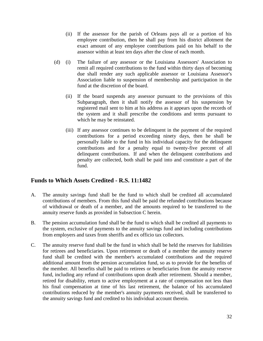- (ii) If the assessor for the parish of Orleans pays all or a portion of his employee contribution, then he shall pay from his district allotment the exact amount of any employee contributions paid on his behalf to the assessor within at least ten days after the close of each month.
- (d) (i) The failure of any assessor or the Louisiana Assessors' Association to remit all required contributions to the fund within thirty days of becoming due shall render any such applicable assessor or Louisiana Assessor's Association liable to suspension of membership and participation in the fund at the discretion of the board.
	- (ii) If the board suspends any assessor pursuant to the provisions of this Subparagraph, then it shall notify the assessor of his suspension by registered mail sent to him at his address as it appears upon the records of the system and it shall prescribe the conditions and terms pursuant to which he may be reinstated.
	- (iii) If any assessor continues to be delinquent in the payment of the required contributions for a period exceeding ninety days, then he shall be personally liable to the fund in his individual capacity for the delinquent contributions and for a penalty equal to twenty-five percent of all delinquent contributions. If and when the delinquent contributions and penalty are collected, both shall be paid into and constitute a part of the fund.

# **Funds to Which Assets Credited - R.S. 11:1482**

- A. The annuity savings fund shall be the fund to which shall be credited all accumulated contributions of members. From this fund shall be paid the refunded contributions because of withdrawal or death of a member, and the amounts required to be transferred to the annuity reserve funds as provided in Subsection C herein.
- B. The pension accumulation fund shall be the fund to which shall be credited all payments to the system, exclusive of payments to the annuity savings fund and including contributions from employers and taxes from sheriffs and ex officio tax collectors.
- C. The annuity reserve fund shall be the fund in which shall be held the reserves for liabilities for retirees and beneficiaries. Upon retirement or death of a member the annuity reserve fund shall be credited with the member's accumulated contributions and the required additional amount from the pension accumulation fund, so as to provide for the benefits of the member. All benefits shall be paid to retirees or beneficiaries from the annuity reserve fund, including any refund of contributions upon death after retirement. Should a member, retired for disability, return to active employment at a rate of compensation not less than his final compensation at time of his last retirement, the balance of his accumulated contributions reduced by the member's annuity payments received, shall be transferred to the annuity savings fund and credited to his individual account therein.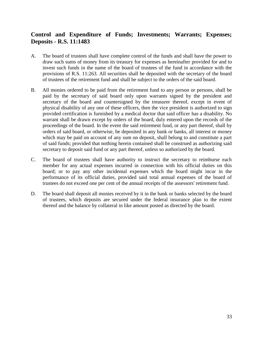# **Control and Expenditure of Funds; Investments; Warrants; Expenses; Deposits - R.S. 11:1483**

- A. The board of trustees shall have complete control of the funds and shall have the power to draw such sums of money from its treasury for expenses as hereinafter provided for and to invest such funds in the name of the board of trustees of the fund in accordance with the provisions of R.S. 11:263. All securities shall be deposited with the secretary of the board of trustees of the retirement fund and shall be subject to the orders of the said board.
- B. All monies ordered to be paid from the retirement fund to any person or persons, shall be paid by the secretary of said board only upon warrants signed by the president and secretary of the board and countersigned by the treasurer thereof, except in event of physical disability of any one of these officers, then the vice president is authorized to sign provided certification is furnished by a medical doctor that said officer has a disability. No warrant shall be drawn except by orders of the board, duly entered upon the records of the proceedings of the board. In the event the said retirement fund, or any part thereof, shall by orders of said board, or otherwise, be deposited in any bank or banks, all interest or money which may be paid on account of any sum on deposit, shall belong to and constitute a part of said funds; provided that nothing herein contained shall be construed as authorizing said secretary to deposit said fund or any part thereof, unless so authorized by the board.
- C. The board of trustees shall have authority to instruct the secretary to reimburse each member for any actual expenses incurred in connection with his official duties on this board; or to pay any other incidental expenses which the board might incur in the performance of its official duties, provided said total annual expenses of the board of trustees do not exceed one per cent of the annual receipts of the assessors' retirement fund.
- D. The board shall deposit all monies received by it in the bank or banks selected by the board of trustees, which deposits are secured under the federal insurance plan to the extent thereof and the balance by collateral in like amount posted as directed by the board.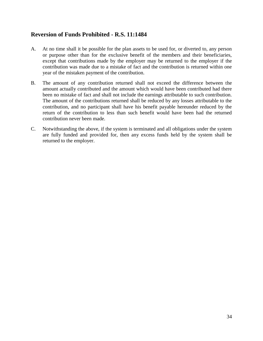# **Reversion of Funds Prohibited - R.S. 11:1484**

- A. At no time shall it be possible for the plan assets to be used for, or diverted to, any person or purpose other than for the exclusive benefit of the members and their beneficiaries, except that contributions made by the employer may be returned to the employer if the contribution was made due to a mistake of fact and the contribution is returned within one year of the mistaken payment of the contribution.
- B. The amount of any contribution returned shall not exceed the difference between the amount actually contributed and the amount which would have been contributed had there been no mistake of fact and shall not include the earnings attributable to such contribution. The amount of the contributions returned shall be reduced by any losses attributable to the contribution, and no participant shall have his benefit payable hereunder reduced by the return of the contribution to less than such benefit would have been had the returned contribution never been made.
- C. Notwithstanding the above, if the system is terminated and all obligations under the system are fully funded and provided for, then any excess funds held by the system shall be returned to the employer.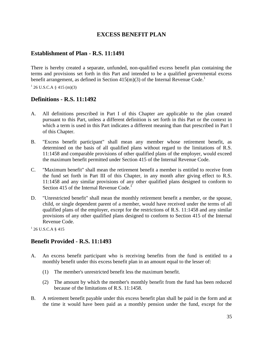### **EXCESS BENEFIT PLAN**

### **Establishment of Plan - R.S. 11:1491**

There is hereby created a separate, unfunded, non-qualified excess benefit plan containing the terms and provisions set forth in this Part and intended to be a qualified governmental excess benefit arrangement, as defined in Section 415(m)(3) of the Internal Revenue Code.<sup>1</sup>

 $126$  U.S.C.A § 415 (m)(3)

### **Definitions - R.S. 11:1492**

- A. All definitions prescribed in Part I of this Chapter are applicable to the plan created pursuant to this Part, unless a different definition is set forth in this Part or the context in which a term is used in this Part indicates a different meaning than that prescribed in Part I of this Chapter.
- B. "Excess benefit participant" shall mean any member whose retirement benefit, as determined on the basis of all qualified plans without regard to the limitations of R.S. 11:1458 and comparable provisions of other qualified plans of the employer, would exceed the maximum benefit permitted under Section 415 of the Internal Revenue Code.
- C. "Maximum benefit" shall mean the retirement benefit a member is entitled to receive from the fund set forth in Part III of this Chapter, in any month after giving effect to R.S. 11:1458 and any similar provisions of any other qualified plans designed to conform to Section 415 of the Internal Revenue Code.<sup>1</sup>
- D. "Unrestricted benefit" shall mean the monthly retirement benefit a member, or the spouse, child, or single dependent parent of a member, would have received under the terms of all qualified plans of the employer, except for the restrictions of R.S. 11:1458 and any similar provisions of any other qualified plans designed to conform to Section 415 of the Internal Revenue Code.

 $1$  26 U.S.C.A § 415

#### **Benefit Provided - R.S. 11:1493**

- A. An excess benefit participant who is receiving benefits from the fund is entitled to a monthly benefit under this excess benefit plan in an amount equal to the lesser of:
	- (1) The member's unrestricted benefit less the maximum benefit.
	- (2) The amount by which the member's monthly benefit from the fund has been reduced because of the limitations of R.S. 11:1458.
- B. A retirement benefit payable under this excess benefit plan shall be paid in the form and at the time it would have been paid as a monthly pension under the fund, except for the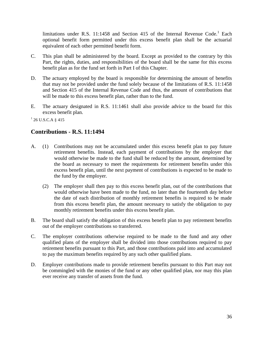limitations under R.S. 11:1458 and Section 415 of the Internal Revenue Code.<sup>1</sup> Each optional benefit form permitted under this excess benefit plan shall be the actuarial equivalent of each other permitted benefit form.

- C. This plan shall be administered by the board. Except as provided to the contrary by this Part, the rights, duties, and responsibilities of the board shall be the same for this excess benefit plan as for the fund set forth in Part I of this Chapter.
- D. The actuary employed by the board is responsible for determining the amount of benefits that may not be provided under the fund solely because of the limitations of R.S. 11:1458 and Section 415 of the Internal Revenue Code and thus, the amount of contributions that will be made to this excess benefit plan, rather than to the fund.
- E. The actuary designated in R.S. 11:1461 shall also provide advice to the board for this excess benefit plan.

 $1$  26 U.S.C.A § 415

### **Contributions - R.S. 11:1494**

- A. (1) Contributions may not be accumulated under this excess benefit plan to pay future retirement benefits. Instead, each payment of contributions by the employer that would otherwise be made to the fund shall be reduced by the amount, determined by the board as necessary to meet the requirements for retirement benefits under this excess benefit plan, until the next payment of contributions is expected to be made to the fund by the employer.
	- (2) The employer shall then pay to this excess benefit plan, out of the contributions that would otherwise have been made to the fund, no later than the fourteenth day before the date of each distribution of monthly retirement benefits is required to be made from this excess benefit plan, the amount necessary to satisfy the obligation to pay monthly retirement benefits under this excess benefit plan.
- B. The board shall satisfy the obligation of this excess benefit plan to pay retirement benefits out of the employer contributions so transferred.
- C. The employer contributions otherwise required to be made to the fund and any other qualified plans of the employer shall be divided into those contributions required to pay retirement benefits pursuant to this Part, and those contributions paid into and accumulated to pay the maximum benefits required by any such other qualified plans.
- D. Employer contributions made to provide retirement benefits pursuant to this Part may not be commingled with the monies of the fund or any other qualified plan, nor may this plan ever receive any transfer of assets from the fund.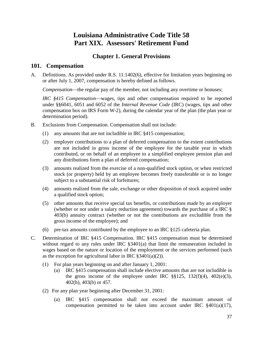# **Louisiana Administrative Code Title 58 Part XIX. Assessors' Retirement Fund**

# **Chapter 1. General Provisions**

### **101. Compensation**

A. Definitions. As provided under R.S. 11:1402(6), effective for limitation years beginning on or after July 1, 2007, compensation is hereby defined as follows.

*Compensation*—the regular pay of the member, not including any overtime or bonuses;

*IRC §415 Compensation*—wages, tips and other compensation required to be reported under §§6041, 6051 and 6052 of the *Internal Revenue Code* (IRC) (wages, tips and other compensation box on IRS Form W-2), during the calendar year of the plan (the plan year or determination period).

- B. Exclusions from Compensation. Compensation shall not include:
	- (1) any amounts that are not includible in IRC §415 compensation;
	- (2) employer contributions to a plan of deferred compensation to the extent contributions are not included in gross income of the employee for the taxable year in which contributed, or on behalf of an employee to a simplified employee pension plan and any distributions form a plan of deferred compensation;
	- (3) amounts realized from the exercise of a non-qualified stock option, or when restricted stock (or property) held by an employee becomes freely transferable or is no longer subject to a substantial risk of forfeitures;
	- (4) amounts realized from the sale, exchange or other disposition of stock acquired under a qualified stock option;
	- (5) other amounts that receive special tax benefits, or contributions made by an employer (whether or not under a salary reduction agreement) towards the purchase of a IRC § 403(b) annuity contract (whether or not the contributions are excludible from the gross income of the employee); and
	- (6) pre-tax amounts contributed by the employee to an IRC §125 cafeteria plan.
- C. Determination of IRC §415 Compensation. IRC §415 compensation must be determined without regard to any rules under IRC §3401(a) that limit the remuneration included in wages based on the nature or location of the employment or the services performed (such as the exception for agricultural labor in IRC  $\S 3401(a)(2)$ ).
	- (1) For plan years beginning on and after January 1, 2001:
		- (a) IRC §415 compensation shall include elective amounts that are not includible in the gross income of the employee under IRC  $\S$ §125, 132(f)(4), 402(e)(3), 402(h), 403(b) or 457.
	- (2) For any plan year beginning after December 31, 2001:
		- (a) IRC §415 compensation shall not exceed the maximum amount of compensation permitted to be taken into account under IRC §401(a)(17),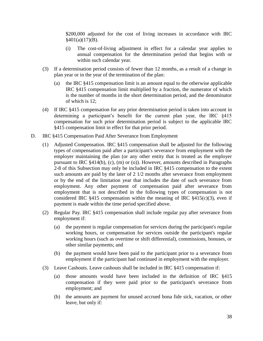\$200,000 adjusted for the cost of living increases in accordance with IRC  $§401(a)(17)(B).$ 

- (i) The cost-of-living adjustment in effect for a calendar year applies to annual compensation for the determination period that begins with or within such calendar year.
- (3) If a determination period consists of fewer than 12 months, as a result of a change in plan year or in the year of the termination of the plan:
	- (a) the IRC §415 compensation limit is an amount equal to the otherwise applicable IRC §415 compensation limit multiplied by a fraction, the numerator of which is the number of months in the short determination period, and the denominator of which is 12;
- (4) If IRC §415 compensation for any prior determination period is taken into account in determining a participant's benefit for the current plan year, the IRC §415 compensation for such prior determination period is subject to the applicable IRC §415 compensation limit in effect for that prior period.
- D. IRC §415 Compensation Paid After Severance from Employment
	- (1) Adjusted Compensation. IRC §415 compensation shall be adjusted for the following types of compensation paid after a participant's severance from employment with the employer maintaining the plan (or any other entity that is treated as the employer pursuant to IRC §414(b), (c), (m) or (o)). However, amounts described in Paragraphs 2-8 of this Subsection may only be included in IRC §415 compensation to the extent such amounts are paid by the later of 2 1/2 months after severance from employment or by the end of the limitation year that includes the date of such severance from employment. Any other payment of compensation paid after severance from employment that is not described in the following types of compensation is not considered IRC  $§415$  compensation within the meaning of IRC  $§415(c)(3)$ , even if payment is made within the time period specified above.
	- (2) Regular Pay. IRC §415 compensation shall include regular pay after severance from employment if:
		- (a) the payment is regular compensation for services during the participant's regular working hours, or compensation for services outside the participant's regular working hours (such as overtime or shift differential), commissions, bonuses, or other similar payments; and
		- (b) the payment would have been paid to the participant prior to a severance from employment if the participant had continued in employment with the employer.
	- (3) Leave Cashouts. Leave cashouts shall be included in IRC §415 compensation if:
		- (a) those amounts would have been included in the definition of IRC §415 compensation if they were paid prior to the participant's severance from employment; and
		- (b) the amounts are payment for unused accrued bona fide sick, vacation, or other leave, but only if: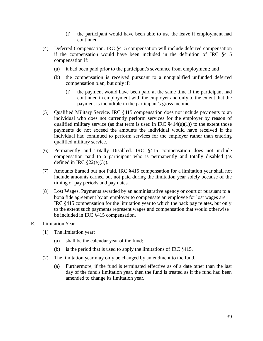- (i) the participant would have been able to use the leave if employment had continued.
- (4) Deferred Compensation. IRC §415 compensation will include deferred compensation if the compensation would have been included in the definition of IRC §415 compensation if:
	- (a) it had been paid prior to the participant's severance from employment; and
	- (b) the compensation is received pursuant to a nonqualified unfunded deferred compensation plan, but only if:
		- (i) the payment would have been paid at the same time if the participant had continued in employment with the employer and only to the extent that the payment is includible in the participant's gross income.
- (5) Qualified Military Service. IRC §415 compensation does not include payments to an individual who does not currently perform services for the employer by reason of qualified military service (as that term is used in IRC  $§414(u)(1)$ ) to the extent those payments do not exceed the amounts the individual would have received if the individual had continued to perform services for the employer rather than entering qualified military service.
- (6) Permanently and Totally Disabled. IRC §415 compensation does not include compensation paid to a participant who is permanently and totally disabled (as defined in IRC  $\S22(e)(3)$ ).
- (7) Amounts Earned but not Paid. IRC §415 compensation for a limitation year shall not include amounts earned but not paid during the limitation year solely because of the timing of pay periods and pay dates.
- (8) Lost Wages. Payments awarded by an administrative agency or court or pursuant to a bona fide agreement by an employer to compensate an employee for lost wages are IRC §415 compensation for the limitation year to which the back pay relates, but only to the extent such payments represent wages and compensation that would otherwise be included in IRC §415 compensation.
- E. Limitation Year
	- (1) The limitation year:
		- (a) shall be the calendar year of the fund;
		- (b) is the period that is used to apply the limitations of IRC §415.
	- (2) The limitation year may only be changed by amendment to the fund.
		- (a) Furthermore, if the fund is terminated effective as of a date other than the last day of the fund's limitation year, then the fund is treated as if the fund had been amended to change its limitation year.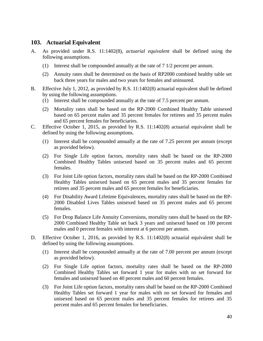### **103. Actuarial Equivalent**

- A. As provided under R.S. 11:1402(8), *actuarial equivalent* shall be defined using the following assumptions.
	- (1) Interest shall be compounded annually at the rate of 7 1/2 percent per annum.
	- (2) Annuity rates shall be determined on the basis of RP2000 combined healthy table set back three years for males and two years for females and uninsured.
- B. Effective July 1, 2012, as provided by R.S. 11:1402(8) actuarial equivalent shall be defined by using the following assumptions.
	- (1) Interest shall be compounded annually at the rate of 7.5 percent per annum.
	- (2) Mortality rates shall be based on the RP-2000 Combined Healthy Table unisexed based on 65 percent males and 35 percent females for retirees and 35 percent males and 65 percent females for beneficiaries.
- C. Effective October 1, 2015, as provided by R.S. 11:1402(8) actuarial equivalent shall be defined by using the following assumptions.
	- (1) Interest shall be compounded annually at the rate of 7.25 percent per annum (except as provided below).
	- (2) For Single Life option factors, mortality rates shall be based on the RP-2000 Combined Healthy Tables unisexed based on 35 percent males and 65 percent females.
	- (3) For Joint Life option factors, mortality rates shall be based on the RP-2000 Combined Healthy Tables unisexed based on 65 percent males and 35 percent females for retirees and 35 percent males and 65 percent females for beneficiaries.
	- (4) For Disability Award Lifetime Equivalences, mortality rates shall be based on the RP-2000 Disabled Lives Tables unisexed based on 35 percent males and 65 percent females.
	- (5) For Drop Balance Life Annuity Conversions, mortality rates shall be based on the RP-2000 Combined Healthy Table set back 3 years and unisexed based on 100 percent males and 0 percent females with interest at 6 percent per annum.
- D. Effective October 1, 2016, as provided by R.S. 11:1402(8) actuarial equivalent shall be defined by using the following assumptions.
	- (1) Interest shall be compounded annually at the rate of 7.00 percent per annum (except as provided below).
	- (2) For Single Life option factors, mortality rates shall be based on the RP-2000 Combined Healthy Tables set forward 1 year for males with no set forward for females and unisexed based on 40 percent males and 60 percent females.
	- (3) For Joint Life option factors, mortality rates shall be based on the RP-2000 Combined Healthy Tables set forward 1 year for males with no set forward for females and unisexed based on 65 percent males and 35 percent females for retirees and 35 percent males and 65 percent females for beneficiaries.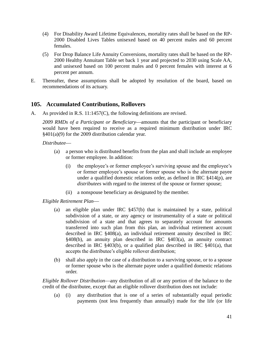- (4) For Disability Award Lifetime Equivalences, mortality rates shall be based on the RP-2000 Disabled Lives Tables unisexed based on 40 percent males and 60 percent females.
- (5) For Drop Balance Life Annuity Conversions, mortality rates shall be based on the RP-2000 Healthy Annuitant Table set back 1 year and projected to 2030 using Scale AA, and unisexed based on 100 percent males and 0 percent females with interest at 6 percent per annum.
- E. Thereafter, these assumptions shall be adopted by resolution of the board, based on recommendations of its actuary.

#### **105. Accumulated Contributions, Rollovers**

A. As provided in R.S. 11:1457(C), the following definitions are revised.

2009 RMDs of a Participant or Beneficiary—amounts that the participant or beneficiary would have been required to receive as a required minimum distribution under IRC §401(a)(9) for the 2009 distribution calendar year.

*Distributee*

- (a) a person who is distributed benefits from the plan and shall include an employee or former employee. In addition:
	- (i) the employee's or former employee's surviving spouse and the employee's or former employee's spouse or former spouse who is the alternate payee under a qualified domestic relations order, as defined in IRC §414(p), are *distributees* with regard to the interest of the spouse or former spouse;
	- (ii) a nonspouse beneficiary as designated by the member.

*Eligible Retirement Plan*

- (a) an eligible plan under IRC §457(b) that is maintained by a state, political subdivision of a state, or any agency or instrumentality of a state or political subdivision of a state and that agrees to separately account for amounts transferred into such plan from this plan, an individual retirement account described in IRC §408(a), an individual retirement annuity described in IRC §408(b), an annuity plan described in IRC §403(a), an annuity contract described in IRC §403(b), or a qualified plan described in IRC §401(a), that accepts the distributee's eligible rollover distribution;
- (b) shall also apply in the case of a distribution to a surviving spouse, or to a spouse or former spouse who is the alternate payee under a qualified domestic relations order.

*Eligible Rollover Distribution*—any distribution of all or any portion of the balance to the credit of the distributee, except that an eligible rollover distribution does not include:

(a) (i) any distribution that is one of a series of substantially equal periodic payments (not less frequently than annually) made for the life (or life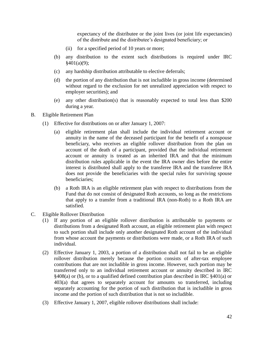expectancy of the distributee or the joint lives (or joint life expectancies) of the distribute and the distributee's designated beneficiary; or

- (ii) for a specified period of 10 years or more;
- (b) any distribution to the extent such distributions is required under IRC  $§401(a)(9);$
- (c) any hardship distribution attributable to elective deferrals;
- (d) the portion of any distribution that is not includible in gross income (determined without regard to the exclusion for net unrealized appreciation with respect to employer securities); and
- (e) any other distribution(s) that is reasonably expected to total less than \$200 during a year.
- B. Eligible Retirement Plan
	- (1) Effective for distributions on or after January 1, 2007:
		- (a) eligible retirement plan shall include the individual retirement account or annuity in the name of the deceased participant for the benefit of a nonspouse beneficiary, who receives an eligible rollover distribution from the plan on account of the death of a participant, provided that the individual retirement account or annuity is treated as an inherited IRA and that the minimum distribution rules applicable in the event the IRA owner dies before the entire interest is distributed shall apply to the transferee IRA and the transferee IRA does not provide the beneficiaries with the special rules for surviving spouse beneficiaries;
		- (b) a Roth IRA is an eligible retirement plan with respect to distributions from the Fund that do not consist of designated Roth accounts, so long as the restrictions that apply to a transfer from a traditional IRA (non-Roth) to a Roth IRA are satisfied.
- C. Eligible Rollover Distribution
	- (1) If any portion of an eligible rollover distribution is attributable to payments or distributions from a designated Roth account, an eligible retirement plan with respect to such portion shall include only another designated Roth account of the individual from whose account the payments or distributions were made, or a Roth IRA of such individual.
	- (2) Effective January 1, 2003, a portion of a distribution shall not fail to be an eligible rollover distribution merely because the portion consists of after-tax employee contributions that are not includible in gross income. However, such portion may be transferred only to an individual retirement account or annuity described in IRC §408(a) or (b), or to a qualified defined contribution plan described in IRC §401(a) or 403(a) that agrees to separately account for amounts so transferred, including separately accounting for the portion of such distribution that is includible in gross income and the portion of such distribution that is not so includible.
	- (3) Effective January 1, 2007, eligible rollover distributions shall include: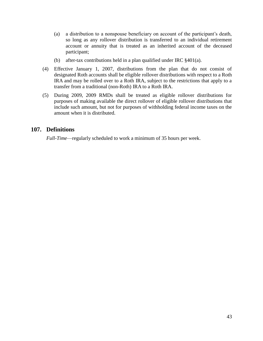- (a) a distribution to a nonspouse beneficiary on account of the participant's death, so long as any rollover distribution is transferred to an individual retirement account or annuity that is treated as an inherited account of the deceased participant;
- (b) after-tax contributions held in a plan qualified under IRC §401(a).
- (4) Effective January 1, 2007, distributions from the plan that do not consist of designated Roth accounts shall be eligible rollover distributions with respect to a Roth IRA and may be rolled over to a Roth IRA, subject to the restrictions that apply to a transfer from a traditional (non-Roth) IRA to a Roth IRA.
- (5) During 2009, 2009 RMDs shall be treated as eligible rollover distributions for purposes of making available the direct rollover of eligible rollover distributions that include such amount, but not for purposes of withholding federal income taxes on the amount when it is distributed.

### **107. Definitions**

*Full-Time*—regularly scheduled to work a minimum of 35 hours per week.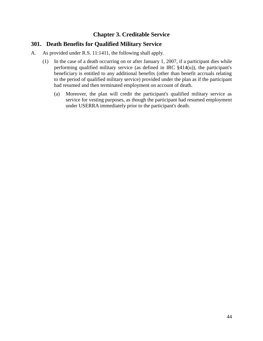# **Chapter 3. Creditable Service**

# **301. Death Benefits for Qualified Military Service**

- A. As provided under R.S. 11:1411, the following shall apply.
	- (1) In the case of a death occurring on or after January 1, 2007, if a participant dies while performing qualified military service (as defined in IRC  $§414(u)$ ), the participant's beneficiary is entitled to any additional benefits (other than benefit accruals relating to the period of qualified military service) provided under the plan as if the participant had resumed and then terminated employment on account of death.
		- (a) Moreover, the plan will credit the participant's qualified military service as service for vesting purposes, as though the participant had resumed employment under USERRA immediately prior to the participant's death.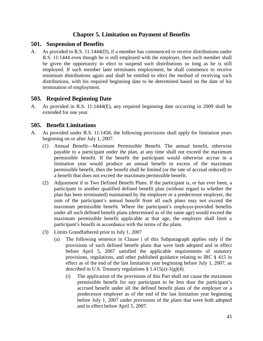# **Chapter 5. Limitation on Payment of Benefits**

#### **501. Suspension of Benefits**

A. As provided in R.S. 11:1444(D), if a member has commenced to receive distributions under R.S. 11:1444 even though he is still employed with the employer, then such member shall be given the opportunity to elect to suspend such distributions so long as he is still employed. If such member later terminates employment, he shall commence to receive minimum distributions again and shall be entitled to elect the method of receiving such distributions, with his required beginning date to be determined based on the date of his termination of employment.

#### **503. Required Beginning Date**

A. As provided in R.S. 11:1444(E), any required beginning date occurring in 2009 shall be extended for one year.

#### **505. Benefit Limitations**

- A. As provided under R.S. 11:1458, the following provisions shall apply for limitation years beginning on or after July 1, 2007.
	- $(1)$  Annual Benefit—Maximum Permissible Benefit. The annual benefit, otherwise payable to a participant under the plan, at any time shall not exceed the maximum permissible benefit. If the benefit the participant would otherwise accrue in a limitation year would produce an annual benefit in excess of the maximum permissible benefit, then the benefit shall be limited (or the rate of accrual reduced) to a benefit that does not exceed the maximum permissible benefit.
	- (2) Adjustment if in Two Defined Benefit Plans. If the participant is, or has ever been, a participant in another qualified defined benefit plan (without regard to whether the plan has been terminated) maintained by the employer or a predecessor employer, the sum of the participant's annual benefit from all such plans may not exceed the maximum permissible benefit. Where the participant's employer-provided benefits under all such defined benefit plans (determined as of the same age) would exceed the maximum permissible benefit applicable at that age, the employer shall limit a participant's benefit in accordance with the terms of the plans.
	- (3) Limits Grandfathered prior to July 1, 2007
		- (a) The following sentence in Clause i of this Subparagraph applies only if the provisions of such defined benefit plans that were both adopted and in effect before April 5, 2007 satisfied the applicable requirements of statutory provisions, regulations, and other published guidance relating to IRC § 415 in effect as of the end of the last limitation year beginning before July 1, 2007, as described in U.S. Treasury regulations  $\S 1.415(a)-1(g)(4)$ .
			- (i) The application of the provisions of this Part shall not cause the maximum permissible benefit for any participant to be less than the participant's accrued benefit under all the defined benefit plans of the employer or a predecessor employer as of the end of the last limitation year beginning before July 1, 2007 under provisions of the plans that were both adopted and in effect before April 5, 2007.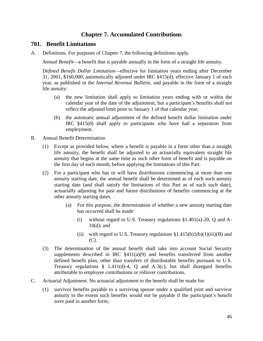# **Chapter 7. Accumulated Contributions**

#### **701. Benefit Limitations**

A. Definitions. For purposes of Chapter 7, the following definitions apply.

*Annual Benefit*—a benefit that is payable annually in the form of a straight life annuity.

*Defined Benefit Dollar Limitation*—effective for limitation years ending after December 31, 2001, \$160,000, automatically adjusted under IRC §415(d), effective January 1 of each year, as published in the *Internal Revenue Bulletin*, and payable in the form of a straight life annuity:

- (a) the new limitation shall apply to limitation years ending with or within the calendar year of the date of the adjustment, but a participant's benefits shall not reflect the adjusted limit prior to January 1 of that calendar year;
- (b) the automatic annual adjustment of the defined benefit dollar limitation under IRC §415(d) shall apply to participants who have had a separation from employment.
- B. Annual Benefit Determination
	- (1) Except as provided below, where a benefit is payable in a form other than a straight life annuity, the benefit shall be adjusted to an actuarially equivalent straight life annuity that begins at the same time as such other form of benefit and is payable on the first day of each month, before applying the limitations of this Part.
	- (2) For a participant who has or will have distributions commencing at more than one annuity starting date, the annual benefit shall be determined as of each such annuity starting date (and shall satisfy the limitations of this Part as of each such date), actuarially adjusting for past and future distributions of benefits commencing at the other annuity starting dates.
		- (a) For this purpose, the determination of whether a new annuity starting date has occurred shall be made:
			- (i) without regard to U.S. Treasury regulations  $$1.401(a)-20$ , Q and A-10(d); and
			- (ii) with regard to U.S. Treasury regulations  $\S1.415(b)1(b)(1)(iii)(B)$  and (C).
	- (3) The determination of the annual benefit shall take into account Social Security supplements described in IRC  $§411(a)(9)$  and benefits transferred from another defined benefit plan, other than transfers of distributable benefits pursuant to U.S. Treasury regulations  $\S$  1.411(d)-4, Q and A-3(c), but shall disregard benefits attributable to employee contributions or rollover contributions.
- C. Actuarial Adjustment. No actuarial adjustment to the benefit shall be made for:
	- (1) survivor benefits payable to a surviving spouse under a qualified joint and survivor annuity to the extent such benefits would not be payable if the participant's benefit were paid in another form;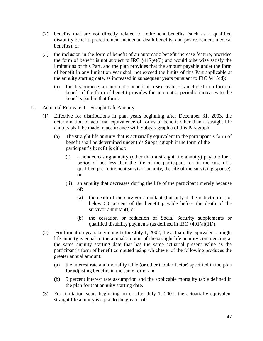- (2) benefits that are not directly related to retirement benefits (such as a qualified disability benefit, preretirement incidental death benefits, and postretirement medical benefits); or
- (3) the inclusion in the form of benefit of an automatic benefit increase feature, provided the form of benefit is not subject to IRC  $$417(e)(3)$  and would otherwise satisfy the limitations of this Part, and the plan provides that the amount payable under the form of benefit in any limitation year shall not exceed the limits of this Part applicable at the annuity starting date, as increased in subsequent years pursuant to IRC §415(d);
	- (a) for this purpose, an automatic benefit increase feature is included in a form of benefit if the form of benefit provides for automatic, periodic increases to the benefits paid in that form.
- D. Actuarial Equivalent—Straight Life Annuity
	- (1) Effective for distributions in plan years beginning after December 31, 2003, the determination of actuarial equivalence of forms of benefit other than a straight life annuity shall be made in accordance with Subparagraph a of this Paragraph.
		- (a) The straight life annuity that is actuarially equivalent to the participant's form of benefit shall be determined under this Subparagraph if the form of the participant's benefit is either:
			- (i) a nondecreasing annuity (other than a straight life annuity) payable for a period of not less than the life of the participant (or, in the case of a qualified pre-retirement survivor annuity, the life of the surviving spouse); or
			- (ii) an annuity that decreases during the life of the participant merely because of:
				- (a) the death of the survivor annuitant (but only if the reduction is not below 50 percent of the benefit payable before the death of the survivor annuitant); or
				- (b) the cessation or reduction of Social Security supplements or qualified disability payments (as defined in IRC  $\S 401(a)(11)$ ).
	- (2) For limitation years beginning before July 1, 2007, the actuarially equivalent straight life annuity is equal to the annual amount of the straight life annuity commencing at the same annuity starting date that has the same actuarial present value as the participant's form of benefit computed using whichever of the following produces the greater annual amount:
		- (a) the interest rate and mortality table (or other tabular factor) specified in the plan for adjusting benefits in the same form; and
		- (b) 5 percent interest rate assumption and the applicable mortality table defined in the plan for that annuity starting date.
	- (3) For limitation years beginning on or after July 1, 2007, the actuarially equivalent straight life annuity is equal to the greater of: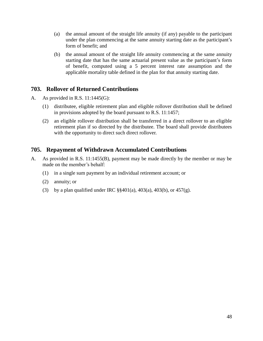- (a) the annual amount of the straight life annuity (if any) payable to the participant under the plan commencing at the same annuity starting date as the participant's form of benefit; and
- (b) the annual amount of the straight life annuity commencing at the same annuity starting date that has the same actuarial present value as the participant's form of benefit, computed using a 5 percent interest rate assumption and the applicable mortality table defined in the plan for that annuity starting date.

# **703. Rollover of Returned Contributions**

- A. As provided in R.S. 11:1445(G):
	- (1) distributee, eligible retirement plan and eligible rollover distribution shall be defined in provisions adopted by the board pursuant to R.S. 11:1457;
	- (2) an eligible rollover distribution shall be transferred in a direct rollover to an eligible retirement plan if so directed by the distributee. The board shall provide distributees with the opportunity to direct such direct rollover.

# **705. Repayment of Withdrawn Accumulated Contributions**

- A. As provided in R.S. 11:1455(B), payment may be made directly by the member or may be made on the member's behalf:
	- (1) in a single sum payment by an individual retirement account; or
	- (2) annuity; or
	- (3) by a plan qualified under IRC  $\S$ §401(a), 403(a), 403(b), or 457(g).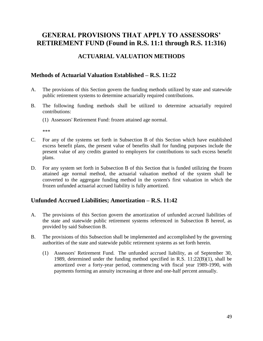# **GENERAL PROVISIONS THAT APPLY TO ASSESSORS' RETIREMENT FUND (Found in R.S. 11:1 through R.S. 11:316)**

# **ACTUARIAL VALUATION METHODS**

### **Methods of Actuarial Valuation Established – R.S. 11:22**

- A. The provisions of this Section govern the funding methods utilized by state and statewide public retirement systems to determine actuarially required contributions.
- B. The following funding methods shall be utilized to determine actuarially required contributions:
	- (1) Assessors' Retirement Fund: frozen attained age normal.

\*\*\*

- C. For any of the systems set forth in Subsection B of this Section which have established excess benefit plans, the present value of benefits shall for funding purposes include the present value of any credits granted to employers for contributions to such excess benefit plans.
- D. For any system set forth in Subsection B of this Section that is funded utilizing the frozen attained age normal method, the actuarial valuation method of the system shall be converted to the aggregate funding method in the system's first valuation in which the frozen unfunded actuarial accrued liability is fully amortized.

# **Unfunded Accrued Liabilities; Amortization – R.S. 11:42**

- A. The provisions of this Section govern the amortization of unfunded accrued liabilities of the state and statewide public retirement systems referenced in Subsection B hereof, as provided by said Subsection B.
- B. The provisions of this Subsection shall be implemented and accomplished by the governing authorities of the state and statewide public retirement systems as set forth herein.
	- (1) Assessors' Retirement Fund. The unfunded accrued liability, as of September 30, 1989, determined under the funding method specified in R.S. 11:22(B)(1), shall be amortized over a forty-year period, commencing with fiscal year 1989-1990, with payments forming an annuity increasing at three and one-half percent annually.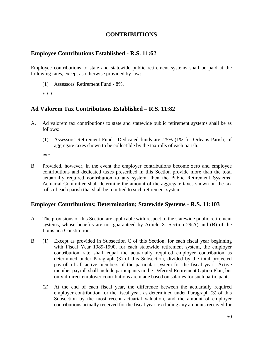## **CONTRIBUTIONS**

### **Employee Contributions Established - R.S. 11:62**

Employee contributions to state and statewide public retirement systems shall be paid at the following rates, except as otherwise provided by law:

- (1) Assessors' Retirement Fund 8%.
- \* \* \*

# **Ad Valorem Tax Contributions Established – R.S. 11:82**

- A. Ad valorem tax contributions to state and statewide public retirement systems shall be as follows:
	- (1) Assessors' Retirement Fund. Dedicated funds are .25% (1% for Orleans Parish) of aggregate taxes shown to be collectible by the tax rolls of each parish.

\*\*\*

B. Provided, however, in the event the employer contributions become zero and employee contributions and dedicated taxes prescribed in this Section provide more than the total actuarially required contribution to any system, then the Public Retirement Systems' Actuarial Committee shall determine the amount of the aggregate taxes shown on the tax rolls of each parish that shall be remitted to such retirement system.

# **Employer Contributions; Determination; Statewide Systems - R.S. 11:103**

- A. The provisions of this Section are applicable with respect to the statewide public retirement systems, whose benefits are not guaranteed by Article X, Section 29(A) and (B) of the Louisiana Constitution.
- B. (1) Except as provided in Subsection C of this Section, for each fiscal year beginning with Fiscal Year 1989-1990, for each statewide retirement system, the employer contribution rate shall equal the actuarially required employer contribution as determined under Paragraph (3) of this Subsection, divided by the total projected payroll of all active members of the particular system for the fiscal year. Active member payroll shall include participants in the Deferred Retirement Option Plan, but only if direct employer contributions are made based on salaries for such participants.
	- (2) At the end of each fiscal year, the difference between the actuarially required employer contribution for the fiscal year, as determined under Paragraph (3) of this Subsection by the most recent actuarial valuation, and the amount of employer contributions actually received for the fiscal year, excluding any amounts received for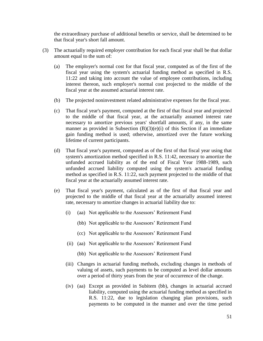the extraordinary purchase of additional benefits or service, shall be determined to be that fiscal year's short fall amount.

- (3) The actuarially required employer contribution for each fiscal year shall be that dollar amount equal to the sum of:
	- (a) The employer's normal cost for that fiscal year, computed as of the first of the fiscal year using the system's actuarial funding method as specified in R.S. 11:22 and taking into account the value of employee contributions, including interest thereon, such employer's normal cost projected to the middle of the fiscal year at the assumed actuarial interest rate.
	- (b) The projected noninvestment related administrative expenses for the fiscal year.
	- (c) That fiscal year's payment, computed at the first of that fiscal year and projected to the middle of that fiscal year, at the actuarially assumed interest rate necessary to amortize previous years' shortfall amounts, if any, in the same manner as provided in Subsection  $(B)(3)(e)(i)$  of this Section if an immediate gain funding method is used; otherwise, amortized over the future working lifetime of current participants.
	- (d) That fiscal year's payment, computed as of the first of that fiscal year using that system's amortization method specified in R.S. 11:42, necessary to amortize the unfunded accrued liability as of the end of Fiscal Year 1988-1989, such unfunded accrued liability computed using the system's actuarial funding method as specified in R.S. 11:22, such payment projected to the middle of that fiscal year at the actuarially assumed interest rate.
	- (e) That fiscal year's payment, calculated as of the first of that fiscal year and projected to the middle of that fiscal year at the actuarially assumed interest rate, necessary to amortize changes in actuarial liability due to:
		- (i) (aa) Not applicable to the Assessors' Retirement Fund
			- (bb) Not applicable to the Assessors' Retirement Fund
			- (cc) Not applicable to the Assessors' Retirement Fund
		- (ii) (aa) Not applicable to the Assessors' Retirement Fund
			- (bb) Not applicable to the Assessors' Retirement Fund
		- (iii) Changes in actuarial funding methods, excluding changes in methods of valuing of assets, such payments to be computed as level dollar amounts over a period of thirty years from the year of occurrence of the change.
		- (iv) (aa) Except as provided in Subitem (bb), changes in actuarial accrued liability, computed using the actuarial funding method as specified in R.S. 11:22, due to legislation changing plan provisions, such payments to be computed in the manner and over the time period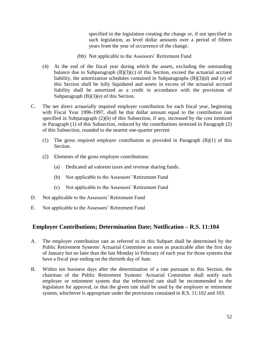specified in the legislation creating the change or, if not specified in such legislation, as level dollar amounts over a period of fifteen years from the year of occurrence of the change.

- (bb) Not applicable to the Assessors' Retirement Fund
- (4) At the end of the fiscal year during which the assets, excluding the outstanding balance due to Subparagraph  $(B)(3)(c)$  of this Section, exceed the actuarial accrued liability, the amortization schedules contained in Subparagraphs (B)(3)(d) and (e) of this Section shall be fully liquidated and assets in excess of the actuarial accrued liability shall be amortized as a credit in accordance with the provisions of Subparagraph  $(B)(3)(e)$  of this Section.
- C. The net direct actuarially required employer contribution for each fiscal year, beginning with Fiscal Year 1996-1997, shall be that dollar amount equal to the contribution rate specified in Subparagraph (2)(b) of this Subsection, if any, increased by the cost itemized in Paragraph (1) of this Subsection, reduced by the contributions itemized in Paragraph (2) of this Subsection, rounded to the nearest one-quarter percent:
	- (1) The gross required employer contribution as provided in Paragraph (B)(1) of this Section.
	- (2) Elements of the gross employer contributions:
		- (a) Dedicated ad valorem taxes and revenue sharing funds.
		- (b) Not applicable to the Assessors' Retirement Fund
		- (c) Not applicable to the Assessors' Retirement Fund
- D. Not applicable to the Assessors' Retirement Fund
- E. Not applicable to the Assessors' Retirement Fund

#### **Employer Contributions; Determination Date; Notification – R.S. 11:104**

- A. The employer contribution rate as referred to in this Subpart shall be determined by the Public Retirement Systems' Actuarial Committee as soon as practicable after the first day of January but no later than the last Monday in February of each year for those systems that have a fiscal year ending on the thirtieth day of June.
- B. Within ten business days after the determination of a rate pursuant to this Section, the chairman of the Public Retirement Systems' Actuarial Committee shall notify each employer or retirement system that the referenced rate shall be recommended to the legislature for approval, or that the given rate shall be used by the employer or retirement system, whichever is appropriate under the provisions contained in R.S. 11:102 and 103.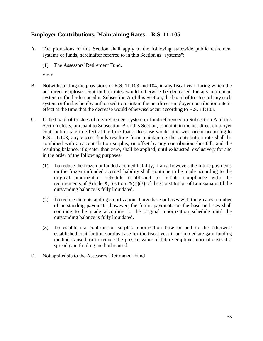# **Employer Contributions; Maintaining Rates – R.S. 11:105**

- A. The provisions of this Section shall apply to the following statewide public retirement systems or funds, hereinafter referred to in this Section as "systems":
	- (1) The Assessors' Retirement Fund.
	- \* \* \*
- B. Notwithstanding the provisions of R.S. 11:103 and 104, in any fiscal year during which the net direct employer contribution rates would otherwise be decreased for any retirement system or fund referenced in Subsection A of this Section, the board of trustees of any such system or fund is hereby authorized to maintain the net direct employer contribution rate in effect at the time that the decrease would otherwise occur according to R.S. 11:103.
- C. If the board of trustees of any retirement system or fund referenced in Subsection A of this Section elects, pursuant to Subsection B of this Section, to maintain the net direct employer contribution rate in effect at the time that a decrease would otherwise occur according to R.S. 11:103, any excess funds resulting from maintaining the contribution rate shall be combined with any contribution surplus, or offset by any contribution shortfall, and the resulting balance, if greater than zero, shall be applied, until exhausted, exclusively for and in the order of the following purposes:
	- (1) To reduce the frozen unfunded accrued liability, if any; however, the future payments on the frozen unfunded accrued liability shall continue to be made according to the original amortization schedule established to initiate compliance with the requirements of Article X, Section 29(E)(3) of the Constitution of Louisiana until the outstanding balance is fully liquidated.
	- (2) To reduce the outstanding amortization charge base or bases with the greatest number of outstanding payments; however, the future payments on the base or bases shall continue to be made according to the original amortization schedule until the outstanding balance is fully liquidated.
	- (3) To establish a contribution surplus amortization base or add to the otherwise established contribution surplus base for the fiscal year if an immediate gain funding method is used, or to reduce the present value of future employer normal costs if a spread gain funding method is used.
- D. Not applicable to the Assessors' Retirement Fund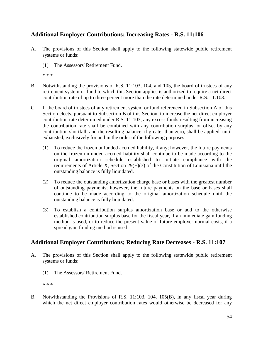# **Additional Employer Contributions; Increasing Rates - R.S. 11:106**

- A. The provisions of this Section shall apply to the following statewide public retirement systems or funds:
	- (1) The Assessors' Retirement Fund.

\* \* \*

- B. Notwithstanding the provisions of R.S. 11:103, 104, and 105, the board of trustees of any retirement system or fund to which this Section applies is authorized to require a net direct contribution rate of up to three percent more than the rate determined under R.S. 11:103.
- C. If the board of trustees of any retirement system or fund referenced in Subsection A of this Section elects, pursuant to Subsection B of this Section, to increase the net direct employer contribution rate determined under R.S. 11:103, any excess funds resulting from increasing the contribution rate shall be combined with any contribution surplus, or offset by any contribution shortfall, and the resulting balance, if greater than zero, shall be applied, until exhausted, exclusively for and in the order of the following purposes:
	- (1) To reduce the frozen unfunded accrued liability, if any; however, the future payments on the frozen unfunded accrued liability shall continue to be made according to the original amortization schedule established to initiate compliance with the requirements of Article X, Section 29(E)(3) of the Constitution of Louisiana until the outstanding balance is fully liquidated.
	- (2) To reduce the outstanding amortization charge base or bases with the greatest number of outstanding payments; however, the future payments on the base or bases shall continue to be made according to the original amortization schedule until the outstanding balance is fully liquidated.
	- (3) To establish a contribution surplus amortization base or add to the otherwise established contribution surplus base for the fiscal year, if an immediate gain funding method is used, or to reduce the present value of future employer normal costs, if a spread gain funding method is used.

# **Additional Employer Contributions; Reducing Rate Decreases - R.S. 11:107**

- A. The provisions of this Section shall apply to the following statewide public retirement systems or funds:
	- (1) The Assessors' Retirement Fund.

\* \* \*

B. Notwithstanding the Provisions of R.S. 11:103, 104, 105(B), in any fiscal year during which the net direct employer contribution rates would otherwise be decreased for any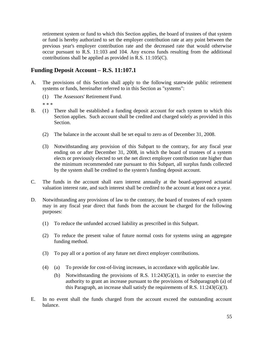retirement system or fund to which this Section applies, the board of trustees of that system or fund is hereby authorized to set the employer contribution rate at any point between the previous year's employer contribution rate and the decreased rate that would otherwise occur pursuant to R.S. 11:103 and 104. Any excess funds resulting from the additional contributions shall be applied as provided in R.S. 11:105(C).

# **Funding Deposit Account – R.S. 11:107.1**

- A. The provisions of this Section shall apply to the following statewide public retirement systems or funds, hereinafter referred to in this Section as "systems":
	- (1) The Assessors' Retirement Fund.
	- \* \* \*
- B. (1) There shall be established a funding deposit account for each system to which this Section applies. Such account shall be credited and charged solely as provided in this Section.
	- (2) The balance in the account shall be set equal to zero as of December 31, 2008.
	- (3) Notwithstanding any provision of this Subpart to the contrary, for any fiscal year ending on or after December 31, 2008, in which the board of trustees of a system elects or previously elected to set the net direct employer contribution rate higher than the minimum recommended rate pursuant to this Subpart, all surplus funds collected by the system shall be credited to the system's funding deposit account.
- C. The funds in the account shall earn interest annually at the board-approved actuarial valuation interest rate, and such interest shall be credited to the account at least once a year.
- D. Notwithstanding any provisions of law to the contrary, the board of trustees of each system may in any fiscal year direct that funds from the account be charged for the following purposes:
	- (1) To reduce the unfunded accrued liability as prescribed in this Subpart.
	- (2) To reduce the present value of future normal costs for systems using an aggregate funding method.
	- (3) To pay all or a portion of any future net direct employer contributions.
	- (4) (a) To provide for cost-of-living increases, in accordance with applicable law.
		- (b) Notwithstanding the provisions of R.S. 11:243(G)(1), in order to exercise the authority to grant an increase pursuant to the provisions of Subparagraph (a) of this Paragraph, an increase shall satisfy the requirements of R.S.  $11:243(G)(3)$ .
- E. In no event shall the funds charged from the account exceed the outstanding account balance.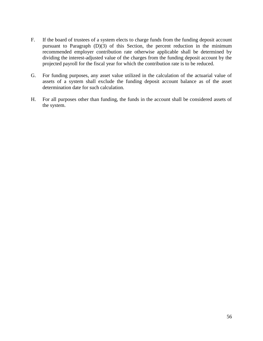- F. If the board of trustees of a system elects to charge funds from the funding deposit account pursuant to Paragraph (D)(3) of this Section, the percent reduction in the minimum recommended employer contribution rate otherwise applicable shall be determined by dividing the interest-adjusted value of the charges from the funding deposit account by the projected payroll for the fiscal year for which the contribution rate is to be reduced.
- G. For funding purposes, any asset value utilized in the calculation of the actuarial value of assets of a system shall exclude the funding deposit account balance as of the asset determination date for such calculation.
- H. For all purposes other than funding, the funds in the account shall be considered assets of the system.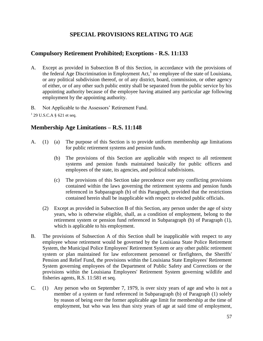# **SPECIAL PROVISIONS RELATING TO AGE**

### **Compulsory Retirement Prohibited; Exceptions - R.S. 11:133**

A. Except as provided in Subsection B of this Section, in accordance with the provisions of the federal Age Discrimination in Employment Act, $<sup>1</sup>$  no employee of the state of Louisiana,</sup> or any political subdivision thereof, or of any district, board, commission, or other agency of either, or of any other such public entity shall be separated from the public service by his appointing authority because of the employee having attained any particular age following employment by the appointing authority.

B. Not Applicable to the Assessors' Retirement Fund.

 $1$  29 U.S.C.A § 621 et seq.

### **Membership Age Limitations – R.S. 11:148**

- A. (1) (a) The purpose of this Section is to provide uniform membership age limitations for public retirement systems and pension funds.
	- (b) The provisions of this Section are applicable with respect to all retirement systems and pension funds maintained basically for public officers and employees of the state, its agencies, and political subdivisions.
	- (c) The provisions of this Section take precedence over any conflicting provisions contained within the laws governing the retirement systems and pension funds referenced in Subparagraph (b) of this Paragraph, provided that the restrictions contained herein shall be inapplicable with respect to elected public officials.
	- (2) Except as provided in Subsection B of this Section, any person under the age of sixty years, who is otherwise eligible, shall, as a condition of employment, belong to the retirement system or pension fund referenced in Subparagraph (b) of Paragraph (1), which is applicable to his employment.
- B. The provisions of Subsection A of this Section shall be inapplicable with respect to any employee whose retirement would be governed by the Louisiana State Police Retirement System, the Municipal Police Employees' Retirement System or any other public retirement system or plan maintained for law enforcement personnel or firefighters, the Sheriffs' Pension and Relief Fund, the provisions within the Louisiana State Employees' Retirement System governing employees of the Department of Public Safety and Corrections or the provisions within the Louisiana Employees' Retirement System governing wildlife and fisheries agents, R.S. 11:581 et seq.
- C. (1) Any person who on September 7, 1979, is over sixty years of age and who is not a member of a system or fund referenced in Subparagraph (b) of Paragraph (1) solely by reason of being over the former applicable age limit for membership at the time of employment, but who was less than sixty years of age at said time of employment,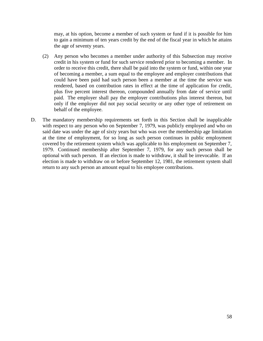may, at his option, become a member of such system or fund if it is possible for him to gain a minimum of ten years credit by the end of the fiscal year in which he attains the age of seventy years.

- (2) Any person who becomes a member under authority of this Subsection may receive credit in his system or fund for such service rendered prior to becoming a member. In order to receive this credit, there shall be paid into the system or fund, within one year of becoming a member, a sum equal to the employee and employer contributions that could have been paid had such person been a member at the time the service was rendered, based on contribution rates in effect at the time of application for credit, plus five percent interest thereon, compounded annually from date of service until paid. The employer shall pay the employer contributions plus interest thereon, but only if the employer did not pay social security or any other type of retirement on behalf of the employee.
- D. The mandatory membership requirements set forth in this Section shall be inapplicable with respect to any person who on September 7, 1979, was publicly employed and who on said date was under the age of sixty years but who was over the membership age limitation at the time of employment, for so long as such person continues in public employment covered by the retirement system which was applicable to his employment on September 7, 1979. Continued membership after September 7, 1979, for any such person shall be optional with such person. If an election is made to withdraw, it shall be irrevocable. If an election is made to withdraw on or before September 12, 1981, the retirement system shall return to any such person an amount equal to his employee contributions.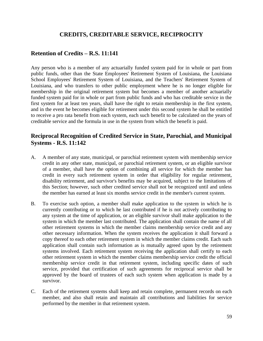# **CREDITS, CREDITABLE SERVICE, RECIPROCITY**

### **Retention of Credits – R.S. 11:141**

Any person who is a member of any actuarially funded system paid for in whole or part from public funds, other than the State Employees' Retirement System of Louisiana, the Louisiana School Employees' Retirement System of Louisiana, and the Teachers' Retirement System of Louisiana, and who transfers to other public employment where he is no longer eligible for membership in the original retirement system but becomes a member of another actuarially funded system paid for in whole or part from public funds and who has creditable service in the first system for at least ten years, shall have the right to retain membership in the first system, and in the event he becomes eligible for retirement under this second system he shall be entitled to receive a pro rata benefit from each system, each such benefit to be calculated on the years of creditable service and the formula in use in the system from which the benefit is paid.

# **Reciprocal Recognition of Credited Service in State, Parochial, and Municipal Systems - R.S. 11:142**

- A. A member of any state, municipal, or parochial retirement system with membership service credit in any other state, municipal, or parochial retirement system, or an eligible survivor of a member, shall have the option of combining all service for which the member has credit in every such retirement system in order that eligibility for regular retirement, disability retirement, and survivor's benefits may be acquired, subject to the limitations of this Section; however, such other credited service shall not be recognized until and unless the member has earned at least six months service credit in the member's current system.
- B. To exercise such option, a member shall make application to the system in which he is currently contributing or to which he last contributed if he is not actively contributing to any system at the time of application, or an eligible survivor shall make application to the system in which the member last contributed. The application shall contain the name of all other retirement systems in which the member claims membership service credit and any other necessary information. When the system receives the application it shall forward a copy thereof to each other retirement system in which the member claims credit. Each such application shall contain such information as is mutually agreed upon by the retirement systems involved. Each retirement system receiving the application shall certify to each other retirement system in which the member claims membership service credit the official membership service credit in that retirement system, including specific dates of such service, provided that certification of such agreements for reciprocal service shall be approved by the board of trustees of each such system when application is made by a survivor.
- C. Each of the retirement systems shall keep and retain complete, permanent records on each member, and also shall retain and maintain all contributions and liabilities for service performed by the member in that retirement system.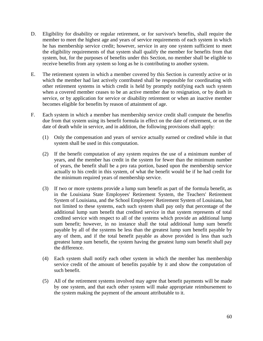- D. Eligibility for disability or regular retirement, or for survivor's benefits, shall require the member to meet the highest age and years of service requirements of each system in which he has membership service credit; however, service in any one system sufficient to meet the eligibility requirements of that system shall qualify the member for benefits from that system, but, for the purposes of benefits under this Section, no member shall be eligible to receive benefits from any system so long as he is contributing to another system.
- E. The retirement system in which a member covered by this Section is currently active or in which the member had last actively contributed shall be responsible for coordinating with other retirement systems in which credit is held by promptly notifying each such system when a covered member ceases to be an active member due to resignation, or by death in service, or by application for service or disability retirement or when an inactive member becomes eligible for benefits by reason of attainment of age.
- F. Each system in which a member has membership service credit shall compute the benefits due from that system using its benefit formula in effect on the date of retirement, or on the date of death while in service, and in addition, the following provisions shall apply:
	- (1) Only the compensation and years of service actually earned or credited while in that system shall be used in this computation.
	- (2) If the benefit computation of any system requires the use of a minimum number of years, and the member has credit in the system for fewer than the minimum number of years, the benefit shall be a pro rata portion, based upon the membership service actually to his credit in this system, of what the benefit would be if he had credit for the minimum required years of membership service.
	- (3) If two or more systems provide a lump sum benefit as part of the formula benefit, as in the Louisiana State Employees' Retirement System, the Teachers' Retirement System of Louisiana, and the School Employees' Retirement System of Louisiana, but not limited to these systems, each such system shall pay only that percentage of the additional lump sum benefit that credited service in that system represents of total credited service with respect to all of the systems which provide an additional lump sum benefit; however, in no instance shall the total additional lump sum benefit payable by all of the systems be less than the greatest lump sum benefit payable by any of them, and if the total benefit payable as above provided is less than such greatest lump sum benefit, the system having the greatest lump sum benefit shall pay the difference.
	- (4) Each system shall notify each other system in which the member has membership service credit of the amount of benefits payable by it and show the computation of such benefit.
	- (5) All of the retirement systems involved may agree that benefit payments will be made by one system, and that each other system will make appropriate reimbursement to the system making the payment of the amount attributable to it.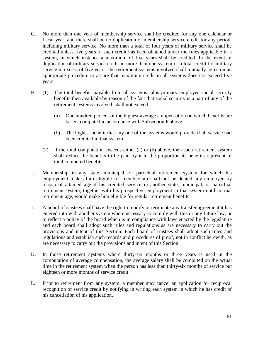- G. No more than one year of membership service shall be credited for any one calendar or fiscal year, and there shall be no duplication of membership service credit for any period, including military service. No more than a total of four years of military service shall be credited unless five years of such credit has been obtained under the rules applicable in a system, in which instance a maximum of five years shall be credited. In the event of duplication of military service credit in more than one system or a total credit for military service in excess of five years, the retirement systems involved shall mutually agree on an appropriate procedure to assure that maximum credit in all systems does not exceed five years.
- H. (1) The total benefits payable from all systems, plus primary employee social security benefits then available by reason of the fact that social security is a part of any of the retirement systems involved, shall not exceed:
	- (a) One hundred percent of the highest average compensation on which benefits are based, computed in accordance with Subsection F above.
	- (b) The highest benefit that any one of the systems would provide if all service had been credited in that system.
	- (2) If the total computation exceeds either (a) or (b) above, then each retirement system shall reduce the benefits to be paid by it in the proportion its benefits represent of total computed benefits.
- I. Membership in any state, municipal, or parochial retirement system for which his employment makes him eligible for membership shall not be denied any employee by reason of attained age if his credited service in another state, municipal, or parochial retirement system, together with his prospective employment in that system until normal retirement age, would make him eligible for regular retirement benefits.
- J. A board of trustees shall have the right to modify or terminate any transfer agreement it has entered into with another system where necessary to comply with this or any future law, or to reflect a policy of the board which is in compliance with laws enacted by the legislature and each board shall adopt such rules and regulations as are necessary to carry out the provisions and intent of this Section. Each board of trustees shall adopt such rules and regulations and establish such records and procedures of proof, not in conflict herewith, as are necessary to carry out the provisions and intent of this Section.
- K. In those retirement systems where thirty-six months or three years is used in the computation of average compensation, the average salary shall be computed on the actual time in the retirement system when the person has less than thirty-six months of service but eighteen or more months of service credit.
- L. Prior to retirement from any system, a member may cancel an application for reciprocal recognition of service credit by notifying in writing each system in which he has credit of his cancellation of his application.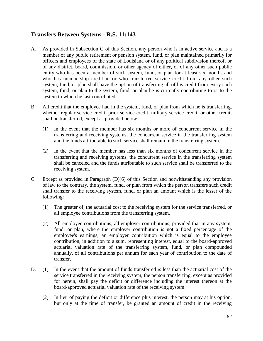# **Transfers Between Systems - R.S. 11:143**

- A. As provided in Subsection G of this Section, any person who is in active service and is a member of any public retirement or pension system, fund, or plan maintained primarily for officers and employees of the state of Louisiana or of any political subdivision thereof, or of any district, board, commission, or other agency of either, or of any other such public entity who has been a member of such system, fund, or plan for at least six months and who has membership credit in or who transferred service credit from any other such system, fund, or plan shall have the option of transferring all of his credit from every such system, fund, or plan to the system, fund, or plan he is currently contributing to or to the system to which he last contributed.
- B. All credit that the employee had in the system, fund, or plan from which he is transferring, whether regular service credit, prior service credit, military service credit, or other credit, shall be transferred, except as provided below:
	- (1) In the event that the member has six months or more of concurrent service in the transferring and receiving systems, the concurrent service in the transferring system and the funds attributable to such service shall remain in the transferring system.
	- (2) In the event that the member has less than six months of concurrent service in the transferring and receiving systems, the concurrent service in the transferring system shall be canceled and the funds attributable to such service shall be transferred to the receiving system.
- C. Except as provided in Paragraph (D)(6) of this Section and notwithstanding any provision of law to the contrary, the system, fund, or plan from which the person transfers such credit shall transfer to the receiving system, fund, or plan an amount which is the lesser of the following:
	- (1) The greater of, the actuarial cost to the receiving system for the service transferred, or all employee contributions from the transferring system.
	- (2) All employee contributions, all employer contributions, provided that in any system, fund, or plan, where the employer contribution is not a fixed percentage of the employee's earnings, an employer contribution which is equal to the employee contribution, in addition to a sum, representing interest, equal to the board-approved actuarial valuation rate of the transferring system, fund, or plan compounded annually, of all contributions per annum for each year of contribution to the date of transfer.
- D. (1) In the event that the amount of funds transferred is less than the actuarial cost of the service transferred in the receiving system, the person transferring, except as provided for herein, shall pay the deficit or difference including the interest thereon at the board-approved actuarial valuation rate of the receiving system.
	- (2) In lieu of paying the deficit or difference plus interest, the person may at his option, but only at the time of transfer, be granted an amount of credit in the receiving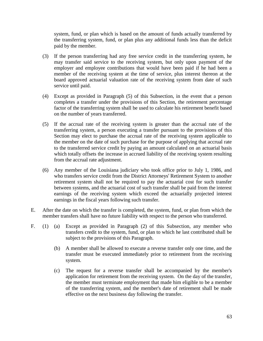system, fund, or plan which is based on the amount of funds actually transferred by the transferring system, fund, or plan plus any additional funds less than the deficit paid by the member.

- (3) If the person transferring had any free service credit in the transferring system, he may transfer said service to the receiving system, but only upon payment of the employer and employee contributions that would have been paid if he had been a member of the receiving system at the time of service, plus interest thereon at the board approved actuarial valuation rate of the receiving system from date of such service until paid.
- (4) Except as provided in Paragraph (5) of this Subsection, in the event that a person completes a transfer under the provisions of this Section, the retirement percentage factor of the transferring system shall be used to calculate his retirement benefit based on the number of years transferred.
- (5) If the accrual rate of the receiving system is greater than the accrual rate of the transferring system, a person executing a transfer pursuant to the provisions of this Section may elect to purchase the accrual rate of the receiving system applicable to the member on the date of such purchase for the purpose of applying that accrual rate to the transferred service credit by paying an amount calculated on an actuarial basis which totally offsets the increase in accrued liability of the receiving system resulting from the accrual rate adjustment.
- (6) Any member of the Louisiana judiciary who took office prior to July 1, 1986, and who transfers service credit from the District Attorneys' Retirement System to another retirement system shall not be required to pay the actuarial cost for such transfer between systems, and the actuarial cost of such transfer shall be paid from the interest earnings of the receiving system which exceed the actuarially projected interest earnings in the fiscal years following such transfer.
- E. After the date on which the transfer is completed, the system, fund, or plan from which the member transfers shall have no future liability with respect to the person who transferred.
- F. (1) (a) Except as provided in Paragraph (2) of this Subsection, any member who transfers credit to the system, fund, or plan to which he last contributed shall be subject to the provisions of this Paragraph.
	- (b) A member shall be allowed to execute a reverse transfer only one time, and the transfer must be executed immediately prior to retirement from the receiving system.
	- (c) The request for a reverse transfer shall be accompanied by the member's application for retirement from the receiving system. On the day of the transfer, the member must terminate employment that made him eligible to be a member of the transferring system, and the member's date of retirement shall be made effective on the next business day following the transfer.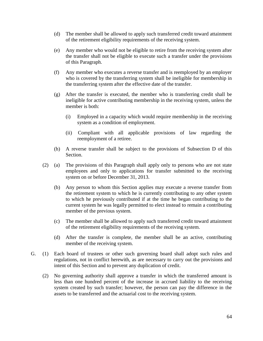- (d) The member shall be allowed to apply such transferred credit toward attainment of the retirement eligibility requirements of the receiving system.
- (e) Any member who would not be eligible to retire from the receiving system after the transfer shall not be eligible to execute such a transfer under the provisions of this Paragraph.
- (f) Any member who executes a reverse transfer and is reemployed by an employer who is covered by the transferring system shall be ineligible for membership in the transferring system after the effective date of the transfer.
- (g) After the transfer is executed, the member who is transferring credit shall be ineligible for active contributing membership in the receiving system, unless the member is both:
	- (i) Employed in a capacity which would require membership in the receiving system as a condition of employment.
	- (ii) Compliant with all applicable provisions of law regarding the reemployment of a retiree.
- (h) A reverse transfer shall be subject to the provisions of Subsection D of this Section.
- (2) (a) The provisions of this Paragraph shall apply only to persons who are not state employees and only to applications for transfer submitted to the receiving system on or before December 31, 2013.
	- (b) Any person to whom this Section applies may execute a reverse transfer from the retirement system to which he is currently contributing to any other system to which he previously contributed if at the time he began contributing to the current system he was legally permitted to elect instead to remain a contributing member of the previous system.
	- (c) The member shall be allowed to apply such transferred credit toward attainment of the retirement eligibility requirements of the receiving system.
	- (d) After the transfer is complete, the member shall be an active, contributing member of the receiving system.
- G. (1) Each board of trustees or other such governing board shall adopt such rules and regulations, not in conflict herewith, as are necessary to carry out the provisions and intent of this Section and to prevent any duplication of credit.
	- (2) No governing authority shall approve a transfer in which the transferred amount is less than one hundred percent of the increase in accrued liability to the receiving system created by such transfer; however, the person can pay the difference in the assets to be transferred and the actuarial cost to the receiving system.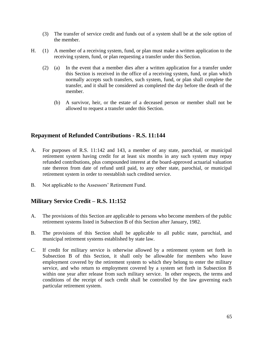- (3) The transfer of service credit and funds out of a system shall be at the sole option of the member.
- H. (1) A member of a receiving system, fund, or plan must make a written application to the receiving system, fund, or plan requesting a transfer under this Section.
	- (2) (a) In the event that a member dies after a written application for a transfer under this Section is received in the office of a receiving system, fund, or plan which normally accepts such transfers, such system, fund, or plan shall complete the transfer, and it shall be considered as completed the day before the death of the member.
		- (b) A survivor, heir, or the estate of a deceased person or member shall not be allowed to request a transfer under this Section.

### **Repayment of Refunded Contributions - R.S. 11:144**

- A. For purposes of R.S. 11:142 and 143, a member of any state, parochial, or municipal retirement system having credit for at least six months in any such system may repay refunded contributions, plus compounded interest at the board-approved actuarial valuation rate thereon from date of refund until paid, to any other state, parochial, or municipal retirement system in order to reestablish such credited service.
- B. Not applicable to the Assessors' Retirement Fund.

# **Military Service Credit – R.S. 11:152**

- A. The provisions of this Section are applicable to persons who become members of the public retirement systems listed in Subsection B of this Section after January, 1982.
- B. The provisions of this Section shall be applicable to all public state, parochial, and municipal retirement systems established by state law.
- C. If credit for military service is otherwise allowed by a retirement system set forth in Subsection B of this Section, it shall only be allowable for members who leave employment covered by the retirement system to which they belong to enter the military service, and who return to employment covered by a system set forth in Subsection B within one year after release from such military service. In other respects, the terms and conditions of the receipt of such credit shall be controlled by the law governing each particular retirement system.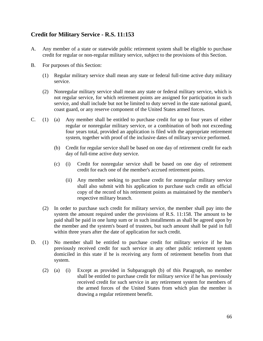# **Credit for Military Service - R.S. 11:153**

- A. Any member of a state or statewide public retirement system shall be eligible to purchase credit for regular or non-regular military service, subject to the provisions of this Section.
- B. For purposes of this Section:
	- (1) Regular military service shall mean any state or federal full-time active duty military service.
	- (2) Nonregular military service shall mean any state or federal military service, which is not regular service, for which retirement points are assigned for participation in such service, and shall include but not be limited to duty served in the state national guard, coast guard, or any reserve component of the United States armed forces.
- C. (1) (a) Any member shall be entitled to purchase credit for up to four years of either regular or nonregular military service, or a combination of both not exceeding four years total, provided an application is filed with the appropriate retirement system, together with proof of the inclusive dates of military service performed.
	- (b) Credit for regular service shall be based on one day of retirement credit for each day of full-time active duty service.
	- (c) (i) Credit for nonregular service shall be based on one day of retirement credit for each one of the member's accrued retirement points.
		- (ii) Any member seeking to purchase credit for nonregular military service shall also submit with his application to purchase such credit an official copy of the record of his retirement points as maintained by the member's respective military branch.
	- (2) In order to purchase such credit for military service, the member shall pay into the system the amount required under the provisions of R.S. 11:158. The amount to be paid shall be paid in one lump sum or in such installments as shall be agreed upon by the member and the system's board of trustees, but such amount shall be paid in full within three years after the date of application for such credit.
- D. (1) No member shall be entitled to purchase credit for military service if he has previously received credit for such service in any other public retirement system domiciled in this state if he is receiving any form of retirement benefits from that system.
	- (2) (a) (i) Except as provided in Subparagraph (b) of this Paragraph, no member shall be entitled to purchase credit for military service if he has previously received credit for such service in any retirement system for members of the armed forces of the United States from which plan the member is drawing a regular retirement benefit.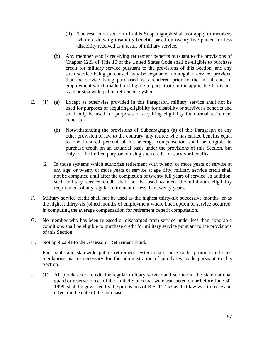- (ii) The restriction set forth in this Subparagraph shall not apply to members who are drawing disability benefits based on twenty-five percent or less disability received as a result of military service.
- (b) Any member who is receiving retirement benefits pursuant to the provisions of Chapter 1223 of Title 10 of the United States Code shall be eligible to purchase credit for military service pursuant to the provisions of this Section, and any such service being purchased may be regular or nonregular service, provided that the service being purchased was rendered prior to the initial date of employment which made him eligible to participate in the applicable Louisiana state or statewide public retirement system.
- E. (1) (a) Except as otherwise provided in this Paragraph, military service shall not be used for purposes of acquiring eligibility for disability or survivor's benefits and shall only be used for purposes of acquiring eligibility for normal retirement benefits.
	- (b) Notwithstanding the provisions of Subparagraph (a) of this Paragraph or any other provision of law to the contrary, any retiree who has earned benefits equal to one hundred percent of his average compensation shall be eligible to purchase credit on an actuarial basis under the provisions of this Section, but only for the limited purpose of using such credit for survivor benefits.
	- (2) In those systems which authorize retirement with twenty or more years of service at any age, or twenty or more years of service at age fifty, military service credit shall not be computed until after the completion of twenty full years of service. In addition, such military service credit shall not be used to meet the minimum eligibility requirement of any regular retirement of less than twenty years.
- F. Military service credit shall not be used as the highest thirty-six successive months, or as the highest thirty-six joined months of employment where interruption of service occurred, in computing the average compensation for retirement benefit computation.
- G. No member who has been released or discharged from service under less than honorable conditions shall be eligible to purchase credit for military service pursuant to the provisions of this Section.
- H. Not applicable to the Assessors' Retirement Fund.
- I. Each state and statewide public retirement system shall cause to be promulgated such regulations as are necessary for the administration of purchases made pursuant to this Section.
- J. (1) All purchases of credit for regular military service and service in the state national guard or reserve forces of the United States that were transacted on or before June 30, 1999, shall be governed by the provisions of R.S. 11:153 as that law was in force and effect on the date of the purchase.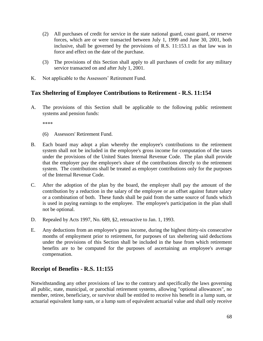- (2) All purchases of credit for service in the state national guard, coast guard, or reserve forces, which are or were transacted between July 1, 1999 and June 30, 2001, both inclusive, shall be governed by the provisions of R.S. 11:153.1 as that law was in force and effect on the date of the purchase.
- (3) The provisions of this Section shall apply to all purchases of credit for any military service transacted on and after July 1, 2001.
- K. Not applicable to the Assessors' Retirement Fund.

# **Tax Sheltering of Employee Contributions to Retirement - R.S. 11:154**

A. The provisions of this Section shall be applicable to the following public retirement systems and pension funds:

\*\*\*\*

- (6) Assessors' Retirement Fund.
- B. Each board may adopt a plan whereby the employee's contributions to the retirement system shall not be included in the employee's gross income for computation of the taxes under the provisions of the United States Internal Revenue Code. The plan shall provide that the employer pay the employee's share of the contributions directly to the retirement system. The contributions shall be treated as employer contributions only for the purposes of the Internal Revenue Code.
- C. After the adoption of the plan by the board, the employer shall pay the amount of the contribution by a reduction in the salary of the employee or an offset against future salary or a combination of both. These funds shall be paid from the same source of funds which is used in paying earnings to the employee. The employee's participation in the plan shall not be optional.
- D. Repealed by Acts 1997, No. 689, §2, retroactive to Jan. 1, 1993.
- E. Any deductions from an employee's gross income, during the highest thirty-six consecutive months of employment prior to retirement, for purposes of tax sheltering said deductions under the provisions of this Section shall be included in the base from which retirement benefits are to be computed for the purposes of ascertaining an employee's average compensation.

# **Receipt of Benefits - R.S. 11:155**

Notwithstanding any other provisions of law to the contrary and specifically the laws governing all public, state, municipal, or parochial retirement systems, allowing "optional allowances", no member, retiree, beneficiary, or survivor shall be entitled to receive his benefit in a lump sum, or actuarial equivalent lump sum, or a lump sum of equivalent actuarial value and shall only receive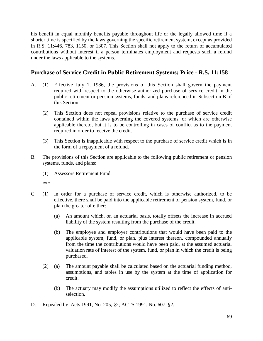his benefit in equal monthly benefits payable throughout life or the legally allowed time if a shorter time is specified by the laws governing the specific retirement system, except as provided in R.S. 11:446, 783, 1150, or 1307. This Section shall not apply to the return of accumulated contributions without interest if a person terminates employment and requests such a refund under the laws applicable to the systems.

## **Purchase of Service Credit in Public Retirement Systems; Price - R.S. 11:158**

- A. (1) Effective July 1, 1986, the provisions of this Section shall govern the payment required with respect to the otherwise authorized purchase of service credit in the public retirement or pension systems, funds, and plans referenced in Subsection B of this Section.
	- (2) This Section does not repeal provisions relative to the purchase of service credit contained within the laws governing the covered systems, or which are otherwise applicable thereto, but it is to be controlling in cases of conflict as to the payment required in order to receive the credit.
	- (3) This Section is inapplicable with respect to the purchase of service credit which is in the form of a repayment of a refund.
- B. The provisions of this Section are applicable to the following public retirement or pension systems, funds, and plans:
	- (1) Assessors Retirement Fund.

\*\*\*

- C. (1) In order for a purchase of service credit, which is otherwise authorized, to be effective, there shall be paid into the applicable retirement or pension system, fund, or plan the greater of either:
	- (a) An amount which, on an actuarial basis, totally offsets the increase in accrued liability of the system resulting from the purchase of the credit.
	- (b) The employee and employer contributions that would have been paid to the applicable system, fund, or plan, plus interest thereon, compounded annually from the time the contributions would have been paid, at the assumed actuarial valuation rate of interest of the system, fund, or plan in which the credit is being purchased.
	- (2) (a) The amount payable shall be calculated based on the actuarial funding method, assumptions, and tables in use by the system at the time of application for credit.
		- (b) The actuary may modify the assumptions utilized to reflect the effects of antiselection.
- D. Repealed by Acts 1991, No. 205, §2; ACTS 1991, No. 607, §2.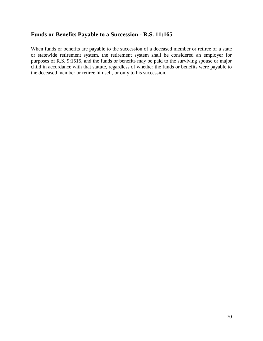## **Funds or Benefits Payable to a Succession - R.S. 11:165**

When funds or benefits are payable to the succession of a deceased member or retiree of a state or statewide retirement system, the retirement system shall be considered an employer for purposes of R.S. 9:1515, and the funds or benefits may be paid to the surviving spouse or major child in accordance with that statute, regardless of whether the funds or benefits were payable to the deceased member or retiree himself, or only to his succession.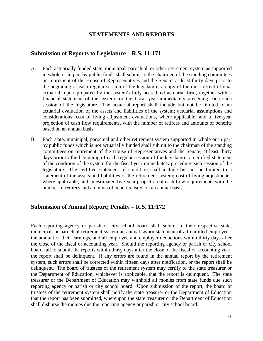## **STATEMENTS AND REPORTS**

#### **Submission of Reports to Legislature – R.S. 11:171**

- A. Each actuarially funded state, municipal, parochial, or other retirement system as supported in whole or in part by public funds shall submit to the chairmen of the standing committees on retirement of the House of Representatives and the Senate, at least thirty days prior to the beginning of each regular session of the legislature, a copy of the most recent official actuarial report prepared by the system's fully accredited actuarial firm, together with a financial statement of the system for the fiscal year immediately preceding each such session of the legislature. The actuarial report shall include but not be limited to an actuarial evaluation of the assets and liabilities of the system; actuarial assumptions and considerations; cost of living adjustment evaluations, where applicable; and a five-year projection of cash flow requirements, with the number of retirees and amounts of benefits based on an annual basis.
- B. Each state, municipal, parochial and other retirement system supported in whole or in part by public funds which is not actuarially funded shall submit to the chairman of the standing committees on retirement of the House of Representatives and the Senate, at least thirty days prior to the beginning of each regular session of the legislature, a certified statement of the condition of the system for the fiscal year immediately preceding each session of the legislature. The certified statement of condition shall include but not be limited to a statement of the assets and liabilities of the retirement system; cost of living adjustments, where applicable; and an estimated five-year projection of cash flow requirements with the number of retirees and amounts of benefits listed on an annual basis.

#### **Submission of Annual Report; Penalty – R.S. 11:172**

Each reporting agency or parish or city school board shall submit to their respective state, municipal, or parochial retirement system an annual sworn statement of all enrolled employees, the amount of their earnings, and all employee and employer deductions within thirty days after the close of the fiscal or accounting year. Should the reporting agency or parish or city school board fail to submit the reports within thirty days after the close of the fiscal or accounting year, the report shall be delinquent. If any errors are found in the annual report by the retirement system, such errors shall be corrected within fifteen days after notification, or the report shall be delinquent. The board of trustees of the retirement system may certify to the state treasurer or the Department of Education, whichever is applicable, that the report is delinquent. The state treasurer or the Department of Education may withhold all monies from state funds due such reporting agency or parish or city school board. Upon submission of the report, the board of trustees of the retirement system shall notify the state treasurer or the Department of Education that the report has been submitted, whereupon the state treasurer or the Department of Education shall disburse the monies due the reporting agency or parish or city school board.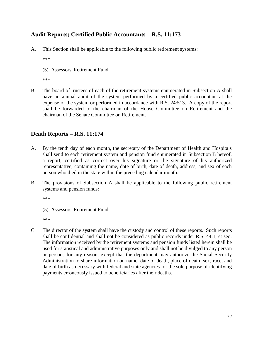# **Audit Reports; Certified Public Accountants – R.S. 11:173**

A. This Section shall be applicable to the following public retirement systems:

\*\*\*

(5) Assessors' Retirement Fund.

\*\*\*

B. The board of trustees of each of the retirement systems enumerated in Subsection A shall have an annual audit of the system performed by a certified public accountant at the expense of the system or performed in accordance with R.S. 24:513. A copy of the report shall be forwarded to the chairman of the House Committee on Retirement and the chairman of the Senate Committee on Retirement.

# **Death Reports – R.S. 11:174**

- A. By the tenth day of each month, the secretary of the Department of Health and Hospitals shall send to each retirement system and pension fund enumerated in Subsection B hereof, a report, certified as correct over his signature or the signature of his authorized representative, containing the name, date of birth, date of death, address, and sex of each person who died in the state within the preceding calendar month.
- B. The provisions of Subsection A shall be applicable to the following public retirement systems and pension funds:

\*\*\*

(5) Assessors' Retirement Fund.

\*\*\*

C. The director of the system shall have the custody and control of these reports. Such reports shall be confidential and shall not be considered as public records under R.S. 44:1, et seq. The information received by the retirement systems and pension funds listed herein shall be used for statistical and administrative purposes only and shall not be divulged to any person or persons for any reason, except that the department may authorize the Social Security Administration to share information on name, date of death, place of death, sex, race, and date of birth as necessary with federal and state agencies for the sole purpose of identifying payments erroneously issued to beneficiaries after their deaths.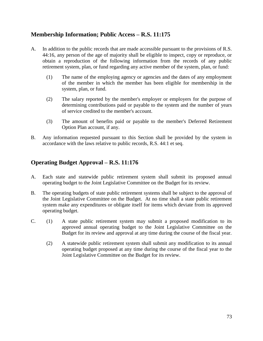# **Membership Information; Public Access – R.S. 11:175**

- A. In addition to the public records that are made accessible pursuant to the provisions of R.S. 44:16, any person of the age of majority shall be eligible to inspect, copy or reproduce, or obtain a reproduction of the following information from the records of any public retirement system, plan, or fund regarding any active member of the system, plan, or fund:
	- (1) The name of the employing agency or agencies and the dates of any employment of the member in which the member has been eligible for membership in the system, plan, or fund.
	- (2) The salary reported by the member's employer or employers for the purpose of determining contributions paid or payable to the system and the number of years of service credited to the member's account.
	- (3) The amount of benefits paid or payable to the member's Deferred Retirement Option Plan account, if any.
- B. Any information requested pursuant to this Section shall be provided by the system in accordance with the laws relative to public records, R.S. 44:1 et seq.

# **Operating Budget Approval – R.S. 11:176**

- A. Each state and statewide public retirement system shall submit its proposed annual operating budget to the Joint Legislative Committee on the Budget for its review.
- B. The operating budgets of state public retirement systems shall be subject to the approval of the Joint Legislative Committee on the Budget. At no time shall a state public retirement system make any expenditures or obligate itself for items which deviate from its approved operating budget.
- C. (1) A state public retirement system may submit a proposed modification to its approved annual operating budget to the Joint Legislative Committee on the Budget for its review and approval at any time during the course of the fiscal year.
	- (2) A statewide public retirement system shall submit any modification to its annual operating budget proposed at any time during the course of the fiscal year to the Joint Legislative Committee on the Budget for its review.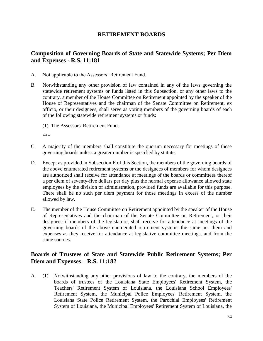### **RETIREMENT BOARDS**

# **Composition of Governing Boards of State and Statewide Systems; Per Diem and Expenses - R.S. 11:181**

- A. Not applicable to the Assessors' Retirement Fund.
- B. Notwithstanding any other provision of law contained in any of the laws governing the statewide retirement systems or funds listed in this Subsection, or any other laws to the contrary, a member of the House Committee on Retirement appointed by the speaker of the House of Representatives and the chairman of the Senate Committee on Retirement, ex officio, or their designees, shall serve as voting members of the governing boards of each of the following statewide retirement systems or funds:
	- (1) The Assessors' Retirement Fund.

\*\*\*

- C. A majority of the members shall constitute the quorum necessary for meetings of these governing boards unless a greater number is specified by statute.
- D. Except as provided in Subsection E of this Section, the members of the governing boards of the above enumerated retirement systems or the designees of members for whom designees are authorized shall receive for attendance at meetings of the boards or committees thereof a per diem of seventy-five dollars per day plus the normal expense allowance allowed state employees by the division of administration, provided funds are available for this purpose. There shall be no such per diem payment for those meetings in excess of the number allowed by law.
- E. The member of the House Committee on Retirement appointed by the speaker of the House of Representatives and the chairman of the Senate Committee on Retirement, or their designees if members of the legislature, shall receive for attendance at meetings of the governing boards of the above enumerated retirement systems the same per diem and expenses as they receive for attendance at legislative committee meetings, and from the same sources.

### **Boards of Trustees of State and Statewide Public Retirement Systems; Per Diem and Expenses – R.S. 11:182**

A. (1) Notwithstanding any other provisions of law to the contrary, the members of the boards of trustees of the Louisiana State Employees' Retirement System, the Teachers' Retirement System of Louisiana, the Louisiana School Employees' Retirement System, the Municipal Police Employees' Retirement System, the Louisiana State Police Retirement System, the Parochial Employees' Retirement System of Louisiana, the Municipal Employees' Retirement System of Louisiana, the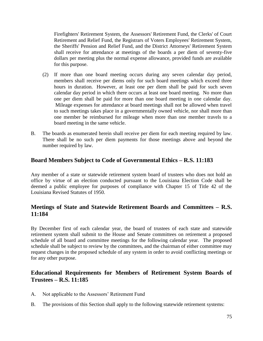Firefighters' Retirement System, the Assessors' Retirement Fund, the Clerks' of Court Retirement and Relief Fund, the Registrars of Voters Employees' Retirement System, the Sheriffs' Pension and Relief Fund, and the District Attorneys' Retirement System shall receive for attendance at meetings of the boards a per diem of seventy-five dollars per meeting plus the normal expense allowance, provided funds are available for this purpose.

- (2) If more than one board meeting occurs during any seven calendar day period, members shall receive per diems only for such board meetings which exceed three hours in duration. However, at least one per diem shall be paid for such seven calendar day period in which there occurs at least one board meeting. No more than one per diem shall be paid for more than one board meeting in one calendar day. Mileage expenses for attendance at board meetings shall not be allowed when travel to such meetings takes place in a governmentally owned vehicle, nor shall more than one member be reimbursed for mileage when more than one member travels to a board meeting in the same vehicle.
- B. The boards as enumerated herein shall receive per diem for each meeting required by law. There shall be no such per diem payments for those meetings above and beyond the number required by law.

# **Board Members Subject to Code of Governmental Ethics – R.S. 11:183**

Any member of a state or statewide retirement system board of trustees who does not hold an office by virtue of an election conducted pursuant to the Louisiana Election Code shall be deemed a public employee for purposes of compliance with Chapter 15 of Title 42 of the Louisiana Revised Statutes of 1950.

# **Meetings of State and Statewide Retirement Boards and Committees – R.S. 11:184**

By December first of each calendar year, the board of trustees of each state and statewide retirement system shall submit to the House and Senate committees on retirement a proposed schedule of all board and committee meetings for the following calendar year. The proposed schedule shall be subject to review by the committees, and the chairman of either committee may request changes in the proposed schedule of any system in order to avoid conflicting meetings or for any other purpose.

# **Educational Requirements for Members of Retirement System Boards of Trustees – R.S. 11:185**

- A. Not applicable to the Assessors' Retirement Fund
- B. The provisions of this Section shall apply to the following statewide retirement systems: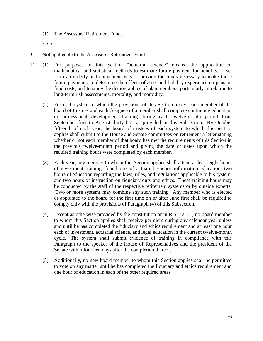(1) The Assessors' Retirement Fund.

\* \* \*

- C. Not applicable to the Assessors' Retirement Fund
- D. (1) For purposes of this Section "actuarial science" means the application of mathematical and statistical methods to estimate future payment for benefits, to set forth an orderly and convenient way to provide the funds necessary to make those future payments, to determine the effects of asset and liability experience on pension fund costs, and to study the demographics of plan members, particularly in relation to long-term risk assessments, mortality, and morbidity.
	- (2) For each system to which the provisions of this Section apply, each member of the board of trustees and each designee of a member shall complete continuing education or professional development training during each twelve-month period from September first to August thirty-first as provided in this Subsection. By October fifteenth of each year, the board of trustees of each system to which this Section applies shall submit to the House and Senate committees on retirement a letter stating whether or not each member of that board has met the requirements of this Section in the previous twelve-month period and giving the date or dates upon which the required training hours were completed by each member.
	- (3) Each year, any member to whom this Section applies shall attend at least eight hours of investment training, four hours of actuarial science information education, two hours of education regarding the laws, rules, and regulations applicable to his system, and two hours of instruction on fiduciary duty and ethics. These training hours may be conducted by the staff of the respective retirement systems or by outside experts. Two or more systems may combine any such training. Any member who is elected or appointed to the board for the first time on or after June first shall be required to comply only with the provisions of Paragraph (4) of this Subsection.
	- (4) Except as otherwise provided by the constitution or in R.S. 42:3.1, no board member to whom this Section applies shall receive per diem during any calendar year unless and until he has completed the fiduciary and ethics requirement and at least one hour each of investment, actuarial science, and legal education in the current twelve-month cycle. The system shall submit evidence of training in compliance with this Paragraph to the speaker of the House of Representatives and the president of the Senate within fourteen days after the completion thereof.
	- (5) Additionally, no new board member to whom this Section applies shall be permitted to vote on any matter until he has completed the fiduciary and ethics requirement and one hour of education in each of the other required areas.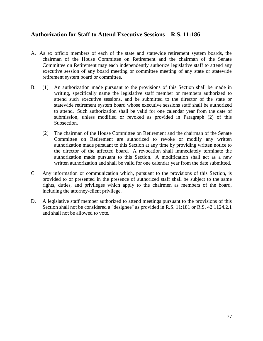### **Authorization for Staff to Attend Executive Sessions – R.S. 11:186**

- A. As ex officio members of each of the state and statewide retirement system boards, the chairman of the House Committee on Retirement and the chairman of the Senate Committee on Retirement may each independently authorize legislative staff to attend any executive session of any board meeting or committee meeting of any state or statewide retirement system board or committee.
- B. (1) An authorization made pursuant to the provisions of this Section shall be made in writing, specifically name the legislative staff member or members authorized to attend such executive sessions, and be submitted to the director of the state or statewide retirement system board whose executive sessions staff shall be authorized to attend. Such authorization shall be valid for one calendar year from the date of submission, unless modified or revoked as provided in Paragraph (2) of this Subsection.
	- (2) The chairman of the House Committee on Retirement and the chairman of the Senate Committee on Retirement are authorized to revoke or modify any written authorization made pursuant to this Section at any time by providing written notice to the director of the affected board. A revocation shall immediately terminate the authorization made pursuant to this Section. A modification shall act as a new written authorization and shall be valid for one calendar year from the date submitted.
- C. Any information or communication which, pursuant to the provisions of this Section, is provided to or presented in the presence of authorized staff shall be subject to the same rights, duties, and privileges which apply to the chairmen as members of the board, including the attorney-client privilege.
- D. A legislative staff member authorized to attend meetings pursuant to the provisions of this Section shall not be considered a "designee" as provided in R.S. 11:181 or R.S. 42:1124.2.1 and shall not be allowed to vote.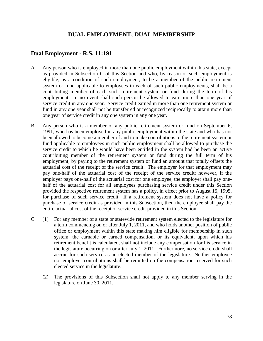### **DUAL EMPLOYMENT; DUAL MEMBERSHIP**

#### **Dual Employment - R.S. 11:191**

- A. Any person who is employed in more than one public employment within this state, except as provided in Subsection C of this Section and who, by reason of such employment is eligible, as a condition of such employment, to be a member of the public retirement system or fund applicable to employees in each of such public employments, shall be a contributing member of each such retirement system or fund during the term of his employment. In no event shall such person be allowed to earn more than one year of service credit in any one year. Service credit earned in more than one retirement system or fund in any one year shall not be transferred or recognized reciprocally to attain more than one year of service credit in any one system in any one year.
- B. Any person who is a member of any public retirement system or fund on September 6, 1991, who has been employed in any public employment within the state and who has not been allowed to become a member of and to make contributions to the retirement system or fund applicable to employees in such public employment shall be allowed to purchase the service credit to which he would have been entitled in the system had he been an active contributing member of the retirement system or fund during the full term of his employment, by paying to the retirement system or fund an amount that totally offsets the actuarial cost of the receipt of the service credit. The employer for that employment may pay one-half of the actuarial cost of the receipt of the service credit; however, if the employer pays one-half of the actuarial cost for one employee, the employer shall pay onehalf of the actuarial cost for all employees purchasing service credit under this Section provided the respective retirement system has a policy, in effect prior to August 15, 1995, for purchase of such service credit. If a retirement system does not have a policy for purchase of service credit as provided in this Subsection, then the employee shall pay the entire actuarial cost of the receipt of service credit provided in this Section.
- C. (1) For any member of a state or statewide retirement system elected to the legislature for a term commencing on or after July 1, 2011, and who holds another position of public office or employment within this state making him eligible for membership in such system, the earnable or earned compensation, or its equivalent, upon which his retirement benefit is calculated, shall not include any compensation for his service in the legislature occurring on or after July 1, 2011. Furthermore, no service credit shall accrue for such service as an elected member of the legislature. Neither employee nor employer contributions shall be remitted on the compensation received for such elected service in the legislature.
	- (2) The provisions of this Subsection shall not apply to any member serving in the legislature on June 30, 2011.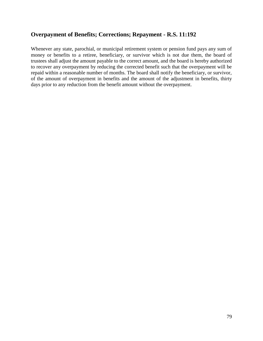# **Overpayment of Benefits; Corrections; Repayment - R.S. 11:192**

Whenever any state, parochial, or municipal retirement system or pension fund pays any sum of money or benefits to a retiree, beneficiary, or survivor which is not due them, the board of trustees shall adjust the amount payable to the correct amount, and the board is hereby authorized to recover any overpayment by reducing the corrected benefit such that the overpayment will be repaid within a reasonable number of months. The board shall notify the beneficiary, or survivor, of the amount of overpayment in benefits and the amount of the adjustment in benefits, thirty days prior to any reduction from the benefit amount without the overpayment.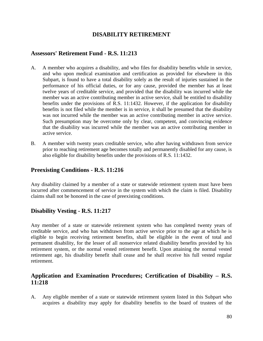### **DISABILITY RETIREMENT**

#### **Assessors' Retirement Fund - R.S. 11:213**

- A. A member who acquires a disability, and who files for disability benefits while in service, and who upon medical examination and certification as provided for elsewhere in this Subpart, is found to have a total disability solely as the result of injuries sustained in the performance of his official duties, or for any cause, provided the member has at least twelve years of creditable service, and provided that the disability was incurred while the member was an active contributing member in active service, shall be entitled to disability benefits under the provisions of R.S. 11:1432. However, if the application for disability benefits is not filed while the member is in service, it shall be presumed that the disability was not incurred while the member was an active contributing member in active service. Such presumption may be overcome only by clear, competent, and convincing evidence that the disability was incurred while the member was an active contributing member in active service.
- B. A member with twenty years creditable service, who after having withdrawn from service prior to reaching retirement age becomes totally and permanently disabled for any cause, is also eligible for disability benefits under the provisions of R.S. 11:1432.

## **Preexisting Conditions - R.S. 11:216**

Any disability claimed by a member of a state or statewide retirement system must have been incurred after commencement of service in the system with which the claim is filed. Disability claims shall not be honored in the case of preexisting conditions.

# **Disability Vesting - R.S. 11:217**

Any member of a state or statewide retirement system who has completed twenty years of creditable service, and who has withdrawn from active service prior to the age at which he is eligible to begin receiving retirement benefits, shall be eligible in the event of total and permanent disability, for the lesser of all nonservice related disability benefits provided by his retirement system, or the normal vested retirement benefit. Upon attaining the normal vested retirement age, his disability benefit shall cease and he shall receive his full vested regular retirement.

### **Application and Examination Procedures; Certification of Disability – R.S. 11:218**

A. Any eligible member of a state or statewide retirement system listed in this Subpart who acquires a disability may apply for disability benefits to the board of trustees of the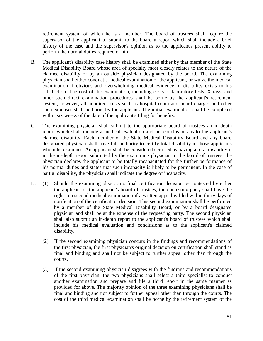retirement system of which he is a member. The board of trustees shall require the supervisor of the applicant to submit to the board a report which shall include a brief history of the case and the supervisor's opinion as to the applicant's present ability to perform the normal duties required of him.

- B. The applicant's disability case history shall be examined either by that member of the State Medical Disability Board whose area of specialty most closely relates to the nature of the claimed disability or by an outside physician designated by the board. The examining physician shall either conduct a medical examination of the applicant, or waive the medical examination if obvious and overwhelming medical evidence of disability exists to his satisfaction. The cost of the examination, including costs of laboratory tests, X-rays, and other such direct examination procedures shall be borne by the applicant's retirement system; however, all nondirect costs such as hospital room and board charges and other such expenses shall be borne by the applicant. The initial examination shall be completed within six weeks of the date of the applicant's filing for benefits.
- C. The examining physician shall submit to the appropriate board of trustees an in-depth report which shall include a medical evaluation and his conclusions as to the applicant's claimed disability. Each member of the State Medical Disability Board and any board designated physician shall have full authority to certify total disability in those applicants whom he examines. An applicant shall be considered certified as having a total disability if in the in-depth report submitted by the examining physician to the board of trustees, the physician declares the applicant to be totally incapacitated for the further performance of his normal duties and states that such incapacity is likely to be permanent. In the case of partial disability, the physician shall indicate the degree of incapacity.
- D. (1) Should the examining physician's final certification decision be contested by either the applicant or the applicant's board of trustees, the contesting party shall have the right to a second medical examination if a written appeal is filed within thirty days of notification of the certification decision. This second examination shall be performed by a member of the State Medical Disability Board, or by a board designated physician and shall be at the expense of the requesting party. The second physician shall also submit an in-depth report to the applicant's board of trustees which shall include his medical evaluation and conclusions as to the applicant's claimed disability.
	- (2) If the second examining physician concurs in the findings and recommendations of the first physician, the first physician's original decision on certification shall stand as final and binding and shall not be subject to further appeal other than through the courts.
	- (3) If the second examining physician disagrees with the findings and recommendations of the first physician, the two physicians shall select a third specialist to conduct another examination and prepare and file a third report in the same manner as provided for above. The majority opinion of the three examining physicians shall be final and binding and not subject to further appeal other than through the courts. The cost of the third medical examination shall be borne by the retirement system of the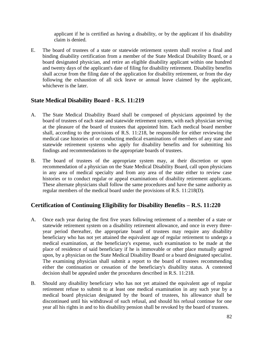applicant if he is certified as having a disability, or by the applicant if his disability claim is denied.

E. The board of trustees of a state or statewide retirement system shall receive a final and binding disability certification from a member of the State Medical Disability Board, or a board designated physician, and retire an eligible disability applicant within one hundred and twenty days of the applicant's date of filing for disability retirement. Disability benefits shall accrue from the filing date of the application for disability retirement, or from the day following the exhaustion of all sick leave or annual leave claimed by the applicant, whichever is the later.

# **State Medical Disability Board - R.S. 11:219**

- A. The State Medical Disability Board shall be composed of physicians appointed by the board of trustees of each state and statewide retirement system, with each physician serving at the pleasure of the board of trustees that appointed him. Each medical board member shall, according to the provisions of R.S. 11:218, be responsible for either reviewing the medical case histories of or conducting medical examinations of members of any state and statewide retirement systems who apply for disability benefits and for submitting his findings and recommendations to the appropriate boards of trustees.
- B. The board of trustees of the appropriate system may, at their discretion or upon recommendation of a physician on the State Medical Disability Board, call upon physicians in any area of medical specialty and from any area of the state either to review case histories or to conduct regular or appeal examinations of disability retirement applicants. These alternate physicians shall follow the same procedures and have the same authority as regular members of the medical board under the provisions of R.S. 11:218(D).

# **Certification of Continuing Eligibility for Disability Benefits – R.S. 11:220**

- A. Once each year during the first five years following retirement of a member of a state or statewide retirement system on a disability retirement allowance, and once in every threeyear period thereafter, the appropriate board of trustees may require any disability beneficiary who has not yet attained the equivalent age of regular retirement to undergo a medical examination, at the beneficiary's expense, such examination to be made at the place of residence of said beneficiary if he is immovable or other place mutually agreed upon, by a physician on the State Medical Disability Board or a board designated specialist. The examining physician shall submit a report to the board of trustees recommending either the continuation or cessation of the beneficiary's disability status. A contested decision shall be appealed under the procedures described in R.S. 11:218.
- B. Should any disability beneficiary who has not yet attained the equivalent age of regular retirement refuse to submit to at least one medical examination in any such year by a medical board physician designated by the board of trustees, his allowance shall be discontinued until his withdrawal of such refusal, and should his refusal continue for one year all his rights in and to his disability pension shall be revoked by the board of trustees.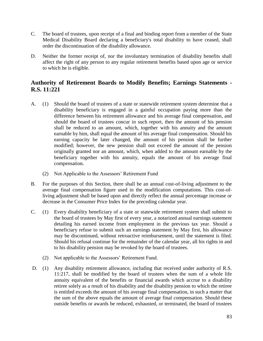- C. The board of trustees, upon receipt of a final and binding report from a member of the State Medical Disability Board declaring a beneficiary's total disability to have ceased, shall order the discontinuation of the disability allowance.
- D. Neither the former receipt of, nor the involuntary termination of disability benefits shall affect the right of any person to any regular retirement benefits based upon age or service to which he is eligible.

# **Authority of Retirement Boards to Modify Benefits; Earnings Statements - R.S. 11:221**

- A. (1) Should the board of trustees of a state or statewide retirement system determine that a disability beneficiary is engaged in a gainful occupation paying more than the difference between his retirement allowance and his average final compensation, and should the board of trustees concur in such report, then the amount of his pension shall be reduced to an amount, which, together with his annuity and the amount earnable by him, shall equal the amount of his average final compensation. Should his earning capacity be later changed, the amount of his pension shall be further modified; however, the new pension shall not exceed the amount of the pension originally granted nor an amount, which, when added to the amount earnable by the beneficiary together with his annuity, equals the amount of his average final compensation.
	- (2) Not Applicable to the Assessors' Retirement Fund
- B. For the purposes of this Section, there shall be an annual cost-of-living adjustment to the average final compensation figure used in the modification computations. This cost-ofliving adjustment shall be based upon and directly reflect the annual percentage increase or decrease in the Consumer Price Index for the preceding calendar year.
- C. (1) Every disability beneficiary of a state or statewide retirement system shall submit to the board of trustees by May first of every year, a notarized annual earnings statement detailing his earned income from employment in the previous tax year. Should a beneficiary refuse to submit such an earnings statement by May first, his allowance may be discontinued, without retroactive reimbursement, until the statement is filed. Should his refusal continue for the remainder of the calendar year, all his rights in and to his disability pension may be revoked by the board of trustees.
	- (2) Not applicable to the Assessors' Retirement Fund.
- D. (1) Any disability retirement allowance, including that received under authority of R.S. 11:217, shall be modified by the board of trustees when the sum of a whole life annuity equivalent of the benefits or financial awards which accrue to a disability retiree solely as a result of his disability and the disability pension to which the retiree is entitled exceeds the amount of his average final compensation, in such a matter that the sum of the above equals the amount of average final compensation. Should these outside benefits or awards be reduced, exhausted, or terminated, the board of trustees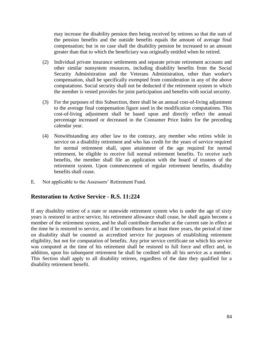may increase the disability pension then being received by retirees so that the sum of the pension benefits and the outside benefits equals the amount of average final compensation; but in no case shall the disability pension be increased to an amount greater than that to which the beneficiary was originally entitled when he retired.

- (2) Individual private insurance settlements and separate private retirement accounts and other similar nonsystem resources, including disability benefits from the Social Security Administration and the Veterans Administration, other than worker's compensation, shall be specifically exempted from consideration in any of the above computations. Social security shall not be deducted if the retirement system in which the member is vested provides for joint participation and benefits with social security.
- (3) For the purposes of this Subsection, there shall be an annual cost-of-living adjustment to the average final compensation figure used in the modification computations. This cost-of-living adjustment shall be based upon and directly reflect the annual percentage increased or decreased in the Consumer Price Index for the preceding calendar year.
- (4) Notwithstanding any other law to the contrary, any member who retires while in service on a disability retirement and who has credit for the years of service required for normal retirement shall, upon attainment of the age required for normal retirement, be eligible to receive full normal retirement benefits. To receive such benefits, the member shall file an application with the board of trustees of the retirement system. Upon commencement of regular retirement benefits, disability benefits shall cease.
- E. Not applicable to the Assessors' Retirement Fund.

#### **Restoration to Active Service - R.S. 11:224**

If any disability retiree of a state or statewide retirement system who is under the age of sixty years is restored to active service, his retirement allowance shall cease, he shall again become a member of the retirement system, and he shall contribute thereafter at the current rate in effect at the time he is restored to service, and if he contributes for at least three years, the period of time on disability shall be counted as accredited service for purposes of establishing retirement eligibility, but not for computation of benefits. Any prior service certificate on which his service was computed at the time of his retirement shall be restored to full force and effect and, in addition, upon his subsequent retirement he shall be credited with all his service as a member. This Section shall apply to all disability retirees, regardless of the date they qualified for a disability retirement benefit.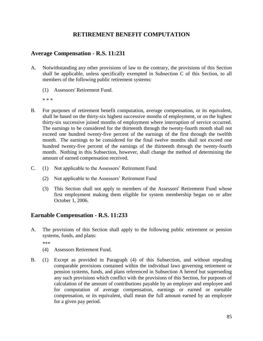# **RETIREMENT BENEFIT COMPUTATION**

## **Average Compensation - R.S. 11:231**

- A. Notwithstanding any other provisions of law to the contrary, the provisions of this Section shall be applicable, unless specifically exempted in Subsection C of this Section, to all members of the following public retirement systems:
	- (1) Assessors' Retirement Fund.

\* \* \*

- B. For purposes of retirement benefit computation, average compensation, or its equivalent, shall be based on the thirty-six highest successive months of employment, or on the highest thirty-six successive joined months of employment where interruption of service occurred. The earnings to be considered for the thirteenth through the twenty-fourth month shall not exceed one hundred twenty-five percent of the earnings of the first through the twelfth month. The earnings to be considered for the final twelve months shall not exceed one hundred twenty-five percent of the earnings of the thirteenth through the twenty-fourth month. Nothing in this Subsection, however, shall change the method of determining the amount of earned compensation received.
- C. (1) Not applicable to the Assessors' Retirement Fund
	- (2) Not applicable to the Assessors' Retirement Fund
	- (3) This Section shall not apply to members of the Assessors' Retirement Fund whose first employment making them eligible for system membership began on or after October 1, 2006.

#### **Earnable Compensation - R.S. 11:233**

A. The provisions of this Section shall apply to the following public retirement or pension systems, funds, and plans:

\*\*\*

- (4) Assessors Retirement Fund.
- B. (1) Except as provided in Paragraph (4) of this Subsection, and without repealing comparable provisions contained within the individual laws governing retirement or pension systems, funds, and plans referenced in Subsection A hereof but superseding any such provisions which conflict with the provisions of this Section, for purposes of calculation of the amount of contributions payable by an employer and employee and for computation of average compensation, earnings or earned or earnable compensation, or its equivalent, shall mean the full amount earned by an employee for a given pay period.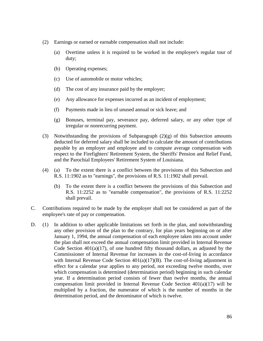- (2) Earnings or earned or earnable compensation shall not include:
	- (a) Overtime unless it is required to be worked in the employee's regular tour of duty;
	- (b) Operating expenses;
	- (c) Use of automobile or motor vehicles;
	- (d) The cost of any insurance paid by the employer;
	- (e) Any allowance for expenses incurred as an incident of employment;
	- (f) Payments made in lieu of unused annual or sick leave; and
	- (g) Bonuses, terminal pay, severance pay, deferred salary, or any other type of irregular or nonrecurring payment.
- (3) Notwithstanding the provisions of Subparagraph (2)(g) of this Subsection amounts deducted for deferred salary shall be included to calculate the amount of contributions payable by an employer and employee and to compute average compensation with respect to the Firefighters' Retirement System, the Sheriffs' Pension and Relief Fund, and the Parochial Employees' Retirement System of Louisiana.
- (4) (a) To the extent there is a conflict between the provisions of this Subsection and R.S. 11:1902 as to "earnings", the provisions of R.S. 11:1902 shall prevail.
	- (b) To the extent there is a conflict between the provisions of this Subsection and R.S. 11:2252 as to "earnable compensation", the provisions of R.S. 11:2252 shall prevail.
- C. Contributions required to be made by the employer shall not be considered as part of the employee's rate of pay or compensation.
- D. (1) In addition to other applicable limitations set forth in the plan, and notwithstanding any other provision of the plan to the contrary, for plan years beginning on or after January 1, 1994, the annual compensation of each employee taken into account under the plan shall not exceed the annual compensation limit provided in Internal Revenue Code Section  $401(a)(17)$ , of one hundred fifty thousand dollars, as adjusted by the Commissioner of Internal Revenue for increases in the cost-of-living in accordance with Internal Revenue Code Section  $401(a)(17)(B)$ . The cost-of-living adjustment in effect for a calendar year applies to any period, not exceeding twelve months, over which compensation is determined (determination period) beginning in such calendar year. If a determination period consists of fewer than twelve months, the annual compensation limit provided in Internal Revenue Code Section 401(a)(17) will be multiplied by a fraction, the numerator of which is the number of months in the determination period, and the denominator of which is twelve.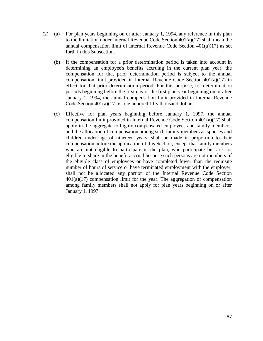- (2) (a) For plan years beginning on or after January 1, 1994, any reference in this plan to the limitation under Internal Revenue Code Section 401(a)(17) shall mean the annual compensation limit of Internal Revenue Code Section 401(a)(17) as set forth in this Subsection.
	- (b) If the compensation for a prior determination period is taken into account in determining an employee's benefits accruing in the current plan year, the compensation for that prior determination period is subject to the annual compensation limit provided in Internal Revenue Code Section 401(a)(17) in effect for that prior determination period. For this purpose, for determination periods beginning before the first day of the first plan year beginning on or after January 1, 1994, the annual compensation limit provided in Internal Revenue Code Section  $401(a)(17)$  is one hundred fifty thousand dollars.
	- (c) Effective for plan years beginning before January 1, 1997, the annual compensation limit provided in Internal Revenue Code Section 401(a)(17) shall apply in the aggregate to highly compensated employees and family members, and the allocation of compensation among such family members as spouses and children under age of nineteen years, shall be made in proportion to their compensation before the application of this Section, except that family members who are not eligible to participate in the plan, who participate but are not eligible to share in the benefit accrual because such persons are not members of the eligible class of employees or have completed fewer than the requisite number of hours of service or have terminated employment with the employer, shall not be allocated any portion of the Internal Revenue Code Section  $401(a)(17)$  compensation limit for the year. The aggregation of compensation among family members shall not apply for plan years beginning on or after January 1, 1997.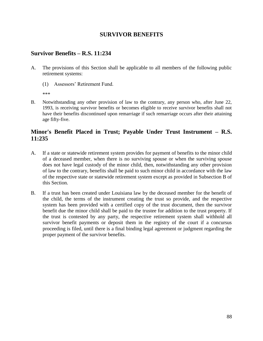### **SURVIVOR BENEFITS**

### **Survivor Benefits – R.S. 11:234**

- A. The provisions of this Section shall be applicable to all members of the following public retirement systems:
	- (1) Assessors' Retirement Fund.

\*\*\*

B. Notwithstanding any other provision of law to the contrary, any person who, after June 22, 1993, is receiving survivor benefits or becomes eligible to receive survivor benefits shall not have their benefits discontinued upon remarriage if such remarriage occurs after their attaining age fifty-five.

## **Minor's Benefit Placed in Trust; Payable Under Trust Instrument – R.S. 11:235**

- A. If a state or statewide retirement system provides for payment of benefits to the minor child of a deceased member, when there is no surviving spouse or when the surviving spouse does not have legal custody of the minor child, then, notwithstanding any other provision of law to the contrary, benefits shall be paid to such minor child in accordance with the law of the respective state or statewide retirement system except as provided in Subsection B of this Section.
- B. If a trust has been created under Louisiana law by the deceased member for the benefit of the child, the terms of the instrument creating the trust so provide, and the respective system has been provided with a certified copy of the trust document, then the survivor benefit due the minor child shall be paid to the trustee for addition to the trust property. If the trust is contested by any party, the respective retirement system shall withhold all survivor benefit payments or deposit them in the registry of the court if a concursus proceeding is filed, until there is a final binding legal agreement or judgment regarding the proper payment of the survivor benefits.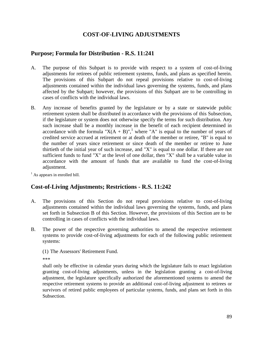# **COST-OF-LIVING ADJUSTMENTS**

#### **Purpose; Formula for Distribution - R.S. 11:241**

- A. The purpose of this Subpart is to provide with respect to a system of cost-of-living adjustments for retirees of public retirement systems, funds, and plans as specified herein. The provisions of this Subpart do not repeal provisions relative to cost-of-living adjustments contained within the individual laws governing the systems, funds, and plans affected by the Subpart; however, the provisions of this Subpart are to be controlling in cases of conflicts with the individual laws.
- B. Any increase of benefits granted by the legislature or by a state or statewide public retirement system shall be distributed in accordance with the provisions of this Subsection, if the legislature or system does not otherwise specify the terms for such distribution. Any such increase shall be a monthly increase in the benefit of each recipient determined in accordance with the formula " $X(A + B)$ ",<sup>1</sup> where "A" is equal to the number of years of credited service accrued at retirement or at death of the member or retiree, "B" is equal to the number of years since retirement or since death of the member or retiree to June thirtieth of the initial year of such increase, and "X" is equal to one dollar. If there are not sufficient funds to fund "X" at the level of one dollar, then "X" shall be a variable value in accordance with the amount of funds that are available to fund the cost-of-living adjustment.

 $<sup>1</sup>$  As appears in enrolled bill.</sup>

#### **Cost-of-Living Adjustments; Restrictions - R.S. 11:242**

- A. The provisions of this Section do not repeal provisions relative to cost-of-living adjustments contained within the individual laws governing the systems, funds, and plans set forth in Subsection B of this Section. However, the provisions of this Section are to be controlling in cases of conflicts with the individual laws.
- B. The power of the respective governing authorities to amend the respective retirement systems to provide cost-of-living adjustments for each of the following public retirement systems:

(1) The Assessors' Retirement Fund.

\*\*\*

shall only be effective in calendar years during which the legislature fails to enact legislation granting cost-of-living adjustments, unless in the legislation granting a cost-of-living adjustment, the legislature specifically authorized the aforementioned systems to amend the respective retirement systems to provide an additional cost-of-living adjustment to retirees or survivors of retired public employees of particular systems, funds, and plans set forth in this Subsection.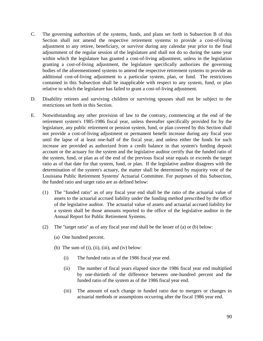- C. The governing authorities of the systems, funds, and plans set forth in Subsection B of this Section shall not amend the respective retirement systems to provide a cost-of-living adjustment to any retiree, beneficiary, or survivor during any calendar year prior to the final adjournment of the regular session of the legislature and shall not do so during the same year within which the legislature has granted a cost-of-living adjustment, unless in the legislation granting a cost-of-living adjustment, the legislature specifically authorizes the governing bodies of the aforementioned systems to amend the respective retirement systems to provide an additional cost-of-living adjustment to a particular system, plan, or fund. The restrictions contained in this Subsection shall be inapplicable with respect to any system, fund, or plan relative to which the legislature has failed to grant a cost-of-living adjustment.
- D. Disability retirees and surviving children or surviving spouses shall not be subject to the restrictions set forth in this Section.
- E. Notwithstanding any other provision of law to the contrary, commencing at the end of the retirement system's 1985-1986 fiscal year, unless thereafter specifically provided for by the legislature, any public retirement or pension system, fund, or plan covered by this Section shall not provide a cost-of-living adjustment or permanent benefit increase during any fiscal year until the lapse of at least one-half of the fiscal year, and unless either the funds for such increase are provided as authorized from a credit balance in that system's funding deposit account or the actuary for the system and the legislative auditor certify that the funded ratio of the system, fund, or plan as of the end of the previous fiscal year equals or exceeds the target ratio as of that date for that system, fund, or plan. If the legislative auditor disagrees with the determination of the system's actuary, the matter shall be determined by majority vote of the Louisiana Public Retirement Systems' Actuarial Committee. For purposes of this Subsection, the funded ratio and target ratio are as defined below:
	- (1) The "funded ratio" as of any fiscal year end shall be the ratio of the actuarial value of assets to the actuarial accrued liability under the funding method prescribed by the office of the legislative auditor. The actuarial value of assets and actuarial accrued liability for a system shall be those amounts reported to the office of the legislative auditor in the Annual Report for Public Retirement Systems.
	- (2) The "target ratio" as of any fiscal year end shall be the lesser of (a) or (b) below:
		- (a) One hundred percent.
		- (b) The sum of  $(i)$ ,  $(ii)$ ,  $(iii)$ , and  $(iv)$  below:
			- (i) The funded ratio as of the 1986 fiscal year end.
			- (ii) The number of fiscal years elapsed since the 1986 fiscal year end multiplied by one-thirtieth of the difference between one-hundred percent and the funded ratio of the system as of the 1986 fiscal year end.
			- (iii) The amount of each change in funded ratio due to mergers or changes in actuarial methods or assumptions occurring after the fiscal 1986 year end.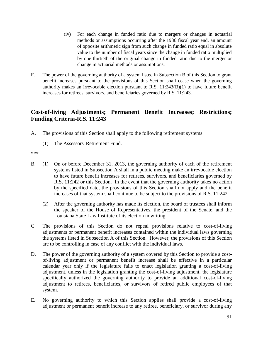- (iv) For each change in funded ratio due to mergers or changes in actuarial methods or assumptions occurring after the 1986 fiscal year end, an amount of opposite arithmetic sign from such change in funded ratio equal in absolute value to the number of fiscal years since the change in funded ratio multiplied by one-thirtieth of the original change in funded ratio due to the merger or change in actuarial methods or assumptions.
- F. The power of the governing authority of a system listed in Subsection B of this Section to grant benefit increases pursuant to the provisions of this Section shall cease when the governing authority makes an irrevocable election pursuant to R.S. 11:243(B)(1) to have future benefit increases for retirees, survivors, and beneficiaries governed by R.S. 11:243.

## **Cost-of-living Adjustments; Permanent Benefit Increases; Restrictions; Funding Criteria-R.S. 11:243**

- A. The provisions of this Section shall apply to the following retirement systems:
	- (1) The Assessors' Retirement Fund.

\*\*\*

- B. (1) On or before December 31, 2013, the governing authority of each of the retirement systems listed in Subsection A shall in a public meeting make an irrevocable election to have future benefit increases for retirees, survivors, and beneficiaries governed by R.S. 11:242 or this Section. In the event that the governing authority takes no action by the specified date, the provisions of this Section shall not apply and the benefit increases of that system shall continue to be subject to the provisions of R.S. 11:242.
	- (2) After the governing authority has made its election, the board of trustees shall inform the speaker of the House of Representatives, the president of the Senate, and the Louisiana State Law Institute of its election in writing.
- C. The provisions of this Section do not repeal provisions relative to cost-of-living adjustments or permanent benefit increases contained within the individual laws governing the systems listed in Subsection A of this Section. However, the provisions of this Section are to be controlling in case of any conflict with the individual laws.
- D. The power of the governing authority of a system covered by this Section to provide a costof-living adjustment or permanent benefit increase shall be effective in a particular calendar year only if the legislature fails to enact legislation granting a cost-of-living adjustment, unless in the legislation granting the cost-of-living adjustment, the legislature specifically authorized the governing authority to provide an additional cost-of-living adjustment to retirees, beneficiaries, or survivors of retired public employees of that system.
- E. No governing authority to which this Section applies shall provide a cost-of-living adjustment or permanent benefit increase to any retiree, beneficiary, or survivor during any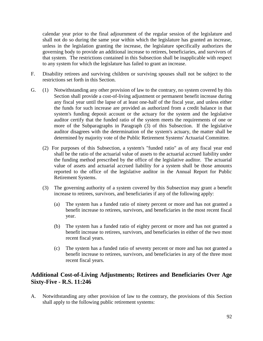calendar year prior to the final adjournment of the regular session of the legislature and shall not do so during the same year within which the legislature has granted an increase, unless in the legislation granting the increase, the legislature specifically authorizes the governing body to provide an additional increase to retirees, beneficiaries, and survivors of that system. The restrictions contained in this Subsection shall be inapplicable with respect to any system for which the legislature has failed to grant an increase.

- F. Disability retirees and surviving children or surviving spouses shall not be subject to the restrictions set forth in this Section.
- G. (1) Notwithstanding any other provision of law to the contrary, no system covered by this Section shall provide a cost-of-living adjustment or permanent benefit increase during any fiscal year until the lapse of at least one-half of the fiscal year, and unless either the funds for such increase are provided as authorized from a credit balance in that system's funding deposit account or the actuary for the system and the legislative auditor certify that the funded ratio of the system meets the requirements of one or more of the Subparagraphs in Paragraph (3) of this Subsection. If the legislative auditor disagrees with the determination of the system's actuary, the matter shall be determined by majority vote of the Public Retirement Systems' Actuarial Committee.
	- (2) For purposes of this Subsection, a system's "funded ratio" as of any fiscal year end shall be the ratio of the actuarial value of assets to the actuarial accrued liability under the funding method prescribed by the office of the legislative auditor. The actuarial value of assets and actuarial accrued liability for a system shall be those amounts reported to the office of the legislative auditor in the Annual Report for Public Retirement Systems.
	- (3) The governing authority of a system covered by this Subsection may grant a benefit increase to retirees, survivors, and beneficiaries if any of the following apply:
		- (a) The system has a funded ratio of ninety percent or more and has not granted a benefit increase to retirees, survivors, and beneficiaries in the most recent fiscal year.
		- (b) The system has a funded ratio of eighty percent or more and has not granted a benefit increase to retirees, survivors, and beneficiaries in either of the two most recent fiscal years.
		- (c) The system has a funded ratio of seventy percent or more and has not granted a benefit increase to retirees, survivors, and beneficiaries in any of the three most recent fiscal years.

# **Additional Cost-of-Living Adjustments; Retirees and Beneficiaries Over Age Sixty-Five - R.S. 11:246**

A. Notwithstanding any other provision of law to the contrary, the provisions of this Section shall apply to the following public retirement systems: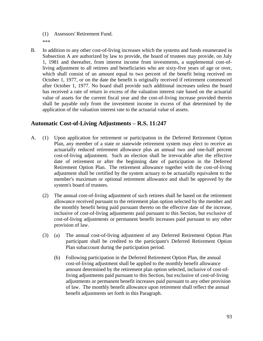(1) Assessors' Retirement Fund. \*\*\*

B. In addition to any other cost-of-living increases which the systems and funds enumerated in Subsection A are authorized by law to provide, the board of trustees may provide, on July 1, 1981 and thereafter, from interest income from investments, a supplemental cost-ofliving adjustment to all retirees and beneficiaries who are sixty-five years of age or over, which shall consist of an amount equal to two percent of the benefit being received on October 1, 1977, or on the date the benefit is originally received if retirement commenced after October 1, 1977. No board shall provide such additional increases unless the board has received a rate of return in excess of the valuation interest rate based on the actuarial value of assets for the current fiscal year and the cost-of-living increase provided therein shall be payable only from the investment income in excess of that determined by the application of the valuation interest rate to the actuarial value of assets.

# **Automatic Cost-of-Living Adjustments – R.S. 11:247**

- A. (1) Upon application for retirement or participation in the Deferred Retirement Option Plan, any member of a state or statewide retirement system may elect to receive an actuarially reduced retirement allowance plus an annual two and one-half percent cost-of-living adjustment. Such an election shall be irrevocable after the effective date of retirement or after the beginning date of participation in the Deferred Retirement Option Plan. The retirement allowance together with the cost-of-living adjustment shall be certified by the system actuary to be actuarially equivalent to the member's maximum or optional retirement allowance and shall be approved by the system's board of trustees.
	- (2) The annual cost-of-living adjustment of such retirees shall be based on the retirement allowance received pursuant to the retirement plan option selected by the member and the monthly benefit being paid pursuant thereto on the effective date of the increase, inclusive of cost-of-living adjustments paid pursuant to this Section, but exclusive of cost-of-living adjustments or permanent benefit increases paid pursuant to any other provision of law.
	- (3) (a) The annual cost-of-living adjustment of any Deferred Retirement Option Plan participant shall be credited to the participant's Deferred Retirement Option Plan subaccount during the participation period.
		- (b) Following participation in the Deferred Retirement Option Plan, the annual cost-of-living adjustment shall be applied to the monthly benefit allowance amount determined by the retirement plan option selected, inclusive of cost-ofliving adjustments paid pursuant to this Section, but exclusive of cost-of-living adjustments or permanent benefit increases paid pursuant to any other provision of law. The monthly benefit allowance upon retirement shall reflect the annual benefit adjustments set forth in this Paragraph.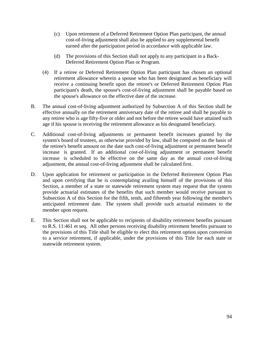- (c) Upon retirement of a Deferred Retirement Option Plan participant, the annual cost-of-living adjustment shall also be applied to any supplemental benefit earned after the participation period in accordance with applicable law.
- (d) The provisions of this Section shall not apply to any participant in a Back-Deferred Retirement Option Plan or Program.
- (4) If a retiree or Deferred Retirement Option Plan participant has chosen an optional retirement allowance wherein a spouse who has been designated as beneficiary will receive a continuing benefit upon the retiree's or Deferred Retirement Option Plan participant's death, the spouse's cost-of-living adjustment shall be payable based on the spouse's allowance on the effective date of the increase.
- B. The annual cost-of-living adjustment authorized by Subsection A of this Section shall be effective annually on the retirement anniversary date of the retiree and shall be payable to any retiree who is age fifty-five or older and not before the retiree would have attained such age if his spouse is receiving the retirement allowance as his designated beneficiary.
- C. Additional cost-of-living adjustments or permanent benefit increases granted by the system's board of trustees, as otherwise provided by law, shall be computed on the basis of the retiree's benefit amount on the date such cost-of-living adjustment or permanent benefit increase is granted. If an additional cost-of-living adjustment or permanent benefit increase is scheduled to be effective on the same day as the annual cost-of-living adjustment, the annual cost-of-living adjustment shall be calculated first.
- D. Upon application for retirement or participation in the Deferred Retirement Option Plan and upon certifying that he is contemplating availing himself of the provisions of this Section, a member of a state or statewide retirement system may request that the system provide actuarial estimates of the benefits that such member would receive pursuant to Subsection A of this Section for the fifth, tenth, and fifteenth year following the member's anticipated retirement date. The system shall provide such actuarial estimates to the member upon request.
- E. This Section shall not be applicable to recipients of disability retirement benefits pursuant to R.S. 11:461 et seq. All other persons receiving disability retirement benefits pursuant to the provisions of this Title shall be eligible to elect this retirement option upon conversion to a service retirement, if applicable, under the provisions of this Title for each state or statewide retirement system.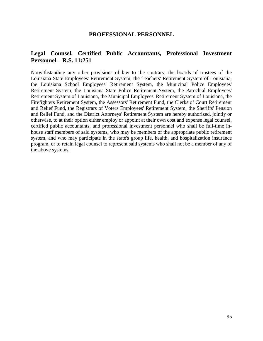#### **PROFESSIONAL PERSONNEL**

#### **Legal Counsel, Certified Public Accountants, Professional Investment Personnel – R.S. 11:251**

Notwithstanding any other provisions of law to the contrary, the boards of trustees of the Louisiana State Employees' Retirement System, the Teachers' Retirement System of Louisiana, the Louisiana School Employees' Retirement System, the Municipal Police Employees' Retirement System, the Louisiana State Police Retirement System, the Parochial Employees' Retirement System of Louisiana, the Municipal Employees' Retirement System of Louisiana, the Firefighters Retirement System, the Assessors' Retirement Fund, the Clerks of Court Retirement and Relief Fund, the Registrars of Voters Employees' Retirement System, the Sheriffs' Pension and Relief Fund, and the District Attorneys' Retirement System are hereby authorized, jointly or otherwise, to at their option either employ or appoint at their own cost and expense legal counsel, certified public accountants, and professional investment personnel who shall be full-time inhouse staff members of said systems, who may be members of the appropriate public retirement system, and who may participate in the state's group life, health, and hospitalization insurance program, or to retain legal counsel to represent said systems who shall not be a member of any of the above systems.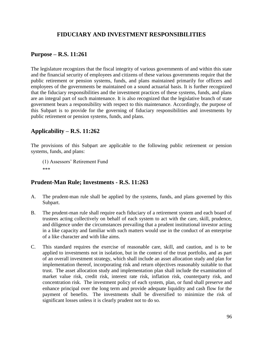# **FIDUCIARY AND INVESTMENT RESPONSIBILITIES**

#### **Purpose – R.S. 11:261**

The legislature recognizes that the fiscal integrity of various governments of and within this state and the financial security of employees and citizens of these various governments require that the public retirement or pension systems, funds, and plans maintained primarily for officers and employees of the governments be maintained on a sound actuarial basis. It is further recognized that the fiduciary responsibilities and the investment practices of these systems, funds, and plans are an integral part of such maintenance. It is also recognized that the legislative branch of state government bears a responsibility with respect to this maintenance. Accordingly, the purpose of this Subpart is to provide for the governing of fiduciary responsibilities and investments by public retirement or pension systems, funds, and plans.

# **Applicability – R.S. 11:262**

The provisions of this Subpart are applicable to the following public retirement or pension systems, funds, and plans:

(1) Assessors' Retirement Fund \*\*\*

# **Prudent-Man Rule; Investments - R.S. 11:263**

- A. The prudent-man rule shall be applied by the systems, funds, and plans governed by this Subpart.
- B. The prudent-man rule shall require each fiduciary of a retirement system and each board of trustees acting collectively on behalf of each system to act with the care, skill, prudence, and diligence under the circumstances prevailing that a prudent institutional investor acting in a like capacity and familiar with such matters would use in the conduct of an enterprise of a like character and with like aims.
- C. This standard requires the exercise of reasonable care, skill, and caution, and is to be applied to investments not in isolation, but in the context of the trust portfolio, and as part of an overall investment strategy, which shall include an asset allocation study and plan for implementation thereof, incorporating risk and return objectives reasonably suitable to that trust. The asset allocation study and implementation plan shall include the examination of market value risk, credit risk, interest rate risk, inflation risk, counterparty risk, and concentration risk. The investment policy of each system, plan, or fund shall preserve and enhance principal over the long term and provide adequate liquidity and cash flow for the payment of benefits. The investments shall be diversified to minimize the risk of significant losses unless it is clearly prudent not to do so.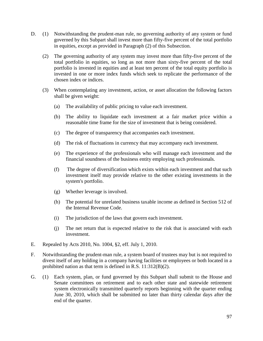- D. (1) Notwithstanding the prudent-man rule, no governing authority of any system or fund governed by this Subpart shall invest more than fifty-five percent of the total portfolio in equities, except as provided in Paragraph (2) of this Subsection.
	- (2) The governing authority of any system may invest more than fifty-five percent of the total portfolio in equities, so long as not more than sixty-five percent of the total portfolio is invested in equities and at least ten percent of the total equity portfolio is invested in one or more index funds which seek to replicate the performance of the chosen index or indices.
	- (3) When contemplating any investment, action, or asset allocation the following factors shall be given weight:
		- (a) The availability of public pricing to value each investment.
		- (b) The ability to liquidate each investment at a fair market price within a reasonable time frame for the size of investment that is being considered.
		- (c) The degree of transparency that accompanies each investment.
		- (d) The risk of fluctuations in currency that may accompany each investment.
		- (e) The experience of the professionals who will manage each investment and the financial soundness of the business entity employing such professionals.
		- (f) The degree of diversification which exists within each investment and that such investment itself may provide relative to the other existing investments in the system's portfolio.
		- (g) Whether leverage is involved.
		- (h) The potential for unrelated business taxable income as defined in Section 512 of the Internal Revenue Code.
		- (i) The jurisdiction of the laws that govern each investment.
		- (j) The net return that is expected relative to the risk that is associated with each investment.
- E. Repealed by Acts 2010, No. 1004, §2, eff. July 1, 2010.
- F. Notwithstanding the prudent-man rule, a system board of trustees may but is not required to divest itself of any holding in a company having facilities or employees or both located in a prohibited nation as that term is defined in R.S. 11:312(B)(2).
- G. (1) Each system, plan, or fund governed by this Subpart shall submit to the House and Senate committees on retirement and to each other state and statewide retirement system electronically transmitted quarterly reports beginning with the quarter ending June 30, 2010, which shall be submitted no later than thirty calendar days after the end of the quarter.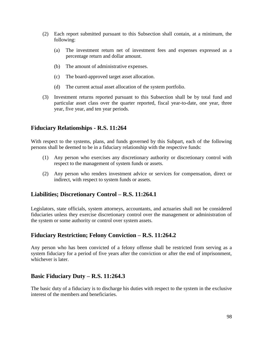- (2) Each report submitted pursuant to this Subsection shall contain, at a minimum, the following:
	- (a) The investment return net of investment fees and expenses expressed as a percentage return and dollar amount.
	- (b) The amount of administrative expenses.
	- (c) The board-approved target asset allocation.
	- (d) The current actual asset allocation of the system portfolio.
- (3) Investment returns reported pursuant to this Subsection shall be by total fund and particular asset class over the quarter reported, fiscal year-to-date, one year, three year, five year, and ten year periods.

### **Fiduciary Relationships - R.S. 11:264**

With respect to the systems, plans, and funds governed by this Subpart, each of the following persons shall be deemed to be in a fiduciary relationship with the respective funds:

- (1) Any person who exercises any discretionary authority or discretionary control with respect to the management of system funds or assets.
- (2) Any person who renders investment advice or services for compensation, direct or indirect, with respect to system funds or assets.

# **Liabilities; Discretionary Control – R.S. 11:264.1**

Legislators, state officials, system attorneys, accountants, and actuaries shall not be considered fiduciaries unless they exercise discretionary control over the management or administration of the system or some authority or control over system assets.

# **Fiduciary Restriction; Felony Conviction – R.S. 11:264.2**

Any person who has been convicted of a felony offense shall be restricted from serving as a system fiduciary for a period of five years after the conviction or after the end of imprisonment, whichever is later.

# **Basic Fiduciary Duty – R.S. 11:264.3**

The basic duty of a fiduciary is to discharge his duties with respect to the system in the exclusive interest of the members and beneficiaries.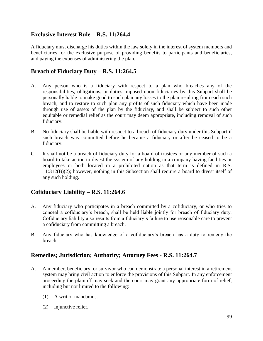# **Exclusive Interest Rule – R.S. 11:264.4**

A fiduciary must discharge his duties within the law solely in the interest of system members and beneficiaries for the exclusive purpose of providing benefits to participants and beneficiaries, and paying the expenses of administering the plan.

## **Breach of Fiduciary Duty – R.S. 11:264.5**

- A. Any person who is a fiduciary with respect to a plan who breaches any of the responsibilities, obligations, or duties imposed upon fiduciaries by this Subpart shall be personally liable to make good to such plan any losses to the plan resulting from each such breach, and to restore to such plan any profits of such fiduciary which have been made through use of assets of the plan by the fiduciary, and shall be subject to such other equitable or remedial relief as the court may deem appropriate, including removal of such fiduciary.
- B. No fiduciary shall be liable with respect to a breach of fiduciary duty under this Subpart if such breach was committed before he became a fiduciary or after he ceased to be a fiduciary.
- C. It shall not be a breach of fiduciary duty for a board of trustees or any member of such a board to take action to divest the system of any holding in a company having facilities or employees or both located in a prohibited nation as that term is defined in R.S. 11:312(B)(2); however, nothing in this Subsection shall require a board to divest itself of any such holding.

# **Cofiduciary Liability – R.S. 11:264.6**

- A. Any fiduciary who participates in a breach committed by a cofiduciary, or who tries to conceal a cofiduciary's breach, shall be held liable jointly for breach of fiduciary duty. Cofiduciary liability also results from a fiduciary's failure to use reasonable care to prevent a cofiduciary from committing a breach.
- B. Any fiduciary who has knowledge of a cofiduciary's breach has a duty to remedy the breach.

#### **Remedies; Jurisdiction; Authority; Attorney Fees - R.S. 11:264.7**

- A. A member, beneficiary, or survivor who can demonstrate a personal interest in a retirement system may bring civil action to enforce the provisions of this Subpart. In any enforcement proceeding the plaintiff may seek and the court may grant any appropriate form of relief, including but not limited to the following:
	- (1) A writ of mandamus.
	- (2) Injunctive relief.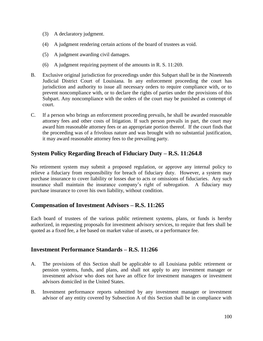- (3) A declaratory judgment.
- (4) A judgment rendering certain actions of the board of trustees as void.
- (5) A judgment awarding civil damages.
- (6) A judgment requiring payment of the amounts in R. S. 11:269.
- B. Exclusive original jurisdiction for proceedings under this Subpart shall be in the Nineteenth Judicial District Court of Louisiana. In any enforcement proceeding the court has jurisdiction and authority to issue all necessary orders to require compliance with, or to prevent noncompliance with, or to declare the rights of parties under the provisions of this Subpart. Any noncompliance with the orders of the court may be punished as contempt of court.
- C. If a person who brings an enforcement proceeding prevails, he shall be awarded reasonable attorney fees and other costs of litigation. If such person prevails in part, the court may award him reasonable attorney fees or an appropriate portion thereof. If the court finds that the proceeding was of a frivolous nature and was brought with no substantial justification, it may award reasonable attorney fees to the prevailing party.

# **System Policy Regarding Breach of Fiduciary Duty – R.S. 11:264.8**

No retirement system may submit a proposed regulation, or approve any internal policy to relieve a fiduciary from responsibility for breach of fiduciary duty. However, a system may purchase insurance to cover liability or losses due to acts or omissions of fiduciaries. Any such insurance shall maintain the insurance company's right of subrogation. A fiduciary may purchase insurance to cover his own liability, without condition.

#### **Compensation of Investment Advisors – R.S. 11:265**

Each board of trustees of the various public retirement systems, plans, or funds is hereby authorized, in requesting proposals for investment advisory services, to require that fees shall be quoted as a fixed fee, a fee based on market value of assets, or a performance fee.

# **Investment Performance Standards – R.S. 11:266**

- A. The provisions of this Section shall be applicable to all Louisiana public retirement or pension systems, funds, and plans, and shall not apply to any investment manager or investment advisor who does not have an office for investment managers or investment advisors domiciled in the United States.
- B. Investment performance reports submitted by any investment manager or investment advisor of any entity covered by Subsection A of this Section shall be in compliance with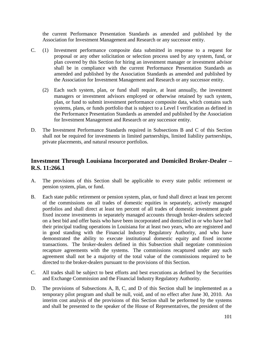the current Performance Presentation Standards as amended and published by the Association for Investment Management and Research or any successor entity.

- C. (1) Investment performance composite data submitted in response to a request for proposal or any other solicitation or selection process used by any system, fund, or plan covered by this Section for hiring an investment manager or investment advisor shall be in compliance with the current Performance Presentation Standards as amended and published by the Association Standards as amended and published by the Association for Investment Management and Research or any successor entity.
	- (2) Each such system, plan, or fund shall require, at least annually, the investment managers or investment advisors employed or otherwise retained by such system, plan, or fund to submit investment performance composite data, which contains such systems, plans, or funds portfolio that is subject to a Level I verification as defined in the Performance Presentation Standards as amended and published by the Association for Investment Management and Research or any successor entity.
- D. The Investment Performance Standards required in Subsections B and C of this Section shall not be required for investments in limited partnerships, limited liability partnerships, private placements, and natural resource portfolios.

### **Investment Through Louisiana Incorporated and Domiciled Broker-Dealer – R.S. 11:266.1**

- A. The provisions of this Section shall be applicable to every state public retirement or pension system, plan, or fund.
- B. Each state public retirement or pension system, plan, or fund shall direct at least ten percent of the commissions on all trades of domestic equities in separately, actively managed portfolios and shall direct at least ten percent of all trades of domestic investment grade fixed income investments in separately managed accounts through broker-dealers selected on a best bid and offer basis who have been incorporated and domiciled in or who have had their principal trading operations in Louisiana for at least two years, who are registered and in good standing with the Financial Industry Regulatory Authority, and who have demonstrated the ability to execute institutional domestic equity and fixed income transactions. The broker-dealers defined in this Subsection shall negotiate commission recapture agreements with the systems. The commissions recaptured under any such agreement shall not be a majority of the total value of the commissions required to be directed to the broker-dealers pursuant to the provisions of this Section.
- C. All trades shall be subject to best efforts and best executions as defined by the Securities and Exchange Commission and the Financial Industry Regulatory Authority.
- D. The provisions of Subsections A, B, C, and D of this Section shall be implemented as a temporary pilot program and shall be null, void, and of no effect after June 30, 2010. An interim cost analysis of the provisions of this Section shall be performed by the systems and shall be presented to the speaker of the House of Representatives, the president of the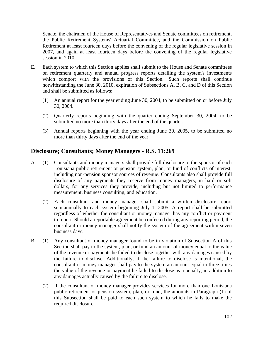Senate, the chairmen of the House of Representatives and Senate committees on retirement, the Public Retirement Systems' Actuarial Committee, and the Commission on Public Retirement at least fourteen days before the convening of the regular legislative session in 2007, and again at least fourteen days before the convening of the regular legislative session in 2010.

- E. Each system to which this Section applies shall submit to the House and Senate committees on retirement quarterly and annual progress reports detailing the system's investments which comport with the provisions of this Section. Such reports shall continue notwithstanding the June 30, 2010, expiration of Subsections A, B, C, and D of this Section and shall be submitted as follows:
	- (1) An annual report for the year ending June 30, 2004, to be submitted on or before July 30, 2004.
	- (2) Quarterly reports beginning with the quarter ending September 30, 2004, to be submitted no more than thirty days after the end of the quarter.
	- (3) Annual reports beginning with the year ending June 30, 2005, to be submitted no more than thirty days after the end of the year.

### **Disclosure; Consultants; Money Managers - R.S. 11:269**

- A. (1) Consultants and money managers shall provide full disclosure to the sponsor of each Louisiana public retirement or pension system, plan, or fund of conflicts of interest, including non-pension sponsor sources of revenue. Consultants also shall provide full disclosure of any payments they receive from money managers, in hard or soft dollars, for any services they provide, including but not limited to performance measurement, business consulting, and education.
	- (2) Each consultant and money manager shall submit a written disclosure report semiannually to each system beginning July 1, 2005. A report shall be submitted regardless of whether the consultant or money manager has any conflict or payment to report. Should a reportable agreement be confected during any reporting period, the consultant or money manager shall notify the system of the agreement within seven business days.
- B. (1) Any consultant or money manager found to be in violation of Subsection A of this Section shall pay to the system, plan, or fund an amount of money equal to the value of the revenue or payments he failed to disclose together with any damages caused by the failure to disclose. Additionally, if the failure to disclose is intentional, the consultant or money manager shall pay to the system an amount equal to three times the value of the revenue or payment he failed to disclose as a penalty, in addition to any damages actually caused by the failure to disclose.
	- (2) If the consultant or money manager provides services for more than one Louisiana public retirement or pension system, plan, or fund, the amounts in Paragraph (1) of this Subsection shall be paid to each such system to which he fails to make the required disclosure.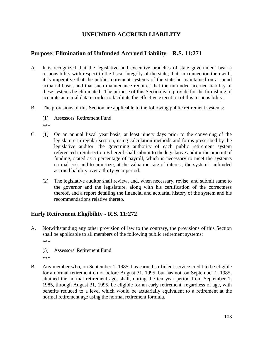# **UNFUNDED ACCRUED LIABILITY**

## **Purpose; Elimination of Unfunded Accrued Liability – R.S. 11:271**

- A. It is recognized that the legislative and executive branches of state government bear a responsibility with respect to the fiscal integrity of the state; that, in connection therewith, it is imperative that the public retirement systems of the state be maintained on a sound actuarial basis, and that such maintenance requires that the unfunded accrued liability of these systems be eliminated. The purpose of this Section is to provide for the furnishing of accurate actuarial data in order to facilitate the effective execution of this responsibility.
- B. The provisions of this Section are applicable to the following public retirement systems:
	- (1) Assessors' Retirement Fund. \*\*\*
- C. (1) On an annual fiscal year basis, at least ninety days prior to the convening of the legislature in regular session, using calculation methods and forms prescribed by the legislative auditor, the governing authority of each public retirement system referenced in Subsection B hereof shall submit to the legislative auditor the amount of funding, stated as a percentage of payroll, which is necessary to meet the system's normal cost and to amortize, at the valuation rate of interest, the system's unfunded accrued liability over a thirty-year period.
	- (2) The legislative auditor shall review, and, when necessary, revise, and submit same to the governor and the legislature, along with his certification of the correctness thereof, and a report detailing the financial and actuarial history of the system and his recommendations relative thereto.

# **Early Retirement Eligibility - R.S. 11:272**

- A. Notwithstanding any other provision of law to the contrary, the provisions of this Section shall be applicable to all members of the following public retirement systems: \*\*\*
	- (5) Assessors' Retirement Fund \*\*\*
- B. Any member who, on September 1, 1985, has earned sufficient service credit to be eligible for a normal retirement on or before August 31, 1995, but has not, on September 1, 1985, attained the normal retirement age, shall, during the ten year period from September 1, 1985, through August 31, 1995, be eligible for an early retirement, regardless of age, with benefits reduced to a level which would be actuarially equivalent to a retirement at the normal retirement age using the normal retirement formula.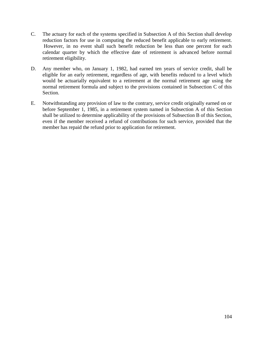- C. The actuary for each of the systems specified in Subsection A of this Section shall develop reduction factors for use in computing the reduced benefit applicable to early retirement. However, in no event shall such benefit reduction be less than one percent for each calendar quarter by which the effective date of retirement is advanced before normal retirement eligibility.
- D. Any member who, on January 1, 1982, had earned ten years of service credit, shall be eligible for an early retirement, regardless of age, with benefits reduced to a level which would be actuarially equivalent to a retirement at the normal retirement age using the normal retirement formula and subject to the provisions contained in Subsection C of this Section.
- E. Notwithstanding any provision of law to the contrary, service credit originally earned on or before September 1, 1985, in a retirement system named in Subsection A of this Section shall be utilized to determine applicability of the provisions of Subsection B of this Section, even if the member received a refund of contributions for such service, provided that the member has repaid the refund prior to application for retirement.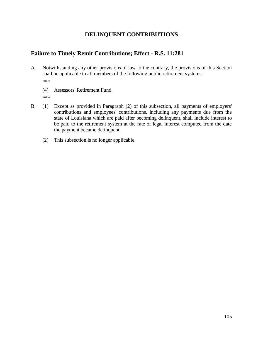# **DELINQUENT CONTRIBUTIONS**

### **Failure to Timely Remit Contributions; Effect - R.S. 11:281**

- A. Notwithstanding any other provisions of law to the contrary, the provisions of this Section shall be applicable to all members of the following public retirement systems: \*\*\*
	- (4) Assessors' Retirement Fund.
	- \*\*\*
- B. (1) Except as provided in Paragraph (2) of this subsection, all payments of employers' contributions and employees' contributions, including any payments due from the state of Louisiana which are paid after becoming delinquent, shall include interest to be paid to the retirement system at the rate of legal interest computed from the date the payment became delinquent.
	- (2) This subsection is no longer applicable.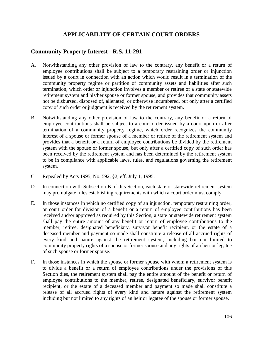## **APPLICABILITY OF CERTAIN COURT ORDERS**

## **Community Property Interest - R.S. 11:291**

- A. Notwithstanding any other provision of law to the contrary, any benefit or a return of employee contributions shall be subject to a temporary restraining order or injunction issued by a court in connection with an action which would result in a termination of the community property regime or partition of community assets and liabilities after such termination, which order or injunction involves a member or retiree of a state or statewide retirement system and his/her spouse or former spouse, and provides that community assets not be disbursed, disposed of, alienated, or otherwise incumbered, but only after a certified copy of such order or judgment is received by the retirement system.
- B. Notwithstanding any other provision of law to the contrary, any benefit or a return of employee contributions shall be subject to a court order issued by a court upon or after termination of a community property regime, which order recognizes the community interest of a spouse or former spouse of a member or retiree of the retirement system and provides that a benefit or a return of employee contributions be divided by the retirement system with the spouse or former spouse, but only after a certified copy of such order has been received by the retirement system and has been determined by the retirement system to be in compliance with applicable laws, rules, and regulations governing the retirement system.
- C. Repealed by Acts 1995, No. 592, §2, eff. July 1, 1995.
- D. In connection with Subsection B of this Section, each state or statewide retirement system may promulgate rules establishing requirements with which a court order must comply.
- E. In those instances in which no certified copy of an injunction, temporary restraining order, or court order for division of a benefit or a return of employee contributions has been received and/or approved as required by this Section, a state or statewide retirement system shall pay the entire amount of any benefit or return of employee contributions to the member, retiree, designated beneficiary, survivor benefit recipient, or the estate of a deceased member and payment so made shall constitute a release of all accrued rights of every kind and nature against the retirement system, including but not limited to community property rights of a spouse or former spouse and any rights of an heir or legatee of such spouse or former spouse.
- F. In those instances in which the spouse or former spouse with whom a retirement system is to divide a benefit or a return of employee contributions under the provisions of this Section dies, the retirement system shall pay the entire amount of the benefit or return of employee contributions to the member, retiree, designated beneficiary, survivor benefit recipient, or the estate of a deceased member and payment so made shall constitute a release of all accrued rights of every kind and nature against the retirement system including but not limited to any rights of an heir or legatee of the spouse or former spouse.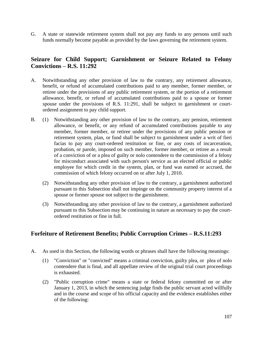G. A state or statewide retirement system shall not pay any funds to any persons until such funds normally become payable as provided by the laws governing the retirement system.

## **Seizure for Child Support; Garnishment or Seizure Related to Felony Convictions – R.S. 11:292**

- A. Notwithstanding any other provision of law to the contrary, any retirement allowance, benefit, or refund of accumulated contributions paid to any member, former member, or retiree under the provisions of any public retirement system, or the portion of a retirement allowance, benefit, or refund of accumulated contributions paid to a spouse or former spouse under the provisions of R.S. 11:291, shall be subject to garnishment or courtordered assignment to pay child support.
- B. (1) Notwithstanding any other provision of law to the contrary, any pension, retirement allowance, or benefit, or any refund of accumulated contributions payable to any member, former member, or retiree under the provisions of any public pension or retirement system, plan, or fund shall be subject to garnishment under a writ of fieri facias to pay any court-ordered restitution or fine, or any costs of incarceration, probation, or parole, imposed on such member, former member, or retiree as a result of a conviction of or a plea of guilty or nolo contendere to the commission of a felony for misconduct associated with such person's service as an elected official or public employee for which credit in the system, plan, or fund was earned or accrued, the commission of which felony occurred on or after July 1, 2010.
	- (2) Notwithstanding any other provision of law to the contrary, a garnishment authorized pursuant to this Subsection shall not impinge on the community property interest of a spouse or former spouse not subject to the garnishment.
	- (3) Notwithstanding any other provision of law to the contrary, a garnishment authorized pursuant to this Subsection may be continuing in nature as necessary to pay the courtordered restitution or fine in full.

### **Forfeiture of Retirement Benefits; Public Corruption Crimes – R.S.11:293**

- A. As used in this Section, the following words or phrases shall have the following meanings:
	- (1) "Conviction" or "convicted" means a criminal conviction, guilty plea, or plea of nolo contendere that is final, and all appellate review of the original trial court proceedings is exhausted.
	- (2) "Public corruption crime" means a state or federal felony committed on or after January 1, 2013, in which the sentencing judge finds the public servant acted willfully and in the course and scope of his official capacity and the evidence establishes either of the following: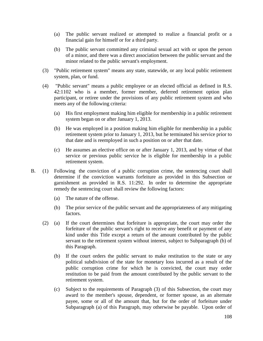- (a) The public servant realized or attempted to realize a financial profit or a financial gain for himself or for a third party.
- (b) The public servant committed any criminal sexual act with or upon the person of a minor, and there was a direct association between the public servant and the minor related to the public servant's employment.
- (3) "Public retirement system" means any state, statewide, or any local public retirement system, plan, or fund.
- (4) "Public servant" means a public employee or an elected official as defined in R.S. 42:1102 who is a member, former member, deferred retirement option plan participant, or retiree under the provisions of any public retirement system and who meets any of the following criteria:
	- (a) His first employment making him eligible for membership in a public retirement system began on or after January 1, 2013.
	- (b) He was employed in a position making him eligible for membership in a public retirement system prior to January 1, 2013, but he terminated his service prior to that date and is reemployed in such a position on or after that date.
	- (c) He assumes an elective office on or after January 1, 2013, and by virtue of that service or previous public service he is eligible for membership in a public retirement system.
- B. (1) Following the conviction of a public corruption crime, the sentencing court shall determine if the conviction warrants forfeiture as provided in this Subsection or garnishment as provided in R.S. 11:292. In order to determine the appropriate remedy the sentencing court shall review the following factors:
	- (a) The nature of the offense.
	- (b) The prior service of the public servant and the appropriateness of any mitigating factors.
	- (2) (a) If the court determines that forfeiture is appropriate, the court may order the forfeiture of the public servant's right to receive any benefit or payment of any kind under this Title except a return of the amount contributed by the public servant to the retirement system without interest, subject to Subparagraph (b) of this Paragraph.
		- (b) If the court orders the public servant to make restitution to the state or any political subdivision of the state for monetary loss incurred as a result of the public corruption crime for which he is convicted, the court may order restitution to be paid from the amount contributed by the public servant to the retirement system.
		- (c) Subject to the requirements of Paragraph (3) of this Subsection, the court may award to the member's spouse, dependent, or former spouse, as an alternate payee, some or all of the amount that, but for the order of forfeiture under Subparagraph (a) of this Paragraph, may otherwise be payable. Upon order of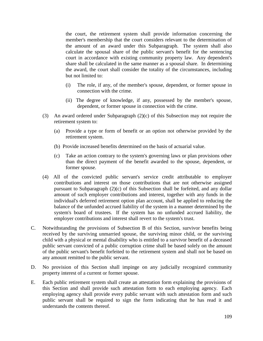the court, the retirement system shall provide information concerning the member's membership that the court considers relevant to the determination of the amount of an award under this Subparagraph. The system shall also calculate the spousal share of the public servant's benefit for the sentencing court in accordance with existing community property law. Any dependent's share shall be calculated in the same manner as a spousal share. In determining the award, the court shall consider the totality of the circumstances, including but not limited to:

- (i) The role, if any, of the member's spouse, dependent, or former spouse in connection with the crime.
- (ii) The degree of knowledge, if any, possessed by the member's spouse, dependent, or former spouse in connection with the crime.
- (3) An award ordered under Subparagraph (2)(c) of this Subsection may not require the retirement system to:
	- (a) Provide a type or form of benefit or an option not otherwise provided by the retirement system.
	- (b) Provide increased benefits determined on the basis of actuarial value.
	- (c) Take an action contrary to the system's governing laws or plan provisions other than the direct payment of the benefit awarded to the spouse, dependent, or former spouse.
- (4) All of the convicted public servant's service credit attributable to employer contributions and interest on those contributions that are not otherwise assigned pursuant to Subparagraph (2)(c) of this Subsection shall be forfeited, and any dollar amount of such employer contributions and interest, together with any funds in the individual's deferred retirement option plan account, shall be applied to reducing the balance of the unfunded accrued liability of the system in a manner determined by the system's board of trustees. If the system has no unfunded accrued liability, the employer contributions and interest shall revert to the system's trust.
- C. Notwithstanding the provisions of Subsection B of this Section, survivor benefits being received by the surviving unmarried spouse, the surviving minor child, or the surviving child with a physical or mental disability who is entitled to a survivor benefit of a deceased public servant convicted of a public corruption crime shall be based solely on the amount of the public servant's benefit forfeited to the retirement system and shall not be based on any amount remitted to the public servant.
- D. No provision of this Section shall impinge on any judicially recognized community property interest of a current or former spouse.
- E. Each public retirement system shall create an attestation form explaining the provisions of this Section and shall provide such attestation form to each employing agency. Each employing agency shall provide every public servant with such attestation form and such public servant shall be required to sign the form indicating that he has read it and understands the contents thereof.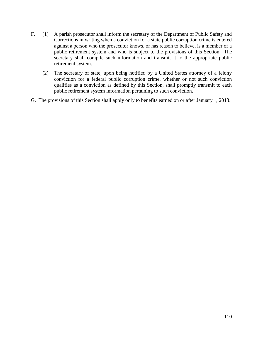- F. (1) A parish prosecutor shall inform the secretary of the Department of Public Safety and Corrections in writing when a conviction for a state public corruption crime is entered against a person who the prosecutor knows, or has reason to believe, is a member of a public retirement system and who is subject to the provisions of this Section. The secretary shall compile such information and transmit it to the appropriate public retirement system.
	- (2) The secretary of state, upon being notified by a United States attorney of a felony conviction for a federal public corruption crime, whether or not such conviction qualifies as a conviction as defined by this Section, shall promptly transmit to each public retirement system information pertaining to such conviction.
- G. The provisions of this Section shall apply only to benefits earned on or after January 1, 2013.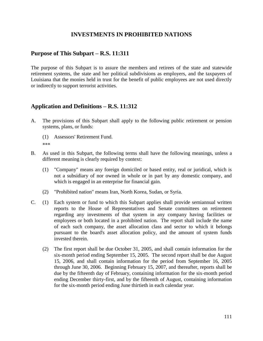### **INVESTMENTS IN PROHIBITED NATIONS**

#### **Purpose of This Subpart – R.S. 11:311**

The purpose of this Subpart is to assure the members and retirees of the state and statewide retirement systems, the state and her political subdivisions as employers, and the taxpayers of Louisiana that the monies held in trust for the benefit of public employees are not used directly or indirectly to support terrorist activities.

### **Application and Definitions – R.S. 11:312**

- A. The provisions of this Subpart shall apply to the following public retirement or pension systems, plans, or funds:
	- (1) Assessors' Retirement Fund. \*\*\*
- B. As used in this Subpart, the following terms shall have the following meanings, unless a different meaning is clearly required by context:
	- (1) "Company" means any foreign domiciled or based entity, real or juridical, which is not a subsidiary of nor owned in whole or in part by any domestic company, and which is engaged in an enterprise for financial gain.
	- (2) "Prohibited nation" means Iran, North Korea, Sudan, or Syria.
- C. (1) Each system or fund to which this Subpart applies shall provide semiannual written reports to the House of Representatives and Senate committees on retirement regarding any investments of that system in any company having facilities or employees or both located in a prohibited nation. The report shall include the name of each such company, the asset allocation class and sector to which it belongs pursuant to the board's asset allocation policy, and the amount of system funds invested therein.
	- (2) The first report shall be due October 31, 2005, and shall contain information for the six-month period ending September 15, 2005. The second report shall be due August 15, 2006, and shall contain information for the period from September 16, 2005 through June 30, 2006. Beginning February 15, 2007, and thereafter, reports shall be due by the fifteenth day of February, containing information for the six-month period ending December thirty-first, and by the fifteenth of August, containing information for the six-month period ending June thirtieth in each calendar year.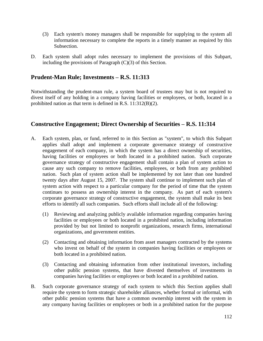- (3) Each system's money managers shall be responsible for supplying to the system all information necessary to complete the reports in a timely manner as required by this Subsection.
- D. Each system shall adopt rules necessary to implement the provisions of this Subpart, including the provisions of Paragraph (C)(3) of this Section.

### **Prudent-Man Rule; Investments – R.S. 11:313**

Notwithstanding the prudent-man rule, a system board of trustees may but is not required to divest itself of any holding in a company having facilities or employees, or both, located in a prohibited nation as that term is defined in R.S. 11:312(B)(2).

### **Constructive Engagement; Direct Ownership of Securities – R.S. 11:314**

- A. Each system, plan, or fund, referred to in this Section as "system", to which this Subpart applies shall adopt and implement a corporate governance strategy of constructive engagement of each company, in which the system has a direct ownership of securities, having facilities or employees or both located in a prohibited nation. Such corporate governance strategy of constructive engagement shall contain a plan of system action to cause any such company to remove facilities, employees, or both from any prohibited nation. Such plan of system action shall be implemented by not later than one hundred twenty days after August 15, 2007. The system shall continue to implement such plan of system action with respect to a particular company for the period of time that the system continues to possess an ownership interest in the company. As part of each system's corporate governance strategy of constructive engagement, the system shall make its best efforts to identify all such companies. Such efforts shall include all of the following:
	- (1) Reviewing and analyzing publicly available information regarding companies having facilities or employees or both located in a prohibited nation, including information provided by but not limited to nonprofit organizations, research firms, international organizations, and government entities.
	- (2) Contacting and obtaining information from asset managers contracted by the systems who invest on behalf of the system in companies having facilities or employees or both located in a prohibited nation.
	- (3) Contacting and obtaining information from other institutional investors, including other public pension systems, that have divested themselves of investments in companies having facilities or employees or both located in a prohibited nation.
- B. Such corporate governance strategy of each system to which this Section applies shall require the system to form strategic shareholder alliances, whether formal or informal, with other public pension systems that have a common ownership interest with the system in any company having facilities or employees or both in a prohibited nation for the purpose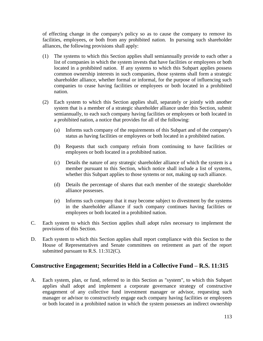of effecting change in the company's policy so as to cause the company to remove its facilities, employees, or both from any prohibited nation. In pursuing such shareholder alliances, the following provisions shall apply:

- (1) The systems to which this Section applies shall semiannually provide to each other a list of companies in which the system invests that have facilities or employees or both located in a prohibited nation. If any systems to which this Subpart applies possess common ownership interests in such companies, those systems shall form a strategic shareholder alliance, whether formal or informal, for the purpose of influencing such companies to cease having facilities or employees or both located in a prohibited nation.
- (2) Each system to which this Section applies shall, separately or jointly with another system that is a member of a strategic shareholder alliance under this Section, submit semiannually, to each such company having facilities or employees or both located in a prohibited nation, a notice that provides for all of the following:
	- (a) Informs such company of the requirements of this Subpart and of the company's status as having facilities or employees or both located in a prohibited nation.
	- (b) Requests that such company refrain from continuing to have facilities or employees or both located in a prohibited nation.
	- (c) Details the nature of any strategic shareholder alliance of which the system is a member pursuant to this Section, which notice shall include a list of systems, whether this Subpart applies to those systems or not, making up such alliance.
	- (d) Details the percentage of shares that each member of the strategic shareholder alliance possesses.
	- (e) Informs such company that it may become subject to divestment by the systems in the shareholder alliance if such company continues having facilities or employees or both located in a prohibited nation.
- C. Each system to which this Section applies shall adopt rules necessary to implement the provisions of this Section.
- D. Each system to which this Section applies shall report compliance with this Section to the House of Representatives and Senate committees on retirement as part of the report submitted pursuant to R.S. 11:312(C).

## **Constructive Engagement; Securities Held in a Collective Fund – R.S. 11:315**

A. Each system, plan, or fund, referred to in this Section as "system", to which this Subpart applies shall adopt and implement a corporate governance strategy of constructive engagement of any collective fund investment manager or advisor, requesting such manager or advisor to constructively engage each company having facilities or employees or both located in a prohibited nation in which the system possesses an indirect ownership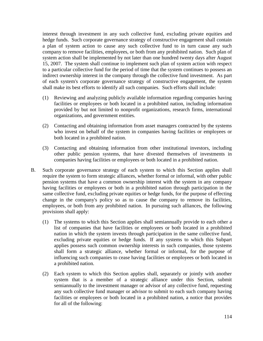interest through investment in any such collective fund, excluding private equities and hedge funds. Such corporate governance strategy of constructive engagement shall contain a plan of system action to cause any such collective fund to in turn cause any such company to remove facilities, employees, or both from any prohibited nation. Such plan of system action shall be implemented by not later than one hundred twenty days after August 15, 2007. The system shall continue to implement such plan of system action with respect to a particular collective fund for the period of time that the system continues to possess an indirect ownership interest in the company through the collective fund investment. As part of each system's corporate governance strategy of constructive engagement, the system shall make its best efforts to identify all such companies. Such efforts shall include:

- (1) Reviewing and analyzing publicly available information regarding companies having facilities or employees or both located in a prohibited nation, including information provided by but not limited to nonprofit organizations, research firms, international organizations, and government entities.
- (2) Contacting and obtaining information from asset managers contracted by the systems who invest on behalf of the system in companies having facilities or employees or both located in a prohibited nation.
- (3) Contacting and obtaining information from other institutional investors, including other public pension systems, that have divested themselves of investments in companies having facilities or employees or both located in a prohibited nation.
- B. Such corporate governance strategy of each system to which this Section applies shall require the system to form strategic alliances, whether formal or informal, with other public pension systems that have a common ownership interest with the system in any company having facilities or employees or both in a prohibited nation through participation in the same collective fund, excluding private equities or hedge funds, for the purpose of effecting change in the company's policy so as to cause the company to remove its facilities, employees, or both from any prohibited nation. In pursuing such alliances, the following provisions shall apply:
	- (1) The systems to which this Section applies shall semiannually provide to each other a list of companies that have facilities or employees or both located in a prohibited nation in which the system invests through participation in the same collective fund, excluding private equities or hedge funds. If any systems to which this Subpart applies possess such common ownership interests in such companies, those systems shall form a strategic alliance, whether formal or informal, for the purpose of influencing such companies to cease having facilities or employees or both located in a prohibited nation.
	- (2) Each system to which this Section applies shall, separately or jointly with another system that is a member of a strategic alliance under this Section, submit semiannually to the investment manager or advisor of any collective fund, requesting any such collective fund manager or advisor to submit to each such company having facilities or employees or both located in a prohibited nation, a notice that provides for all of the following: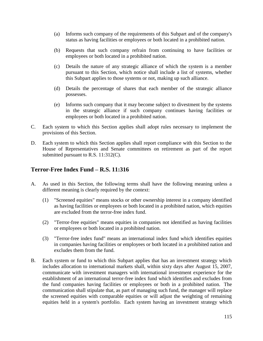- (a) Informs such company of the requirements of this Subpart and of the company's status as having facilities or employees or both located in a prohibited nation.
- (b) Requests that such company refrain from continuing to have facilities or employees or both located in a prohibited nation.
- (c) Details the nature of any strategic alliance of which the system is a member pursuant to this Section, which notice shall include a list of systems, whether this Subpart applies to those systems or not, making up such alliance.
- (d) Details the percentage of shares that each member of the strategic alliance possesses.
- (e) Informs such company that it may become subject to divestment by the systems in the strategic alliance if such company continues having facilities or employees or both located in a prohibited nation.
- C. Each system to which this Section applies shall adopt rules necessary to implement the provisions of this Section.
- D. Each system to which this Section applies shall report compliance with this Section to the House of Representatives and Senate committees on retirement as part of the report submitted pursuant to R.S. 11:312(C).

### **Terror-Free Index Fund – R.S. 11:316**

- A. As used in this Section, the following terms shall have the following meaning unless a different meaning is clearly required by the context:
	- (1) "Screened equities" means stocks or other ownership interest in a company identified as having facilities or employees or both located in a prohibited nation, which equities are excluded from the terror-free index fund.
	- (2) "Terror-free equities" means equities in companies not identified as having facilities or employees or both located in a prohibited nation.
	- (3) "Terror-free index fund" means an international index fund which identifies equities in companies having facilities or employees or both located in a prohibited nation and excludes them from the fund.
- B. Each system or fund to which this Subpart applies that has an investment strategy which includes allocation to international markets shall, within sixty days after August 15, 2007, communicate with investment managers with international investment experience for the establishment of an international terror-free index fund which identifies and excludes from the fund companies having facilities or employees or both in a prohibited nation. The communication shall stipulate that, as part of managing such fund, the manager will replace the screened equities with comparable equities or will adjust the weighting of remaining equities held in a system's portfolio. Each system having an investment strategy which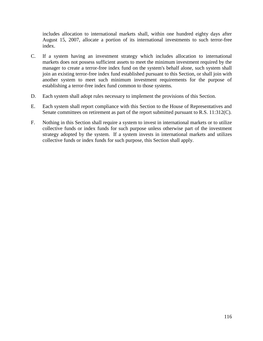includes allocation to international markets shall, within one hundred eighty days after August 15, 2007, allocate a portion of its international investments to such terror-free index.

- C. If a system having an investment strategy which includes allocation to international markets does not possess sufficient assets to meet the minimum investment required by the manager to create a terror-free index fund on the system's behalf alone, such system shall join an existing terror-free index fund established pursuant to this Section, or shall join with another system to meet such minimum investment requirements for the purpose of establishing a terror-free index fund common to those systems.
- D. Each system shall adopt rules necessary to implement the provisions of this Section.
- E. Each system shall report compliance with this Section to the House of Representatives and Senate committees on retirement as part of the report submitted pursuant to R.S. 11:312(C).
- F. Nothing in this Section shall require a system to invest in international markets or to utilize collective funds or index funds for such purpose unless otherwise part of the investment strategy adopted by the system. If a system invests in international markets and utilizes collective funds or index funds for such purpose, this Section shall apply.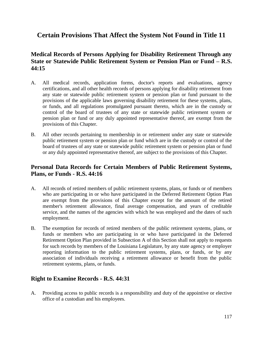# **Certain Provisions That Affect the System Not Found in Title 11**

## **Medical Records of Persons Applying for Disability Retirement Through any State or Statewide Public Retirement System or Pension Plan or Fund – R.S. 44:15**

- A. All medical records, application forms, doctor's reports and evaluations, agency certifications, and all other health records of persons applying for disability retirement from any state or statewide public retirement system or pension plan or fund pursuant to the provisions of the applicable laws governing disability retirement for these systems, plans, or funds, and all regulations promulgated pursuant thereto, which are in the custody or control of the board of trustees of any state or statewide public retirement system or pension plan or fund or any duly appointed representative thereof, are exempt from the provisions of this Chapter.
- B. All other records pertaining to membership in or retirement under any state or statewide public retirement system or pension plan or fund which are in the custody or control of the board of trustees of any state or statewide public retirement system or pension plan or fund or any duly appointed representative thereof, are subject to the provisions of this Chapter.

### **Personal Data Records for Certain Members of Public Retirement Systems, Plans, or Funds - R.S. 44:16**

- A. All records of retired members of public retirement systems, plans, or funds or of members who are participating in or who have participated in the Deferred Retirement Option Plan are exempt from the provisions of this Chapter except for the amount of the retired member's retirement allowance, final average compensation, and years of creditable service, and the names of the agencies with which he was employed and the dates of such employment.
- B. The exemption for records of retired members of the public retirement systems, plans, or funds or members who are participating in or who have participated in the Deferred Retirement Option Plan provided in Subsection A of this Section shall not apply to requests for such records by members of the Louisiana Legislature, by any state agency or employer reporting information to the public retirement systems, plans, or funds, or by any association of individuals receiving a retirement allowance or benefit from the public retirement systems, plans, or funds.

### **Right to Examine Records - R.S. 44:31**

A. Providing access to public records is a responsibility and duty of the appointive or elective office of a custodian and his employees.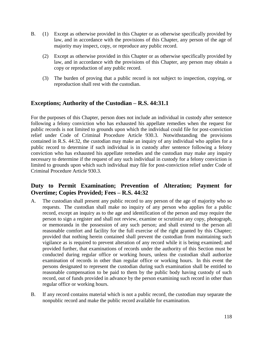- B. (1) Except as otherwise provided in this Chapter or as otherwise specifically provided by law, and in accordance with the provisions of this Chapter, any person of the age of majority may inspect, copy, or reproduce any public record.
	- (2) Except as otherwise provided in this Chapter or as otherwise specifically provided by law, and in accordance with the provisions of this Chapter, any person may obtain a copy or reproduction of any public record.
	- (3) The burden of proving that a public record is not subject to inspection, copying, or reproduction shall rest with the custodian.

### **Exceptions; Authority of the Custodian – R.S. 44:31.1**

For the purposes of this Chapter, person does not include an individual in custody after sentence following a felony conviction who has exhausted his appellate remedies when the request for public records is not limited to grounds upon which the individual could file for post-conviction relief under Code of Criminal Procedure Article 930.3. Notwithstanding the provisions contained in R.S. 44:32, the custodian may make an inquiry of any individual who applies for a public record to determine if such individual is in custody after sentence following a felony conviction who has exhausted his appellate remedies and the custodian may make any inquiry necessary to determine if the request of any such individual in custody for a felony conviction is limited to grounds upon which such individual may file for post-conviction relief under Code of Criminal Procedure Article 930.3.

## **Duty to Permit Examination; Prevention of Alteration; Payment for Overtime; Copies Provided; Fees – R.S. 44:32**

- A. The custodian shall present any public record to any person of the age of majority who so requests. The custodian shall make no inquiry of any person who applies for a public record, except an inquiry as to the age and identification of the person and may require the person to sign a register and shall not review, examine or scrutinize any copy, photograph, or memoranda in the possession of any such person; and shall extend to the person all reasonable comfort and facility for the full exercise of the right granted by this Chapter; provided that nothing herein contained shall prevent the custodian from maintaining such vigilance as is required to prevent alteration of any record while it is being examined; and provided further, that examinations of records under the authority of this Section must be conducted during regular office or working hours, unless the custodian shall authorize examination of records in other than regular office or working hours. In this event the persons designated to represent the custodian during such examination shall be entitled to reasonable compensation to be paid to them by the public body having custody of such record, out of funds provided in advance by the person examining such record in other than regular office or working hours.
- B. If any record contains material which is not a public record, the custodian may separate the nonpublic record and make the public record available for examination.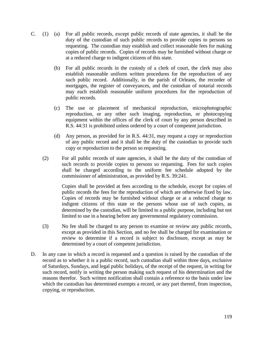- C. (1) (a) For all public records, except public records of state agencies, it shall be the duty of the custodian of such public records to provide copies to persons so requesting. The custodian may establish and collect reasonable fees for making copies of public records. Copies of records may be furnished without charge or at a reduced charge to indigent citizens of this state.
	- (b) For all public records in the custody of a clerk of court, the clerk may also establish reasonable uniform written procedures for the reproduction of any such public record. Additionally, in the parish of Orleans, the recorder of mortgages, the register of conveyances, and the custodian of notarial records may each establish reasonable uniform procedures for the reproduction of public records.
	- (c) The use or placement of mechanical reproduction, microphotographic reproduction, or any other such imaging, reproduction, or photocopying equipment within the offices of the clerk of court by any person described in R.S. 44:31 is prohibited unless ordered by a court of competent jurisdiction.
	- (d) Any person, as provided for in R.S. 44:31, may request a copy or reproduction of any public record and it shall be the duty of the custodian to provide such copy or reproduction to the person so requesting.
	- (2) For all public records of state agencies, it shall be the duty of the custodian of such records to provide copies to persons so requesting. Fees for such copies shall be charged according to the uniform fee schedule adopted by the commissioner of administration, as provided by R.S. 39:241.

Copies shall be provided at fees according to the schedule, except for copies of public records the fees for the reproduction of which are otherwise fixed by law. Copies of records may be furnished without charge or at a reduced charge to indigent citizens of this state or the persons whose use of such copies, as determined by the custodian, will be limited to a public purpose, including but not limited to use in a hearing before any governmental regulatory commission.

- (3) No fee shall be charged to any person to examine or review any public records, except as provided in this Section, and no fee shall be charged for examination or review to determine if a record is subject to disclosure, except as may be determined by a court of competent jurisdiction.
- D. In any case in which a record is requested and a question is raised by the custodian of the record as to whether it is a public record, such custodian shall within three days, exclusive of Saturdays, Sundays, and legal public holidays, of the receipt of the request, in writing for such record, notify in writing the person making such request of his determination and the reasons therefor. Such written notification shall contain a reference to the basis under law which the custodian has determined exempts a record, or any part thereof, from inspection, copying, or reproduction.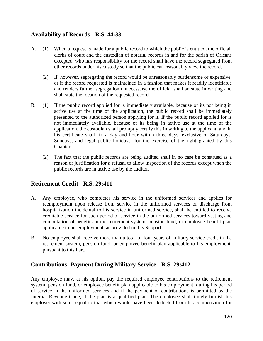## **Availability of Records - R.S. 44:33**

- A. (1) When a request is made for a public record to which the public is entitled, the official, clerks of court and the custodian of notarial records in and for the parish of Orleans excepted, who has responsibility for the record shall have the record segregated from other records under his custody so that the public can reasonably view the record.
	- (2) If, however, segregating the record would be unreasonably burdensome or expensive, or if the record requested is maintained in a fashion that makes it readily identifiable and renders further segregation unnecessary, the official shall so state in writing and shall state the location of the requested record.
- B. (1) If the public record applied for is immediately available, because of its not being in active use at the time of the application, the public record shall be immediately presented to the authorized person applying for it. If the public record applied for is not immediately available, because of its being in active use at the time of the application, the custodian shall promptly certify this in writing to the applicant, and in his certificate shall fix a day and hour within three days, exclusive of Saturdays, Sundays, and legal public holidays, for the exercise of the right granted by this Chapter.
	- (2) The fact that the public records are being audited shall in no case be construed as a reason or justification for a refusal to allow inspection of the records except when the public records are in active use by the auditor.

# **Retirement Credit - R.S. 29:411**

- A. Any employee, who completes his service in the uniformed services and applies for reemployment upon release from service in the uniformed services or discharge from hospitalization incidental to his service in uniformed service, shall be entitled to receive creditable service for such period of service in the uniformed services toward vesting and computation of benefits in the retirement system, pension fund, or employee benefit plan applicable to his employment, as provided in this Subpart.
- B. No employee shall receive more than a total of four years of military service credit in the retirement system, pension fund, or employee benefit plan applicable to his employment, pursuant to this Part.

# **Contributions; Payment During Military Service - R.S. 29:412**

Any employee may, at his option, pay the required employee contributions to the retirement system, pension fund, or employee benefit plan applicable to his employment, during his period of service in the uniformed services and if the payment of contributions is permitted by the Internal Revenue Code, if the plan is a qualified plan. The employee shall timely furnish his employer with sums equal to that which would have been deducted from his compensation for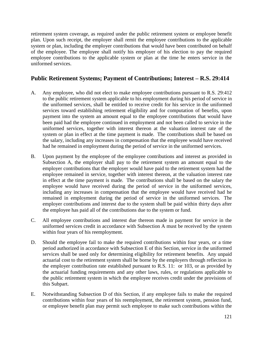retirement system coverage, as required under the public retirement system or employee benefit plan. Upon such receipt, the employer shall remit the employee contributions to the applicable system or plan, including the employer contributions that would have been contributed on behalf of the employee. The employee shall notify his employer of his election to pay the required employee contributions to the applicable system or plan at the time he enters service in the uniformed services.

## **Public Retirement Systems; Payment of Contributions; Interest – R.S. 29:414**

- A. Any employee, who did not elect to make employee contributions pursuant to R.S. 29:412 to the public retirement system applicable to his employment during his period of service in the uniformed services, shall be entitled to receive credit for his service in the uniformed services toward establishing retirement eligibility and for computation of benefits, upon payment into the system an amount equal to the employee contributions that would have been paid had the employee continued in employment and not been called to service in the uniformed services, together with interest thereon at the valuation interest rate of the system or plan in effect at the time payment is made. The contributions shall be based on the salary, including any increases in compensation that the employee would have received had he remained in employment during the period of service in the uniformed services.
- B. Upon payment by the employee of the employee contributions and interest as provided in Subsection A, the employer shall pay to the retirement system an amount equal to the employer contributions that the employer would have paid to the retirement system had the employee remained in service, together with interest thereon, at the valuation interest rate in effect at the time payment is made. The contributions shall be based on the salary the employee would have received during the period of service in the uniformed services, including any increases in compensation that the employee would have received had he remained in employment during the period of service in the uniformed services. The employer contributions and interest due to the system shall be paid within thirty days after the employee has paid all of the contributions due to the system or fund.
- C. All employee contributions and interest due thereon made in payment for service in the uniformed services credit in accordance with Subsection A must be received by the system within four years of his reemployment.
- D. Should the employee fail to make the required contributions within four years, or a time period authorized in accordance with Subsection E of this Section, service in the uniformed services shall be used only for determining eligibility for retirement benefits. Any unpaid actuarial cost to the retirement system shall be borne by the employers through reflection in the employer contribution rate established pursuant to R.S. 11: or 103, or as provided by the actuarial funding requirements and any other laws, rules, or regulations applicable to the public retirement system in which the employee receives credit under the provisions of this Subpart.
- E. Notwithstanding Subsection D of this Section, if any employee fails to make the required contributions within four years of his reemployment, the retirement system, pension fund, or employee benefit plan may permit such employee to make such contributions within the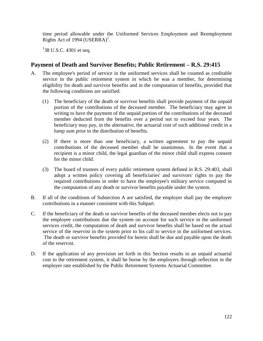time period allowable under the Uniformed Services Employment and Reemployment Rights Act of 1994 (USERRA)<sup>1</sup>.

 $138$  U.S.C. 4301 et seq.

### **Payment of Death and Survivor Benefits; Public Retirement – R.S. 29:415**

- A. The employee's period of service in the uniformed services shall be counted as creditable service in the public retirement system in which he was a member, for determining eligibility for death and survivor benefits and in the computation of benefits, provided that the following conditions are satisfied:
	- (1) The beneficiary of the death or survivor benefits shall provide payment of the unpaid portion of the contributions of the deceased member. The beneficiary may agree in writing to have the payment of the unpaid portion of the contributions of the deceased member deducted from the benefits over a period not to exceed four years. The beneficiary may pay, in the alternative, the actuarial cost of such additional credit in a lump sum prior to the distribution of benefits.
	- (2) If there is more than one beneficiary, a written agreement to pay the unpaid contributions of the deceased member shall be unanimous. In the event that a recipient is a minor child, the legal guardian of the minor child shall express consent for the minor child.
	- (3) The board of trustees of every public retirement system defined in R.S. 29:403, shall adopt a written policy covering all beneficiaries' and survivors' rights to pay the required contributions in order to have the employee's military service computed in the computation of any death or survivor benefits payable under the system.
- B. If all of the conditions of Subsection A are satisfied, the employer shall pay the employer contributions in a manner consistent with this Subpart.
- C. If the beneficiary of the death or survivor benefits of the deceased member elects not to pay the employee contributions due the system on account for such service in the uniformed services credit, the computation of death and survivor benefits shall be based on the actual service of the reservist in the system prior to his call to service in the uniformed services. The death or survivor benefits provided for herein shall be due and payable upon the death of the reservist.
- D. If the application of any provision set forth in this Section results in an unpaid actuarial cost to the retirement system, it shall be borne by the employers through reflection in the employer rate established by the Public Retirement Systems Actuarial Committee.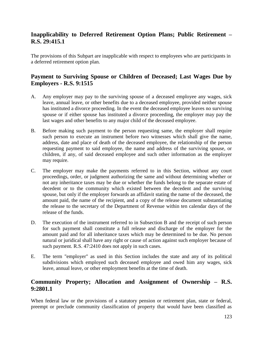# **Inapplicability to Deferred Retirement Option Plans; Public Retirement – R.S. 29:415.1**

The provisions of this Subpart are inapplicable with respect to employees who are participants in a deferred retirement option plan.

# **Payment to Surviving Spouse or Children of Deceased; Last Wages Due by Employers - R.S. 9:1515**

- A. Any employer may pay to the surviving spouse of a deceased employee any wages, sick leave, annual leave, or other benefits due to a deceased employee, provided neither spouse has instituted a divorce proceeding. In the event the deceased employee leaves no surviving spouse or if either spouse has instituted a divorce proceeding, the employer may pay the last wages and other benefits to any major child of the deceased employee.
- B. Before making such payment to the person requesting same, the employer shall require such person to execute an instrument before two witnesses which shall give the name, address, date and place of death of the deceased employee, the relationship of the person requesting payment to said employee, the name and address of the surviving spouse, or children, if any, of said deceased employee and such other information as the employer may require.
- C. The employer may make the payments referred to in this Section, without any court proceedings, order, or judgment authorizing the same and without determining whether or not any inheritance taxes may be due or whether the funds belong to the separate estate of decedent or to the community which existed between the decedent and the surviving spouse, but only if the employer forwards an affidavit stating the name of the deceased, the amount paid, the name of the recipient, and a copy of the release document substantiating the release to the secretary of the Department of Revenue within ten calendar days of the release of the funds.
- D. The execution of the instrument referred to in Subsection B and the receipt of such person for such payment shall constitute a full release and discharge of the employer for the amount paid and for all inheritance taxes which may be determined to be due. No person natural or juridical shall have any right or cause of action against such employer because of such payment. R.S. 47:2410 does not apply in such cases.
- E. The term "employer" as used in this Section includes the state and any of its political subdivisions which employed such deceased employee and owed him any wages, sick leave, annual leave, or other employment benefits at the time of death.

### **Community Property; Allocation and Assignment of Ownership – R.S. 9:2801.1**

When federal law or the provisions of a statutory pension or retirement plan, state or federal, preempt or preclude community classification of property that would have been classified as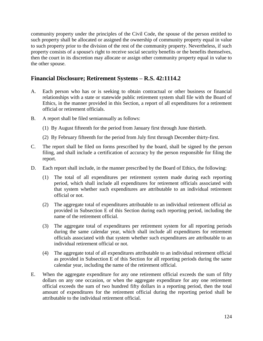community property under the principles of the Civil Code, the spouse of the person entitled to such property shall be allocated or assigned the ownership of community property equal in value to such property prior to the division of the rest of the community property. Nevertheless, if such property consists of a spouse's right to receive social security benefits or the benefits themselves, then the court in its discretion may allocate or assign other community property equal in value to the other spouse.

### **Financial Disclosure; Retirement Systems – R.S. 42:1114.2**

- A. Each person who has or is seeking to obtain contractual or other business or financial relationships with a state or statewide public retirement system shall file with the Board of Ethics, in the manner provided in this Section, a report of all expenditures for a retirement official or retirement officials.
- B. A report shall be filed semiannually as follows:
	- (1) By August fifteenth for the period from January first through June thirtieth.
	- (2) By February fifteenth for the period from July first through December thirty-first.
- C. The report shall be filed on forms prescribed by the board, shall be signed by the person filing, and shall include a certification of accuracy by the person responsible for filing the report.
- D. Each report shall include, in the manner prescribed by the Board of Ethics, the following:
	- (1) The total of all expenditures per retirement system made during each reporting period, which shall include all expenditures for retirement officials associated with that system whether such expenditures are attributable to an individual retirement official or not.
	- (2) The aggregate total of expenditures attributable to an individual retirement official as provided in Subsection E of this Section during each reporting period, including the name of the retirement official.
	- (3) The aggregate total of expenditures per retirement system for all reporting periods during the same calendar year, which shall include all expenditures for retirement officials associated with that system whether such expenditures are attributable to an individual retirement official or not.
	- (4) The aggregate total of all expenditures attributable to an individual retirement official as provided in Subsection E of this Section for all reporting periods during the same calendar year, including the name of the retirement official.
- E. When the aggregate expenditure for any one retirement official exceeds the sum of fifty dollars on any one occasion, or when the aggregate expenditure for any one retirement official exceeds the sum of two hundred fifty dollars in a reporting period, then the total amount of expenditures for the retirement official during the reporting period shall be attributable to the individual retirement official.